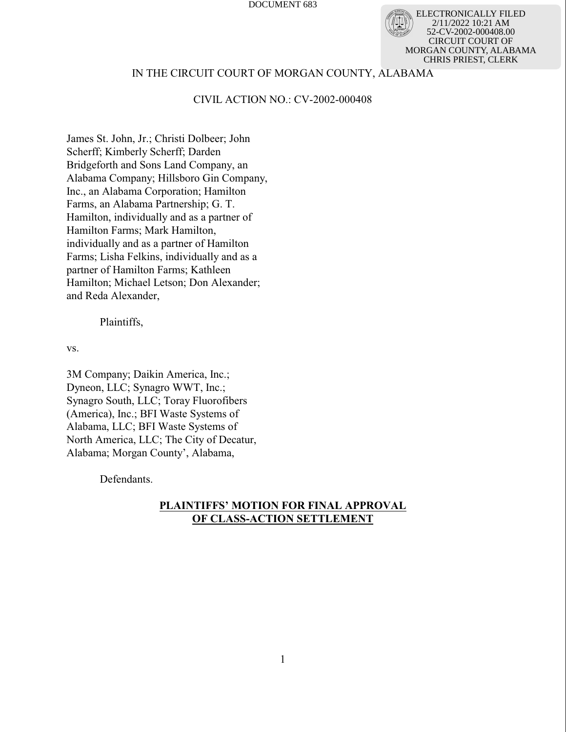ELECTRONICALLY FILED 2/11/2022 10:21 AM 52-CV-2002-000408.00 CIRCUIT COURT OF MORGAN COUNTY, ALABAMA CHRIS PRIEST, CLERK

## IN THE CIRCUIT COURT OF MORGAN COUNTY, ALABAMA

## CIVIL ACTION NO.: CV-2002-000408

James St. John, Jr.; Christi Dolbeer; John Scherff; Kimberly Scherff; Darden Bridgeforth and Sons Land Company, an Alabama Company; Hillsboro Gin Company, Inc., an Alabama Corporation; Hamilton Farms, an Alabama Partnership; G. T. Hamilton, individually and as a partner of Hamilton Farms; Mark Hamilton, individually and as a partner of Hamilton Farms; Lisha Felkins, individually and as a partner of Hamilton Farms; Kathleen Hamilton; Michael Letson; Don Alexander; and Reda Alexander,

### Plaintiffs,

vs.

3M Company; Daikin America, Inc.; Dyneon, LLC; Synagro WWT, Inc.; Synagro South, LLC; Toray Fluorofibers (America), Inc.; BFI Waste Systems of Alabama, LLC; BFI Waste Systems of North America, LLC; The City of Decatur, Alabama; Morgan County', Alabama,

Defendants.

## **PLAINTIFFS' MOTION FOR FINAL APPROVAL OF CLASS-ACTION SETTLEMENT**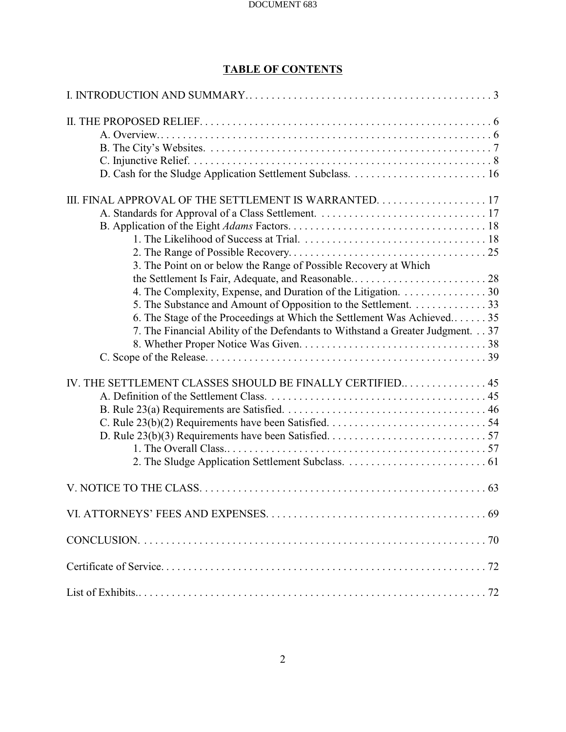# **TABLE OF CONTENTS**

| 3. The Point on or below the Range of Possible Recovery at Which               |
|--------------------------------------------------------------------------------|
|                                                                                |
| 4. The Complexity, Expense, and Duration of the Litigation. 30                 |
| 5. The Substance and Amount of Opposition to the Settlement. 33                |
| 6. The Stage of the Proceedings at Which the Settlement Was Achieved 35        |
| 7. The Financial Ability of the Defendants to Withstand a Greater Judgment. 37 |
|                                                                                |
|                                                                                |
|                                                                                |
| IV. THE SETTLEMENT CLASSES SHOULD BE FINALLY CERTIFIED 45                      |
|                                                                                |
|                                                                                |
|                                                                                |
|                                                                                |
|                                                                                |
|                                                                                |
|                                                                                |
|                                                                                |
|                                                                                |
|                                                                                |
|                                                                                |
|                                                                                |
|                                                                                |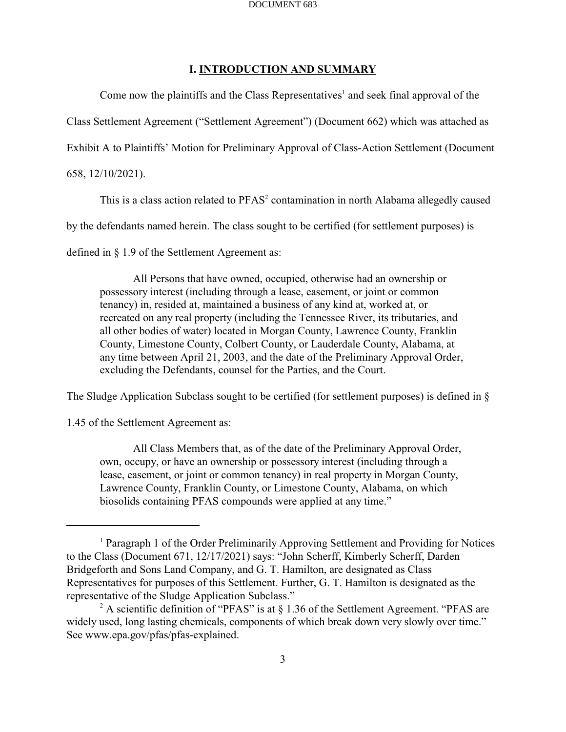## **I. INTRODUCTION AND SUMMARY**

Come now the plaintiffs and the Class Representatives<sup>1</sup> and seek final approval of the Class Settlement Agreement ("Settlement Agreement") (Document 662) which was attached as Exhibit A to Plaintiffs' Motion for Preliminary Approval of Class-Action Settlement (Document 658, 12/10/2021).

This is a class action related to  $PFAST<sup>2</sup>$  contamination in north Alabama allegedly caused

by the defendants named herein. The class sought to be certified (for settlement purposes) is

defined in § 1.9 of the Settlement Agreement as:

All Persons that have owned, occupied, otherwise had an ownership or possessory interest (including through a lease, easement, or joint or common tenancy) in, resided at, maintained a business of any kind at, worked at, or recreated on any real property (including the Tennessee River, its tributaries, and all other bodies of water) located in Morgan County, Lawrence County, Franklin County, Limestone County, Colbert County, or Lauderdale County, Alabama, at any time between April 21, 2003, and the date of the Preliminary Approval Order, excluding the Defendants, counsel for the Parties, and the Court.

The Sludge Application Subclass sought to be certified (for settlement purposes) is defined in §

1.45 of the Settlement Agreement as:

All Class Members that, as of the date of the Preliminary Approval Order, own, occupy, or have an ownership or possessory interest (including through a lease, easement, or joint or common tenancy) in real property in Morgan County, Lawrence County, Franklin County, or Limestone County, Alabama, on which biosolids containing PFAS compounds were applied at any time."

<sup>&</sup>lt;sup>1</sup> Paragraph 1 of the Order Preliminarily Approving Settlement and Providing for Notices to the Class (Document 671, 12/17/2021) says: "John Scherff, Kimberly Scherff, Darden Bridgeforth and Sons Land Company, and G. T. Hamilton, are designated as Class Representatives for purposes of this Settlement. Further, G. T. Hamilton is designated as the representative of the Sludge Application Subclass."

<sup>&</sup>lt;sup>2</sup> A scientific definition of "PFAS" is at  $\S 1.36$  of the Settlement Agreement. "PFAS are widely used, long lasting chemicals, components of which break down very slowly over time." See www.epa.gov/pfas/pfas-explained.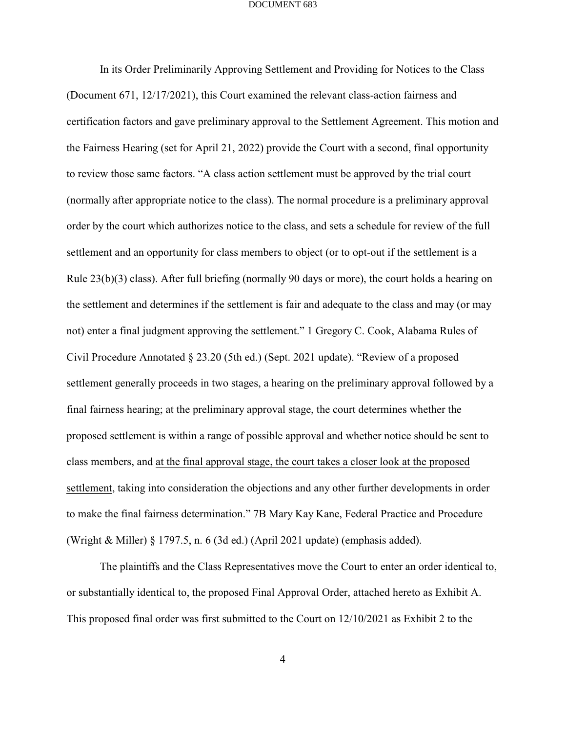In its Order Preliminarily Approving Settlement and Providing for Notices to the Class (Document 671, 12/17/2021), this Court examined the relevant class-action fairness and certification factors and gave preliminary approval to the Settlement Agreement. This motion and the Fairness Hearing (set for April 21, 2022) provide the Court with a second, final opportunity to review those same factors. "A class action settlement must be approved by the trial court (normally after appropriate notice to the class). The normal procedure is a preliminary approval order by the court which authorizes notice to the class, and sets a schedule for review of the full settlement and an opportunity for class members to object (or to opt-out if the settlement is a Rule 23(b)(3) class). After full briefing (normally 90 days or more), the court holds a hearing on the settlement and determines if the settlement is fair and adequate to the class and may (or may not) enter a final judgment approving the settlement." 1 Gregory C. Cook, Alabama Rules of Civil Procedure Annotated § 23.20 (5th ed.) (Sept. 2021 update). "Review of a proposed settlement generally proceeds in two stages, a hearing on the preliminary approval followed by a final fairness hearing; at the preliminary approval stage, the court determines whether the proposed settlement is within a range of possible approval and whether notice should be sent to class members, and at the final approval stage, the court takes a closer look at the proposed settlement, taking into consideration the objections and any other further developments in order to make the final fairness determination." 7B Mary Kay Kane, Federal Practice and Procedure (Wright & Miller) § 1797.5, n. 6 (3d ed.) (April 2021 update) (emphasis added).

The plaintiffs and the Class Representatives move the Court to enter an order identical to, or substantially identical to, the proposed Final Approval Order, attached hereto as Exhibit A. This proposed final order was first submitted to the Court on 12/10/2021 as Exhibit 2 to the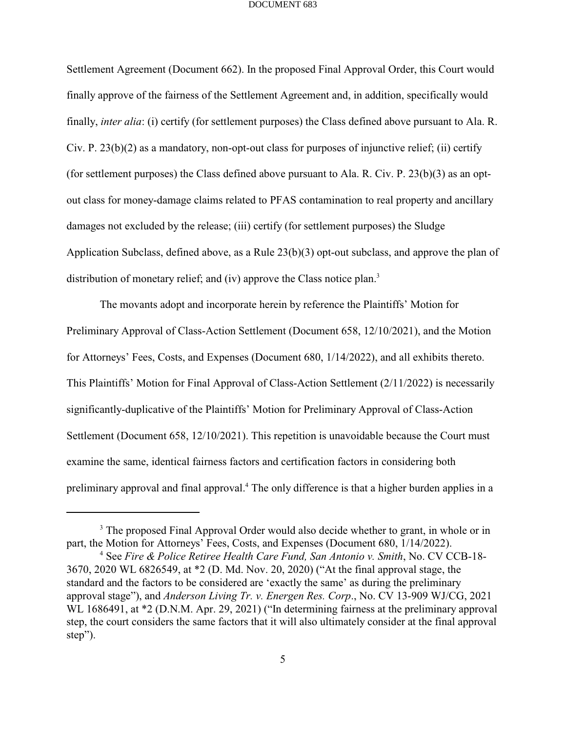Settlement Agreement (Document 662). In the proposed Final Approval Order, this Court would finally approve of the fairness of the Settlement Agreement and, in addition, specifically would finally, *inter alia*: (i) certify (for settlement purposes) the Class defined above pursuant to Ala. R. Civ. P. 23(b)(2) as a mandatory, non-opt-out class for purposes of injunctive relief; (ii) certify (for settlement purposes) the Class defined above pursuant to Ala. R. Civ. P. 23(b)(3) as an optout class for money-damage claims related to PFAS contamination to real property and ancillary damages not excluded by the release; (iii) certify (for settlement purposes) the Sludge Application Subclass, defined above, as a Rule 23(b)(3) opt-out subclass, and approve the plan of distribution of monetary relief; and (iv) approve the Class notice plan.<sup>3</sup>

The movants adopt and incorporate herein by reference the Plaintiffs' Motion for Preliminary Approval of Class-Action Settlement (Document 658, 12/10/2021), and the Motion for Attorneys' Fees, Costs, and Expenses (Document 680, 1/14/2022), and all exhibits thereto. This Plaintiffs' Motion for Final Approval of Class-Action Settlement (2/11/2022) is necessarily significantly-duplicative of the Plaintiffs' Motion for Preliminary Approval of Class-Action Settlement (Document 658, 12/10/2021). This repetition is unavoidable because the Court must examine the same, identical fairness factors and certification factors in considering both preliminary approval and final approval.<sup>4</sup> The only difference is that a higher burden applies in a

<sup>&</sup>lt;sup>3</sup> The proposed Final Approval Order would also decide whether to grant, in whole or in part, the Motion for Attorneys' Fees, Costs, and Expenses (Document 680, 1/14/2022).

See *Fire & Police Retiree Health Care Fund, San Antonio v. Smith*, No. CV CCB-18- <sup>4</sup> 3670, 2020 WL 6826549, at \*2 (D. Md. Nov. 20, 2020) ("At the final approval stage, the standard and the factors to be considered are 'exactly the same' as during the preliminary approval stage"), and *Anderson Living Tr. v. Energen Res. Corp*., No. CV 13-909 WJ/CG, 2021 WL 1686491, at  $*2$  (D.N.M. Apr. 29, 2021) ("In determining fairness at the preliminary approval step, the court considers the same factors that it will also ultimately consider at the final approval step").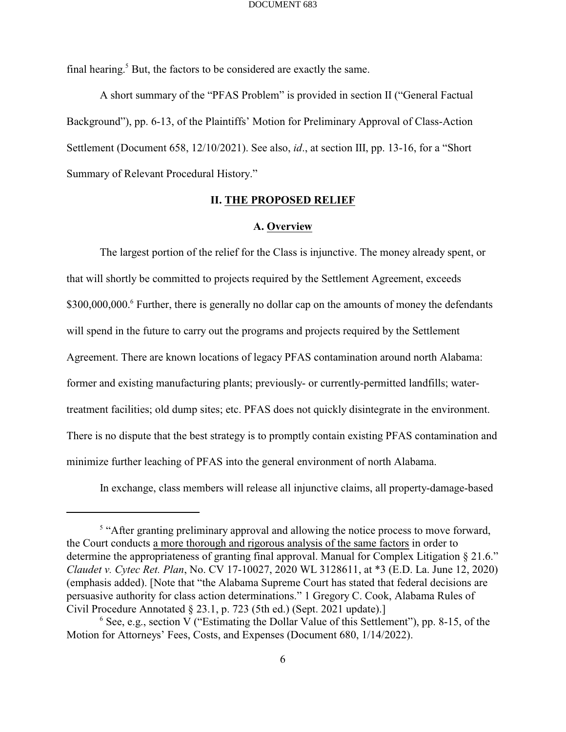final hearing.<sup>5</sup> But, the factors to be considered are exactly the same.

A short summary of the "PFAS Problem" is provided in section II ("General Factual Background"), pp. 6-13, of the Plaintiffs' Motion for Preliminary Approval of Class-Action Settlement (Document 658, 12/10/2021). See also, *id*., at section III, pp. 13-16, for a "Short Summary of Relevant Procedural History."

## **II. THE PROPOSED RELIEF**

### **A. Overview**

The largest portion of the relief for the Class is injunctive. The money already spent, or that will shortly be committed to projects required by the Settlement Agreement, exceeds \$300,000,000.<sup>6</sup> Further, there is generally no dollar cap on the amounts of money the defendants will spend in the future to carry out the programs and projects required by the Settlement Agreement. There are known locations of legacy PFAS contamination around north Alabama: former and existing manufacturing plants; previously- or currently-permitted landfills; watertreatment facilities; old dump sites; etc. PFAS does not quickly disintegrate in the environment. There is no dispute that the best strategy is to promptly contain existing PFAS contamination and minimize further leaching of PFAS into the general environment of north Alabama.

In exchange, class members will release all injunctive claims, all property-damage-based

<sup>&</sup>lt;sup>5</sup> "After granting preliminary approval and allowing the notice process to move forward, the Court conducts a more thorough and rigorous analysis of the same factors in order to determine the appropriateness of granting final approval. Manual for Complex Litigation § 21.6." *Claudet v. Cytec Ret. Plan*, No. CV 17-10027, 2020 WL 3128611, at \*3 (E.D. La. June 12, 2020) (emphasis added). [Note that "the Alabama Supreme Court has stated that federal decisions are persuasive authority for class action determinations." 1 Gregory C. Cook, Alabama Rules of Civil Procedure Annotated § 23.1, p. 723 (5th ed.) (Sept. 2021 update).]

 $6$  See, e.g., section V ("Estimating the Dollar Value of this Settlement"), pp. 8-15, of the Motion for Attorneys' Fees, Costs, and Expenses (Document 680, 1/14/2022).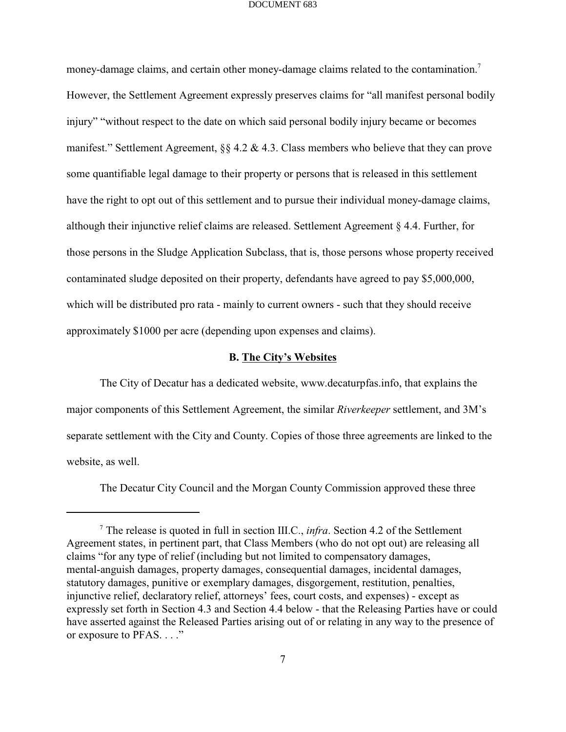money-damage claims, and certain other money-damage claims related to the contamination.<sup>7</sup> However, the Settlement Agreement expressly preserves claims for "all manifest personal bodily injury" "without respect to the date on which said personal bodily injury became or becomes manifest." Settlement Agreement, §§ 4.2 & 4.3. Class members who believe that they can prove some quantifiable legal damage to their property or persons that is released in this settlement have the right to opt out of this settlement and to pursue their individual money-damage claims, although their injunctive relief claims are released. Settlement Agreement § 4.4. Further, for those persons in the Sludge Application Subclass, that is, those persons whose property received contaminated sludge deposited on their property, defendants have agreed to pay \$5,000,000, which will be distributed pro rata - mainly to current owners - such that they should receive approximately \$1000 per acre (depending upon expenses and claims).

### **B. The City's Websites**

The City of Decatur has a dedicated website, www.decaturpfas.info, that explains the major components of this Settlement Agreement, the similar *Riverkeeper* settlement, and 3M's separate settlement with the City and County. Copies of those three agreements are linked to the website, as well.

The Decatur City Council and the Morgan County Commission approved these three

The release is quoted in full in section III.C., *infra*. Section 4.2 of the Settlement <sup>7</sup> Agreement states, in pertinent part, that Class Members (who do not opt out) are releasing all claims "for any type of relief (including but not limited to compensatory damages, mental-anguish damages, property damages, consequential damages, incidental damages, statutory damages, punitive or exemplary damages, disgorgement, restitution, penalties, injunctive relief, declaratory relief, attorneys' fees, court costs, and expenses) - except as expressly set forth in Section 4.3 and Section 4.4 below - that the Releasing Parties have or could have asserted against the Released Parties arising out of or relating in any way to the presence of or exposure to PFAS. . . ."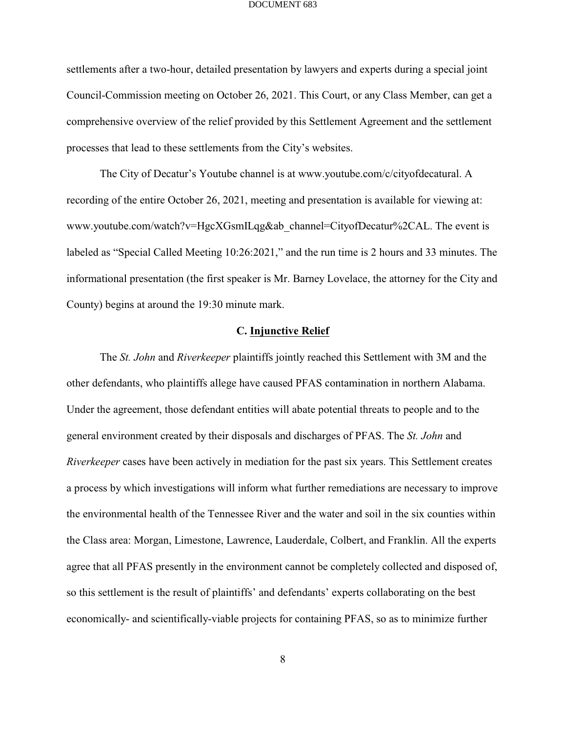settlements after a two-hour, detailed presentation by lawyers and experts during a special joint Council-Commission meeting on October 26, 2021. This Court, or any Class Member, can get a comprehensive overview of the relief provided by this Settlement Agreement and the settlement processes that lead to these settlements from the City's websites.

The City of Decatur's Youtube channel is at www.youtube.com/c/cityofdecatural. A recording of the entire October 26, 2021, meeting and presentation is available for viewing at: www.youtube.com/watch?v=HgcXGsmILqg&ab\_channel=CityofDecatur%2CAL. The event is labeled as "Special Called Meeting 10:26:2021," and the run time is 2 hours and 33 minutes. The informational presentation (the first speaker is Mr. Barney Lovelace, the attorney for the City and County) begins at around the 19:30 minute mark.

### **C. Injunctive Relief**

The *St. John* and *Riverkeeper* plaintiffs jointly reached this Settlement with 3M and the other defendants, who plaintiffs allege have caused PFAS contamination in northern Alabama. Under the agreement, those defendant entities will abate potential threats to people and to the general environment created by their disposals and discharges of PFAS. The *St. John* and *Riverkeeper* cases have been actively in mediation for the past six years. This Settlement creates a process by which investigations will inform what further remediations are necessary to improve the environmental health of the Tennessee River and the water and soil in the six counties within the Class area: Morgan, Limestone, Lawrence, Lauderdale, Colbert, and Franklin. All the experts agree that all PFAS presently in the environment cannot be completely collected and disposed of, so this settlement is the result of plaintiffs' and defendants' experts collaborating on the best economically- and scientifically-viable projects for containing PFAS, so as to minimize further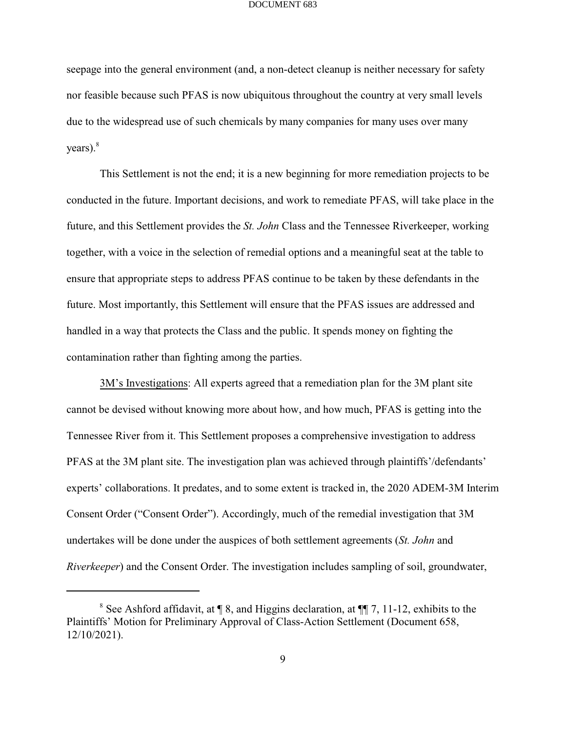seepage into the general environment (and, a non-detect cleanup is neither necessary for safety nor feasible because such PFAS is now ubiquitous throughout the country at very small levels due to the widespread use of such chemicals by many companies for many uses over many  $years).$ <sup>8</sup>

This Settlement is not the end; it is a new beginning for more remediation projects to be conducted in the future. Important decisions, and work to remediate PFAS, will take place in the future, and this Settlement provides the *St. John* Class and the Tennessee Riverkeeper, working together, with a voice in the selection of remedial options and a meaningful seat at the table to ensure that appropriate steps to address PFAS continue to be taken by these defendants in the future. Most importantly, this Settlement will ensure that the PFAS issues are addressed and handled in a way that protects the Class and the public. It spends money on fighting the contamination rather than fighting among the parties.

3M's Investigations: All experts agreed that a remediation plan for the 3M plant site cannot be devised without knowing more about how, and how much, PFAS is getting into the Tennessee River from it. This Settlement proposes a comprehensive investigation to address PFAS at the 3M plant site. The investigation plan was achieved through plaintiffs'/defendants' experts' collaborations. It predates, and to some extent is tracked in, the 2020 ADEM-3M Interim Consent Order ("Consent Order"). Accordingly, much of the remedial investigation that 3M undertakes will be done under the auspices of both settlement agreements (*St. John* and *Riverkeeper*) and the Consent Order. The investigation includes sampling of soil, groundwater,

<sup>&</sup>lt;sup>8</sup> See Ashford affidavit, at  $\P$  8, and Higgins declaration, at  $\P$   $\P$  7, 11-12, exhibits to the Plaintiffs' Motion for Preliminary Approval of Class-Action Settlement (Document 658, 12/10/2021).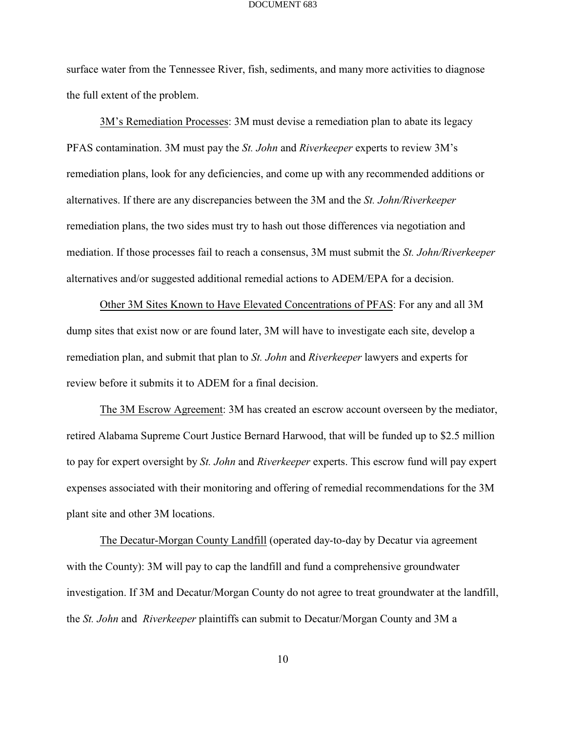surface water from the Tennessee River, fish, sediments, and many more activities to diagnose the full extent of the problem.

3M's Remediation Processes: 3M must devise a remediation plan to abate its legacy PFAS contamination. 3M must pay the *St. John* and *Riverkeeper* experts to review 3M's remediation plans, look for any deficiencies, and come up with any recommended additions or alternatives. If there are any discrepancies between the 3M and the *St. John/Riverkeeper* remediation plans, the two sides must try to hash out those differences via negotiation and mediation. If those processes fail to reach a consensus, 3M must submit the *St. John/Riverkeeper* alternatives and/or suggested additional remedial actions to ADEM/EPA for a decision.

Other 3M Sites Known to Have Elevated Concentrations of PFAS: For any and all 3M dump sites that exist now or are found later, 3M will have to investigate each site, develop a remediation plan, and submit that plan to *St. John* and *Riverkeeper* lawyers and experts for review before it submits it to ADEM for a final decision.

The 3M Escrow Agreement: 3M has created an escrow account overseen by the mediator, retired Alabama Supreme Court Justice Bernard Harwood, that will be funded up to \$2.5 million to pay for expert oversight by *St. John* and *Riverkeeper* experts. This escrow fund will pay expert expenses associated with their monitoring and offering of remedial recommendations for the 3M plant site and other 3M locations.

The Decatur-Morgan County Landfill (operated day-to-day by Decatur via agreement with the County): 3M will pay to cap the landfill and fund a comprehensive groundwater investigation. If 3M and Decatur/Morgan County do not agree to treat groundwater at the landfill, the *St. John* and *Riverkeeper* plaintiffs can submit to Decatur/Morgan County and 3M a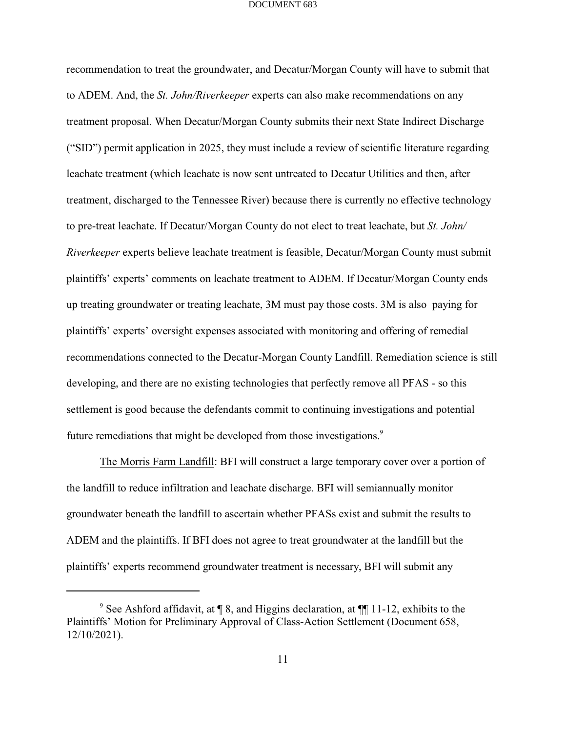recommendation to treat the groundwater, and Decatur/Morgan County will have to submit that to ADEM. And, the *St. John/Riverkeeper* experts can also make recommendations on any treatment proposal. When Decatur/Morgan County submits their next State Indirect Discharge ("SID") permit application in 2025, they must include a review of scientific literature regarding leachate treatment (which leachate is now sent untreated to Decatur Utilities and then, after treatment, discharged to the Tennessee River) because there is currently no effective technology to pre-treat leachate. If Decatur/Morgan County do not elect to treat leachate, but *St. John/ Riverkeeper* experts believe leachate treatment is feasible, Decatur/Morgan County must submit plaintiffs' experts' comments on leachate treatment to ADEM. If Decatur/Morgan County ends up treating groundwater or treating leachate, 3M must pay those costs. 3M is also paying for plaintiffs' experts' oversight expenses associated with monitoring and offering of remedial recommendations connected to the Decatur-Morgan County Landfill. Remediation science is still developing, and there are no existing technologies that perfectly remove all PFAS - so this settlement is good because the defendants commit to continuing investigations and potential future remediations that might be developed from those investigations.<sup>9</sup>

The Morris Farm Landfill: BFI will construct a large temporary cover over a portion of the landfill to reduce infiltration and leachate discharge. BFI will semiannually monitor groundwater beneath the landfill to ascertain whether PFASs exist and submit the results to ADEM and the plaintiffs. If BFI does not agree to treat groundwater at the landfill but the plaintiffs' experts recommend groundwater treatment is necessary, BFI will submit any

<sup>&</sup>lt;sup>9</sup> See Ashford affidavit, at  $\P$  8, and Higgins declaration, at  $\P$  11-12, exhibits to the Plaintiffs' Motion for Preliminary Approval of Class-Action Settlement (Document 658, 12/10/2021).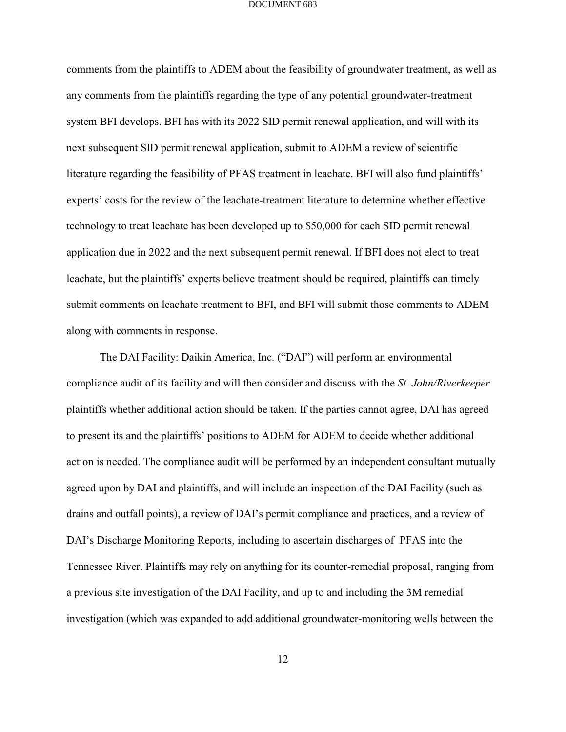comments from the plaintiffs to ADEM about the feasibility of groundwater treatment, as well as any comments from the plaintiffs regarding the type of any potential groundwater-treatment system BFI develops. BFI has with its 2022 SID permit renewal application, and will with its next subsequent SID permit renewal application, submit to ADEM a review of scientific literature regarding the feasibility of PFAS treatment in leachate. BFI will also fund plaintiffs' experts' costs for the review of the leachate-treatment literature to determine whether effective technology to treat leachate has been developed up to \$50,000 for each SID permit renewal application due in 2022 and the next subsequent permit renewal. If BFI does not elect to treat leachate, but the plaintiffs' experts believe treatment should be required, plaintiffs can timely submit comments on leachate treatment to BFI, and BFI will submit those comments to ADEM along with comments in response.

The DAI Facility: Daikin America, Inc. ("DAI") will perform an environmental compliance audit of its facility and will then consider and discuss with the *St. John/Riverkeeper* plaintiffs whether additional action should be taken. If the parties cannot agree, DAI has agreed to present its and the plaintiffs' positions to ADEM for ADEM to decide whether additional action is needed. The compliance audit will be performed by an independent consultant mutually agreed upon by DAI and plaintiffs, and will include an inspection of the DAI Facility (such as drains and outfall points), a review of DAI's permit compliance and practices, and a review of DAI's Discharge Monitoring Reports, including to ascertain discharges of PFAS into the Tennessee River. Plaintiffs may rely on anything for its counter-remedial proposal, ranging from a previous site investigation of the DAI Facility, and up to and including the 3M remedial investigation (which was expanded to add additional groundwater-monitoring wells between the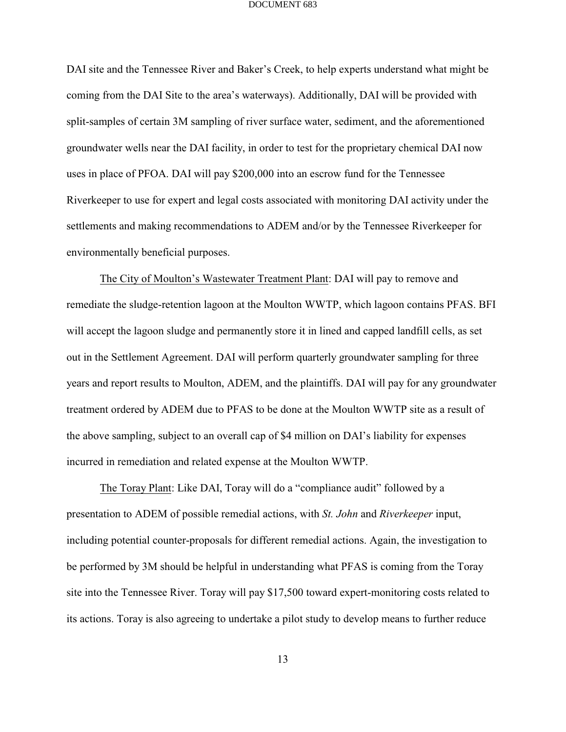DAI site and the Tennessee River and Baker's Creek, to help experts understand what might be coming from the DAI Site to the area's waterways). Additionally, DAI will be provided with split-samples of certain 3M sampling of river surface water, sediment, and the aforementioned groundwater wells near the DAI facility, in order to test for the proprietary chemical DAI now uses in place of PFOA. DAI will pay \$200,000 into an escrow fund for the Tennessee Riverkeeper to use for expert and legal costs associated with monitoring DAI activity under the settlements and making recommendations to ADEM and/or by the Tennessee Riverkeeper for environmentally beneficial purposes.

The City of Moulton's Wastewater Treatment Plant: DAI will pay to remove and remediate the sludge-retention lagoon at the Moulton WWTP, which lagoon contains PFAS. BFI will accept the lagoon sludge and permanently store it in lined and capped landfill cells, as set out in the Settlement Agreement. DAI will perform quarterly groundwater sampling for three years and report results to Moulton, ADEM, and the plaintiffs. DAI will pay for any groundwater treatment ordered by ADEM due to PFAS to be done at the Moulton WWTP site as a result of the above sampling, subject to an overall cap of \$4 million on DAI's liability for expenses incurred in remediation and related expense at the Moulton WWTP.

The Toray Plant: Like DAI, Toray will do a "compliance audit" followed by a presentation to ADEM of possible remedial actions, with *St. John* and *Riverkeeper* input, including potential counter-proposals for different remedial actions. Again, the investigation to be performed by 3M should be helpful in understanding what PFAS is coming from the Toray site into the Tennessee River. Toray will pay \$17,500 toward expert-monitoring costs related to its actions. Toray is also agreeing to undertake a pilot study to develop means to further reduce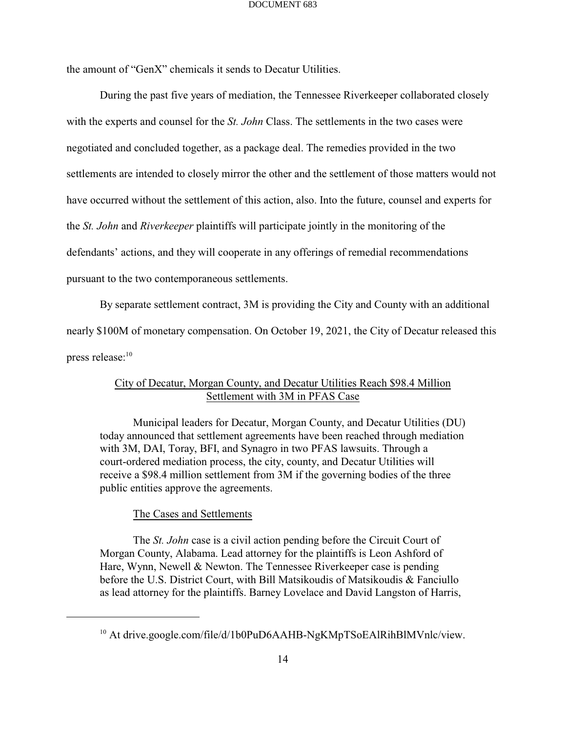the amount of "GenX" chemicals it sends to Decatur Utilities.

During the past five years of mediation, the Tennessee Riverkeeper collaborated closely with the experts and counsel for the *St. John* Class. The settlements in the two cases were negotiated and concluded together, as a package deal. The remedies provided in the two settlements are intended to closely mirror the other and the settlement of those matters would not have occurred without the settlement of this action, also. Into the future, counsel and experts for the *St. John* and *Riverkeeper* plaintiffs will participate jointly in the monitoring of the defendants' actions, and they will cooperate in any offerings of remedial recommendations pursuant to the two contemporaneous settlements.

By separate settlement contract, 3M is providing the City and County with an additional nearly \$100M of monetary compensation. On October 19, 2021, the City of Decatur released this press release:<sup>10</sup>

## City of Decatur, Morgan County, and Decatur Utilities Reach \$98.4 Million Settlement with 3M in PFAS Case

Municipal leaders for Decatur, Morgan County, and Decatur Utilities (DU) today announced that settlement agreements have been reached through mediation with 3M, DAI, Toray, BFI, and Synagro in two PFAS lawsuits. Through a court-ordered mediation process, the city, county, and Decatur Utilities will receive a \$98.4 million settlement from 3M if the governing bodies of the three public entities approve the agreements.

### The Cases and Settlements

The *St. John* case is a civil action pending before the Circuit Court of Morgan County, Alabama. Lead attorney for the plaintiffs is Leon Ashford of Hare, Wynn, Newell & Newton. The Tennessee Riverkeeper case is pending before the U.S. District Court, with Bill Matsikoudis of Matsikoudis & Fanciullo as lead attorney for the plaintiffs. Barney Lovelace and David Langston of Harris,

<sup>&</sup>lt;sup>10</sup> At drive.google.com/file/d/1b0PuD6AAHB-NgKMpTSoEAlRihBlMVnlc/view.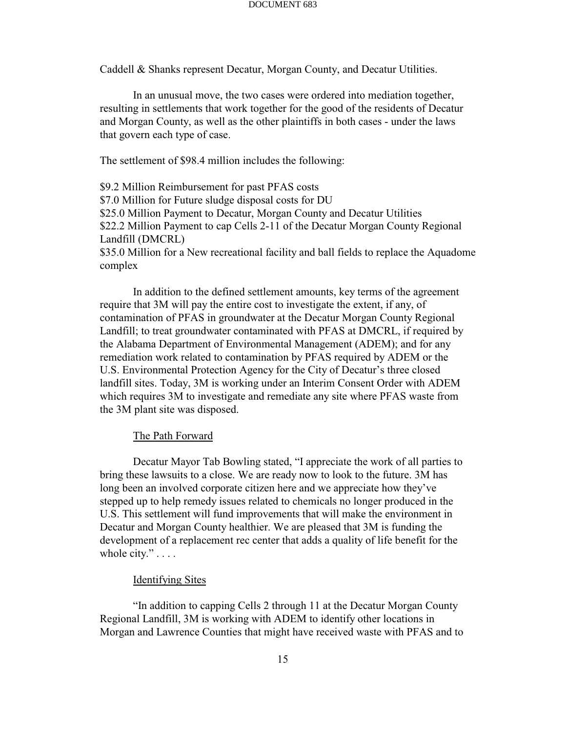Caddell & Shanks represent Decatur, Morgan County, and Decatur Utilities.

In an unusual move, the two cases were ordered into mediation together, resulting in settlements that work together for the good of the residents of Decatur and Morgan County, as well as the other plaintiffs in both cases - under the laws that govern each type of case.

The settlement of \$98.4 million includes the following:

\$9.2 Million Reimbursement for past PFAS costs \$7.0 Million for Future sludge disposal costs for DU \$25.0 Million Payment to Decatur, Morgan County and Decatur Utilities \$22.2 Million Payment to cap Cells 2-11 of the Decatur Morgan County Regional Landfill (DMCRL) \$35.0 Million for a New recreational facility and ball fields to replace the Aquadome complex

In addition to the defined settlement amounts, key terms of the agreement require that 3M will pay the entire cost to investigate the extent, if any, of contamination of PFAS in groundwater at the Decatur Morgan County Regional Landfill; to treat groundwater contaminated with PFAS at DMCRL, if required by the Alabama Department of Environmental Management (ADEM); and for any remediation work related to contamination by PFAS required by ADEM or the U.S. Environmental Protection Agency for the City of Decatur's three closed landfill sites. Today, 3M is working under an Interim Consent Order with ADEM which requires 3M to investigate and remediate any site where PFAS waste from the 3M plant site was disposed.

### The Path Forward

Decatur Mayor Tab Bowling stated, "I appreciate the work of all parties to bring these lawsuits to a close. We are ready now to look to the future. 3M has long been an involved corporate citizen here and we appreciate how they've stepped up to help remedy issues related to chemicals no longer produced in the U.S. This settlement will fund improvements that will make the environment in Decatur and Morgan County healthier. We are pleased that 3M is funding the development of a replacement rec center that adds a quality of life benefit for the whole city." . . . .

### Identifying Sites

"In addition to capping Cells 2 through 11 at the Decatur Morgan County Regional Landfill, 3M is working with ADEM to identify other locations in Morgan and Lawrence Counties that might have received waste with PFAS and to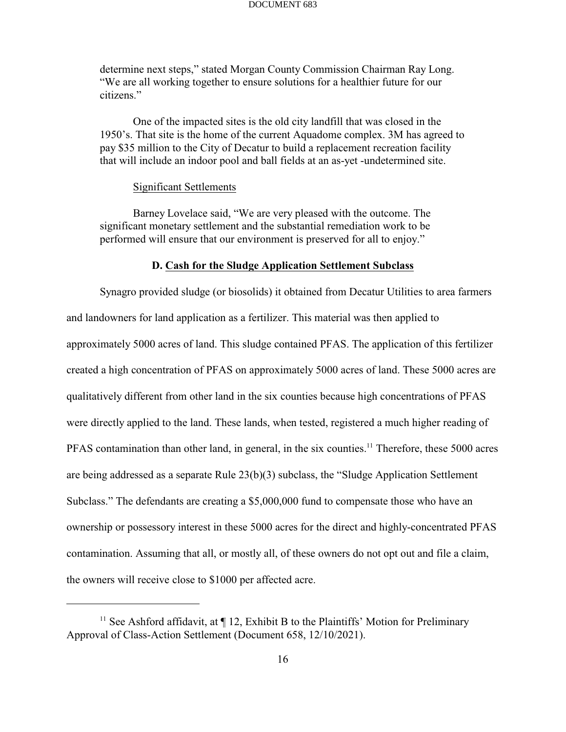determine next steps," stated Morgan County Commission Chairman Ray Long. "We are all working together to ensure solutions for a healthier future for our citizens."

One of the impacted sites is the old city landfill that was closed in the 1950's. That site is the home of the current Aquadome complex. 3M has agreed to pay \$35 million to the City of Decatur to build a replacement recreation facility that will include an indoor pool and ball fields at an as-yet -undetermined site.

### Significant Settlements

Barney Lovelace said, "We are very pleased with the outcome. The significant monetary settlement and the substantial remediation work to be performed will ensure that our environment is preserved for all to enjoy."

### **D. Cash for the Sludge Application Settlement Subclass**

Synagro provided sludge (or biosolids) it obtained from Decatur Utilities to area farmers and landowners for land application as a fertilizer. This material was then applied to approximately 5000 acres of land. This sludge contained PFAS. The application of this fertilizer created a high concentration of PFAS on approximately 5000 acres of land. These 5000 acres are qualitatively different from other land in the six counties because high concentrations of PFAS were directly applied to the land. These lands, when tested, registered a much higher reading of PFAS contamination than other land, in general, in the six counties.<sup>11</sup> Therefore, these 5000 acres are being addressed as a separate Rule 23(b)(3) subclass, the "Sludge Application Settlement Subclass." The defendants are creating a \$5,000,000 fund to compensate those who have an ownership or possessory interest in these 5000 acres for the direct and highly-concentrated PFAS contamination. Assuming that all, or mostly all, of these owners do not opt out and file a claim, the owners will receive close to \$1000 per affected acre.

<sup>&</sup>lt;sup>11</sup> See Ashford affidavit, at  $\P$  12, Exhibit B to the Plaintiffs' Motion for Preliminary Approval of Class-Action Settlement (Document 658, 12/10/2021).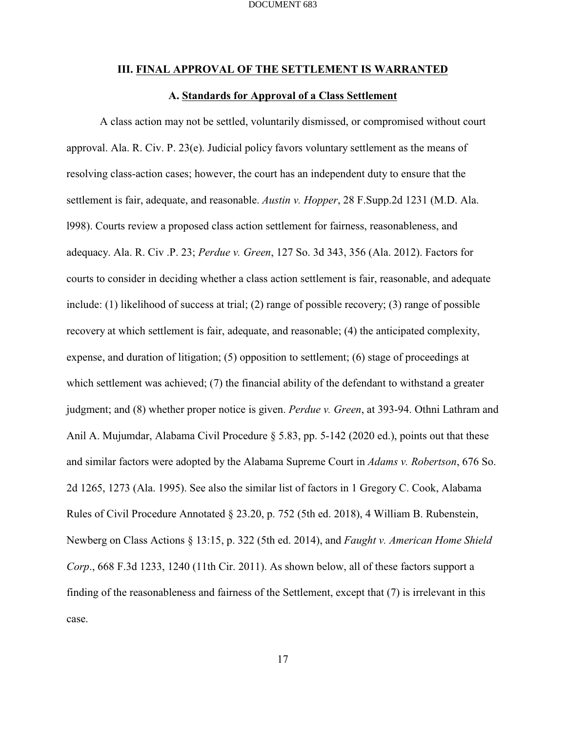### **III. FINAL APPROVAL OF THE SETTLEMENT IS WARRANTED**

### **A. Standards for Approval of a Class Settlement**

A class action may not be settled, voluntarily dismissed, or compromised without court approval. Ala. R. Civ. P. 23(e). Judicial policy favors voluntary settlement as the means of resolving class-action cases; however, the court has an independent duty to ensure that the settlement is fair, adequate, and reasonable. *Austin v. Hopper*, 28 F.Supp.2d 1231 (M.D. Ala. l998). Courts review a proposed class action settlement for fairness, reasonableness, and adequacy. Ala. R. Civ .P. 23; *Perdue v. Green*, 127 So. 3d 343, 356 (Ala. 2012). Factors for courts to consider in deciding whether a class action settlement is fair, reasonable, and adequate include: (1) likelihood of success at trial; (2) range of possible recovery; (3) range of possible recovery at which settlement is fair, adequate, and reasonable; (4) the anticipated complexity, expense, and duration of litigation; (5) opposition to settlement; (6) stage of proceedings at which settlement was achieved; (7) the financial ability of the defendant to withstand a greater judgment; and (8) whether proper notice is given. *Perdue v. Green*, at 393-94. Othni Lathram and Anil A. Mujumdar, Alabama Civil Procedure § 5.83, pp. 5-142 (2020 ed.), points out that these and similar factors were adopted by the Alabama Supreme Court in *Adams v. Robertson*, 676 So. 2d 1265, 1273 (Ala. 1995). See also the similar list of factors in 1 Gregory C. Cook, Alabama Rules of Civil Procedure Annotated § 23.20, p. 752 (5th ed. 2018), 4 William B. Rubenstein, Newberg on Class Actions § 13:15, p. 322 (5th ed. 2014), and *Faught v. American Home Shield Corp*., 668 F.3d 1233, 1240 (11th Cir. 2011). As shown below, all of these factors support a finding of the reasonableness and fairness of the Settlement, except that (7) is irrelevant in this case.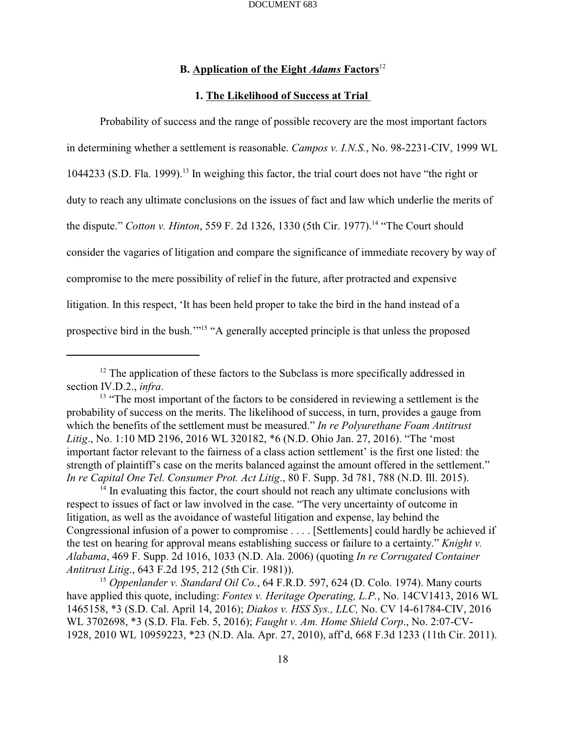## **B. Application of the Eight** *Adams* **Factors** 12

### **1. The Likelihood of Success at Trial**

Probability of success and the range of possible recovery are the most important factors in determining whether a settlement is reasonable. *Campos v. I.N.S.*, No. 98-2231-CIV, 1999 WL 1044233 (S.D. Fla. 1999).<sup>13</sup> In weighing this factor, the trial court does not have "the right or duty to reach any ultimate conclusions on the issues of fact and law which underlie the merits of the dispute." *Cotton v. Hinton*, 559 F. 2d 1326, 1330 (5th Cir. 1977).<sup>14</sup> "The Court should consider the vagaries of litigation and compare the significance of immediate recovery by way of compromise to the mere possibility of relief in the future, after protracted and expensive litigation. In this respect, 'It has been held proper to take the bird in the hand instead of a prospective bird in the bush."<sup>15</sup> "A generally accepted principle is that unless the proposed

 $14$  In evaluating this factor, the court should not reach any ultimate conclusions with respect to issues of fact or law involved in the case. "The very uncertainty of outcome in litigation, as well as the avoidance of wasteful litigation and expense, lay behind the Congressional infusion of a power to compromise . . . . [Settlements] could hardly be achieved if the test on hearing for approval means establishing success or failure to a certainty." *Knight v. Alabama*, 469 F. Supp. 2d 1016, 1033 (N.D. Ala. 2006) (quoting *In re Corrugated Container Antitrust Litig*., 643 F.2d 195, 212 (5th Cir. 1981)).

<sup>15</sup> Oppenlander v. Standard Oil Co., 64 F.R.D. 597, 624 (D. Colo. 1974). Many courts have applied this quote, including: *Fontes v. Heritage Operating, L.P.*, No. 14CV1413, 2016 WL 1465158, \*3 (S.D. Cal. April 14, 2016); *Diakos v. HSS Sys., LLC,* No. CV 14-61784-CIV, 2016 WL 3702698, \*3 (S.D. Fla. Feb. 5, 2016); *Faught v. Am. Home Shield Corp*., No. 2:07-CV-1928, 2010 WL 10959223, \*23 (N.D. Ala. Apr. 27, 2010), aff'd, 668 F.3d 1233 (11th Cir. 2011).

 $12$  The application of these factors to the Subclass is more specifically addressed in section IV.D.2., *infra*.

 $<sup>13</sup>$  "The most important of the factors to be considered in reviewing a settlement is the</sup> probability of success on the merits. The likelihood of success, in turn, provides a gauge from which the benefits of the settlement must be measured." *In re Polyurethane Foam Antitrust Litig*., No. 1:10 MD 2196, 2016 WL 320182, \*6 (N.D. Ohio Jan. 27, 2016). "The 'most important factor relevant to the fairness of a class action settlement' is the first one listed: the strength of plaintiff's case on the merits balanced against the amount offered in the settlement." *In re Capital One Tel. Consumer Prot. Act Litig*., 80 F. Supp. 3d 781, 788 (N.D. Ill. 2015).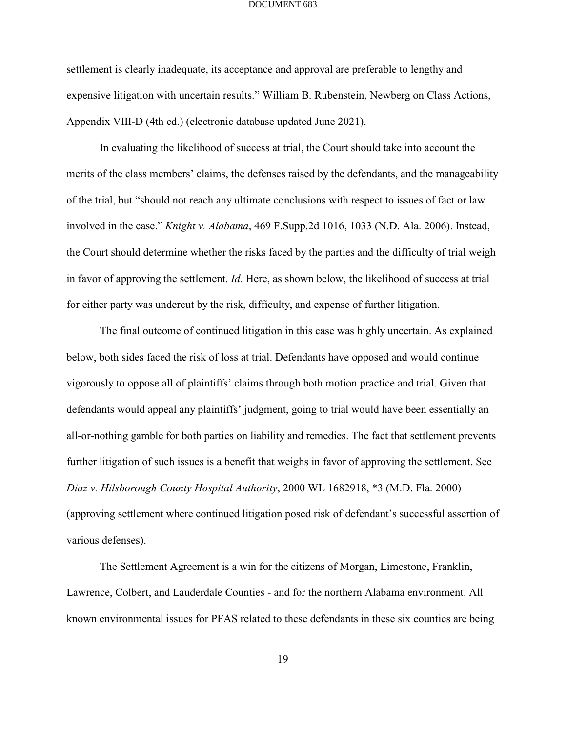settlement is clearly inadequate, its acceptance and approval are preferable to lengthy and expensive litigation with uncertain results." William B. Rubenstein, Newberg on Class Actions, Appendix VIII-D (4th ed.) (electronic database updated June 2021).

In evaluating the likelihood of success at trial, the Court should take into account the merits of the class members' claims, the defenses raised by the defendants, and the manageability of the trial, but "should not reach any ultimate conclusions with respect to issues of fact or law involved in the case." *Knight v. Alabama*, 469 F.Supp.2d 1016, 1033 (N.D. Ala. 2006). Instead, the Court should determine whether the risks faced by the parties and the difficulty of trial weigh in favor of approving the settlement. *Id*. Here, as shown below, the likelihood of success at trial for either party was undercut by the risk, difficulty, and expense of further litigation.

The final outcome of continued litigation in this case was highly uncertain. As explained below, both sides faced the risk of loss at trial. Defendants have opposed and would continue vigorously to oppose all of plaintiffs' claims through both motion practice and trial. Given that defendants would appeal any plaintiffs' judgment, going to trial would have been essentially an all-or-nothing gamble for both parties on liability and remedies. The fact that settlement prevents further litigation of such issues is a benefit that weighs in favor of approving the settlement. See *Diaz v. Hilsborough County Hospital Authority*, 2000 WL 1682918, \*3 (M.D. Fla. 2000) (approving settlement where continued litigation posed risk of defendant's successful assertion of various defenses).

The Settlement Agreement is a win for the citizens of Morgan, Limestone, Franklin, Lawrence, Colbert, and Lauderdale Counties - and for the northern Alabama environment. All known environmental issues for PFAS related to these defendants in these six counties are being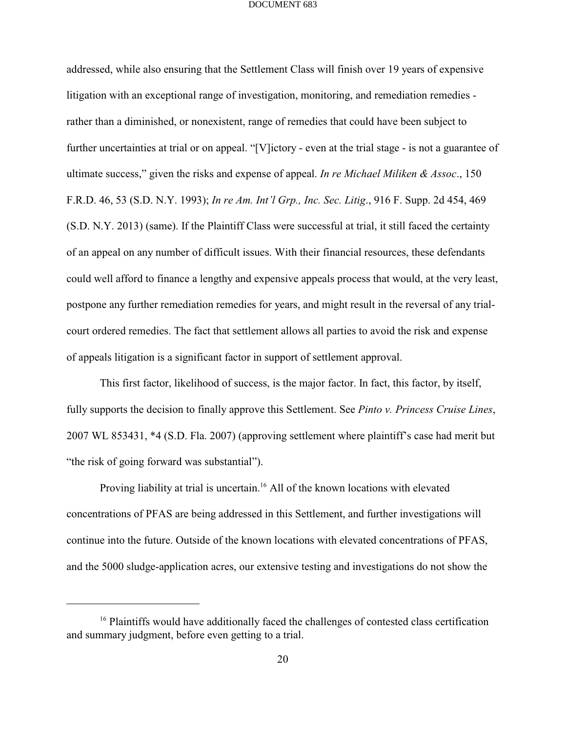addressed, while also ensuring that the Settlement Class will finish over 19 years of expensive litigation with an exceptional range of investigation, monitoring, and remediation remedies rather than a diminished, or nonexistent, range of remedies that could have been subject to further uncertainties at trial or on appeal. "[V]ictory - even at the trial stage - is not a guarantee of ultimate success," given the risks and expense of appeal. *In re Michael Miliken & Assoc*., 150 F.R.D. 46, 53 (S.D. N.Y. 1993); *In re Am. Int'l Grp., Inc. Sec. Litig*., 916 F. Supp. 2d 454, 469 (S.D. N.Y. 2013) (same). If the Plaintiff Class were successful at trial, it still faced the certainty of an appeal on any number of difficult issues. With their financial resources, these defendants could well afford to finance a lengthy and expensive appeals process that would, at the very least, postpone any further remediation remedies for years, and might result in the reversal of any trialcourt ordered remedies. The fact that settlement allows all parties to avoid the risk and expense of appeals litigation is a significant factor in support of settlement approval.

This first factor, likelihood of success, is the major factor. In fact, this factor, by itself, fully supports the decision to finally approve this Settlement. See *Pinto v. Princess Cruise Lines*, 2007 WL 853431, \*4 (S.D. Fla. 2007) (approving settlement where plaintiff's case had merit but "the risk of going forward was substantial").

Proving liability at trial is uncertain.<sup>16</sup> All of the known locations with elevated concentrations of PFAS are being addressed in this Settlement, and further investigations will continue into the future. Outside of the known locations with elevated concentrations of PFAS, and the 5000 sludge-application acres, our extensive testing and investigations do not show the

 $16$  Plaintiffs would have additionally faced the challenges of contested class certification and summary judgment, before even getting to a trial.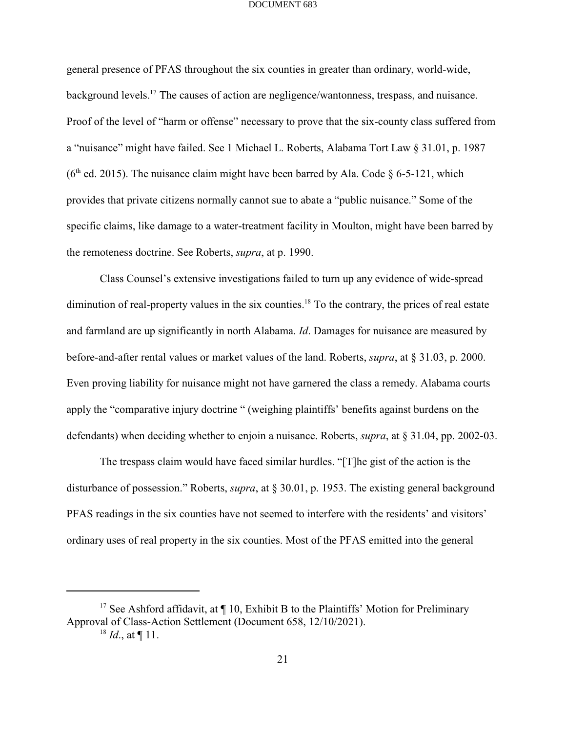general presence of PFAS throughout the six counties in greater than ordinary, world-wide, background levels.<sup>17</sup> The causes of action are negligence/wantonness, trespass, and nuisance. Proof of the level of "harm or offense" necessary to prove that the six-county class suffered from a "nuisance" might have failed. See 1 Michael L. Roberts, Alabama Tort Law § 31.01, p. 1987 ( $6<sup>th</sup>$  ed. 2015). The nuisance claim might have been barred by Ala. Code § 6-5-121, which provides that private citizens normally cannot sue to abate a "public nuisance." Some of the specific claims, like damage to a water-treatment facility in Moulton, might have been barred by the remoteness doctrine. See Roberts, *supra*, at p. 1990.

Class Counsel's extensive investigations failed to turn up any evidence of wide-spread diminution of real-property values in the six counties.<sup>18</sup> To the contrary, the prices of real estate and farmland are up significantly in north Alabama. *Id*. Damages for nuisance are measured by before-and-after rental values or market values of the land. Roberts, *supra*, at § 31.03, p. 2000. Even proving liability for nuisance might not have garnered the class a remedy. Alabama courts apply the "comparative injury doctrine " (weighing plaintiffs' benefits against burdens on the defendants) when deciding whether to enjoin a nuisance. Roberts, *supra*, at § 31.04, pp. 2002-03.

The trespass claim would have faced similar hurdles. "[T]he gist of the action is the disturbance of possession." Roberts, *supra*, at § 30.01, p. 1953. The existing general background PFAS readings in the six counties have not seemed to interfere with the residents' and visitors' ordinary uses of real property in the six counties. Most of the PFAS emitted into the general

<sup>&</sup>lt;sup>17</sup> See Ashford affidavit, at  $\P$  10, Exhibit B to the Plaintiffs' Motion for Preliminary Approval of Class-Action Settlement (Document 658, 12/10/2021).

 $^{18}$  *Id.*, at ¶ 11.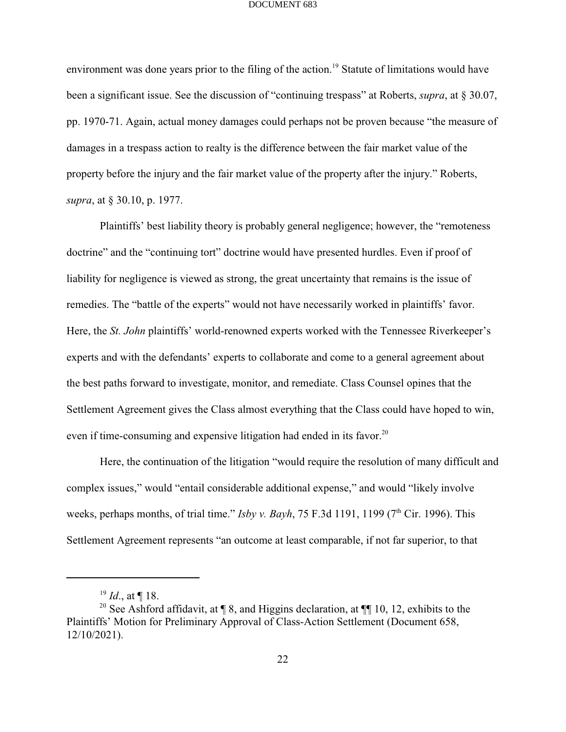environment was done years prior to the filing of the action.<sup>19</sup> Statute of limitations would have been a significant issue. See the discussion of "continuing trespass" at Roberts, *supra*, at § 30.07, pp. 1970-71. Again, actual money damages could perhaps not be proven because "the measure of damages in a trespass action to realty is the difference between the fair market value of the property before the injury and the fair market value of the property after the injury." Roberts, *supra*, at § 30.10, p. 1977.

Plaintiffs' best liability theory is probably general negligence; however, the "remoteness doctrine" and the "continuing tort" doctrine would have presented hurdles. Even if proof of liability for negligence is viewed as strong, the great uncertainty that remains is the issue of remedies. The "battle of the experts" would not have necessarily worked in plaintiffs' favor. Here, the *St. John* plaintiffs' world-renowned experts worked with the Tennessee Riverkeeper's experts and with the defendants' experts to collaborate and come to a general agreement about the best paths forward to investigate, monitor, and remediate. Class Counsel opines that the Settlement Agreement gives the Class almost everything that the Class could have hoped to win, even if time-consuming and expensive litigation had ended in its favor.<sup>20</sup>

Here, the continuation of the litigation "would require the resolution of many difficult and complex issues," would "entail considerable additional expense," and would "likely involve weeks, perhaps months, of trial time." *Isby v. Bayh*, 75 F.3d 1191, 1199 (7<sup>th</sup> Cir. 1996). This Settlement Agreement represents "an outcome at least comparable, if not far superior, to that

 $^{19}$  *Id.*, at ¶ 18.

<sup>&</sup>lt;sup>20</sup> See Ashford affidavit, at  $\P$  8, and Higgins declaration, at  $\P$  10, 12, exhibits to the Plaintiffs' Motion for Preliminary Approval of Class-Action Settlement (Document 658, 12/10/2021).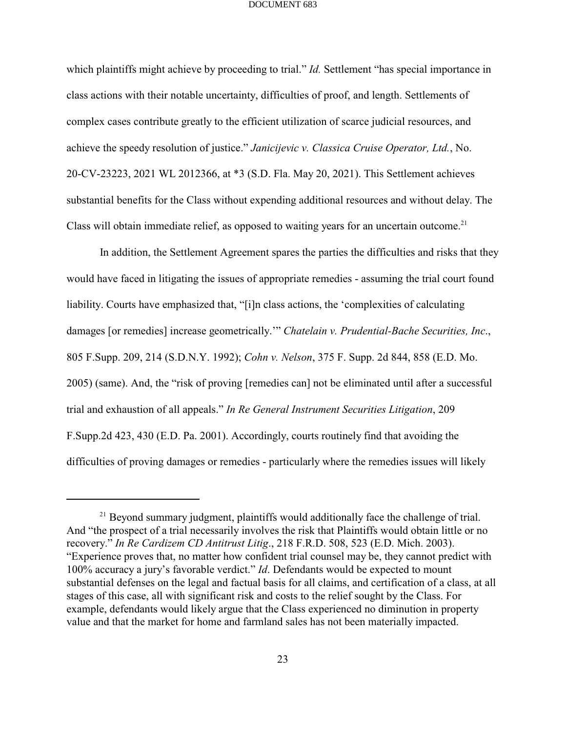which plaintiffs might achieve by proceeding to trial." *Id.* Settlement "has special importance in class actions with their notable uncertainty, difficulties of proof, and length. Settlements of complex cases contribute greatly to the efficient utilization of scarce judicial resources, and achieve the speedy resolution of justice." *Janicijevic v. Classica Cruise Operator, Ltd.*, No. 20-CV-23223, 2021 WL 2012366, at \*3 (S.D. Fla. May 20, 2021). This Settlement achieves substantial benefits for the Class without expending additional resources and without delay. The Class will obtain immediate relief, as opposed to waiting years for an uncertain outcome.<sup>21</sup>

In addition, the Settlement Agreement spares the parties the difficulties and risks that they would have faced in litigating the issues of appropriate remedies - assuming the trial court found liability. Courts have emphasized that, "[i]n class actions, the 'complexities of calculating damages [or remedies] increase geometrically.'" *Chatelain v. Prudential-Bache Securities, Inc*., 805 F.Supp. 209, 214 (S.D.N.Y. 1992); *Cohn v. Nelson*, 375 F. Supp. 2d 844, 858 (E.D. Mo. 2005) (same). And, the "risk of proving [remedies can] not be eliminated until after a successful trial and exhaustion of all appeals." *In Re General Instrument Securities Litigation*, 209 F.Supp.2d 423, 430 (E.D. Pa. 2001). Accordingly, courts routinely find that avoiding the difficulties of proving damages or remedies - particularly where the remedies issues will likely

 $21$  Beyond summary judgment, plaintiffs would additionally face the challenge of trial. And "the prospect of a trial necessarily involves the risk that Plaintiffs would obtain little or no recovery." *In Re Cardizem CD Antitrust Litig*., 218 F.R.D. 508, 523 (E.D. Mich. 2003). "Experience proves that, no matter how confident trial counsel may be, they cannot predict with 100% accuracy a jury's favorable verdict." *Id*. Defendants would be expected to mount substantial defenses on the legal and factual basis for all claims, and certification of a class, at all stages of this case, all with significant risk and costs to the relief sought by the Class. For example, defendants would likely argue that the Class experienced no diminution in property value and that the market for home and farmland sales has not been materially impacted.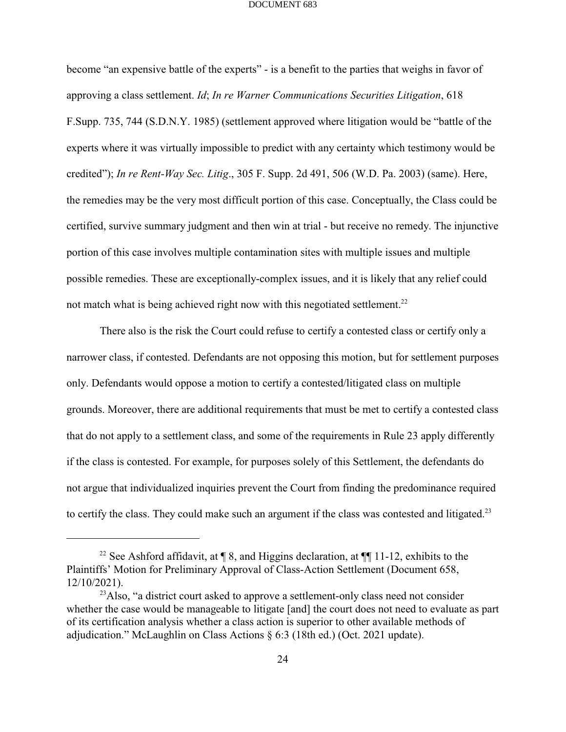become "an expensive battle of the experts" - is a benefit to the parties that weighs in favor of approving a class settlement. *Id*; *In re Warner Communications Securities Litigation*, 618 F.Supp. 735, 744 (S.D.N.Y. 1985) (settlement approved where litigation would be "battle of the experts where it was virtually impossible to predict with any certainty which testimony would be credited"); *In re Rent-Way Sec. Litig*., 305 F. Supp. 2d 491, 506 (W.D. Pa. 2003) (same). Here, the remedies may be the very most difficult portion of this case. Conceptually, the Class could be certified, survive summary judgment and then win at trial - but receive no remedy. The injunctive portion of this case involves multiple contamination sites with multiple issues and multiple possible remedies. These are exceptionally-complex issues, and it is likely that any relief could not match what is being achieved right now with this negotiated settlement.<sup>22</sup>

There also is the risk the Court could refuse to certify a contested class or certify only a narrower class, if contested. Defendants are not opposing this motion, but for settlement purposes only. Defendants would oppose a motion to certify a contested/litigated class on multiple grounds. Moreover, there are additional requirements that must be met to certify a contested class that do not apply to a settlement class, and some of the requirements in Rule 23 apply differently if the class is contested. For example, for purposes solely of this Settlement, the defendants do not argue that individualized inquiries prevent the Court from finding the predominance required to certify the class. They could make such an argument if the class was contested and litigated.<sup>23</sup>

<sup>&</sup>lt;sup>22</sup> See Ashford affidavit, at  $\P$  8, and Higgins declaration, at  $\P$  11-12, exhibits to the Plaintiffs' Motion for Preliminary Approval of Class-Action Settlement (Document 658, 12/10/2021).

<sup>&</sup>lt;sup>23</sup>Also, "a district court asked to approve a settlement-only class need not consider whether the case would be manageable to litigate [and] the court does not need to evaluate as part of its certification analysis whether a class action is superior to other available methods of adjudication." McLaughlin on Class Actions § 6:3 (18th ed.) (Oct. 2021 update).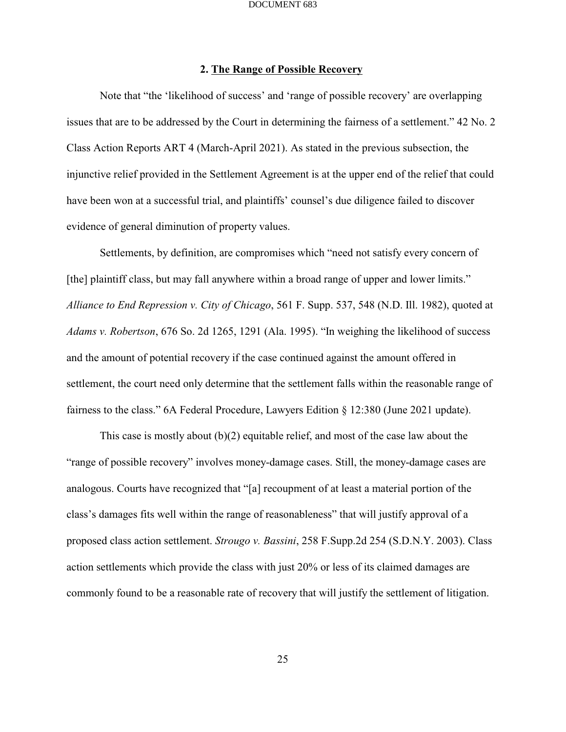## **2. The Range of Possible Recovery**

Note that "the 'likelihood of success' and 'range of possible recovery' are overlapping issues that are to be addressed by the Court in determining the fairness of a settlement." 42 No. 2 Class Action Reports ART 4 (March-April 2021). As stated in the previous subsection, the injunctive relief provided in the Settlement Agreement is at the upper end of the relief that could have been won at a successful trial, and plaintiffs' counsel's due diligence failed to discover evidence of general diminution of property values.

Settlements, by definition, are compromises which "need not satisfy every concern of [the] plaintiff class, but may fall anywhere within a broad range of upper and lower limits." *Alliance to End Repression v. City of Chicago*, 561 F. Supp. 537, 548 (N.D. Ill. 1982), quoted at *Adams v. Robertson*, 676 So. 2d 1265, 1291 (Ala. 1995). "In weighing the likelihood of success and the amount of potential recovery if the case continued against the amount offered in settlement, the court need only determine that the settlement falls within the reasonable range of fairness to the class." 6A Federal Procedure, Lawyers Edition § 12:380 (June 2021 update).

This case is mostly about (b)(2) equitable relief, and most of the case law about the "range of possible recovery" involves money-damage cases. Still, the money-damage cases are analogous. Courts have recognized that "[a] recoupment of at least a material portion of the class's damages fits well within the range of reasonableness" that will justify approval of a proposed class action settlement. *Strougo v. Bassini*, 258 F.Supp.2d 254 (S.D.N.Y. 2003). Class action settlements which provide the class with just 20% or less of its claimed damages are commonly found to be a reasonable rate of recovery that will justify the settlement of litigation.

25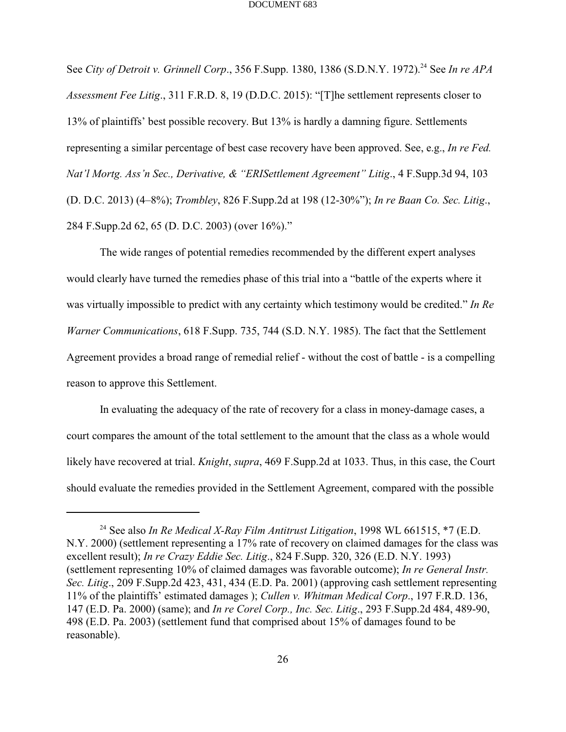See *City of Detroit v. Grinnell Corp.*, 356 F.Supp. 1380, 1386 (S.D.N.Y. 1972).<sup>24</sup> See *In re APA Assessment Fee Litig*., 311 F.R.D. 8, 19 (D.D.C. 2015): "[T]he settlement represents closer to 13% of plaintiffs' best possible recovery. But 13% is hardly a damning figure. Settlements representing a similar percentage of best case recovery have been approved. See, e.g., *In re Fed. Nat'l Mortg. Ass'n Sec., Derivative, & "ERISettlement Agreement" Litig*., 4 F.Supp.3d 94, 103 (D. D.C. 2013) (4–8%); *Trombley*, 826 F.Supp.2d at 198 (12-30%"); *In re Baan Co. Sec. Litig*., 284 F.Supp.2d 62, 65 (D. D.C. 2003) (over 16%)."

The wide ranges of potential remedies recommended by the different expert analyses would clearly have turned the remedies phase of this trial into a "battle of the experts where it was virtually impossible to predict with any certainty which testimony would be credited." *In Re Warner Communications*, 618 F.Supp. 735, 744 (S.D. N.Y. 1985). The fact that the Settlement Agreement provides a broad range of remedial relief - without the cost of battle - is a compelling reason to approve this Settlement.

In evaluating the adequacy of the rate of recovery for a class in money-damage cases, a court compares the amount of the total settlement to the amount that the class as a whole would likely have recovered at trial. *Knight*, *supra*, 469 F.Supp.2d at 1033. Thus, in this case, the Court should evaluate the remedies provided in the Settlement Agreement, compared with the possible

<sup>&</sup>lt;sup>24</sup> See also *In Re Medical X-Ray Film Antitrust Litigation*, 1998 WL 661515, \*7 (E.D. N.Y. 2000) (settlement representing a 17% rate of recovery on claimed damages for the class was excellent result); *In re Crazy Eddie Sec. Litig*., 824 F.Supp. 320, 326 (E.D. N.Y. 1993) (settlement representing 10% of claimed damages was favorable outcome); *In re General Instr. Sec. Litig*., 209 F.Supp.2d 423, 431, 434 (E.D. Pa. 2001) (approving cash settlement representing 11% of the plaintiffs' estimated damages ); *Cullen v. Whitman Medical Corp*., 197 F.R.D. 136, 147 (E.D. Pa. 2000) (same); and *In re Corel Corp., Inc. Sec. Litig*., 293 F.Supp.2d 484, 489-90, 498 (E.D. Pa. 2003) (settlement fund that comprised about 15% of damages found to be reasonable).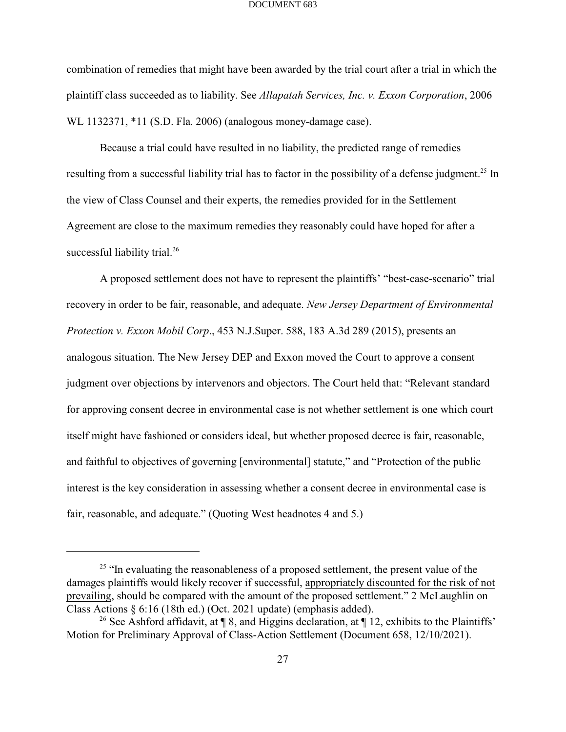combination of remedies that might have been awarded by the trial court after a trial in which the plaintiff class succeeded as to liability. See *Allapatah Services, Inc. v. Exxon Corporation*, 2006 WL 1132371, \*11 (S.D. Fla. 2006) (analogous money-damage case).

Because a trial could have resulted in no liability, the predicted range of remedies resulting from a successful liability trial has to factor in the possibility of a defense judgment.<sup>25</sup> In the view of Class Counsel and their experts, the remedies provided for in the Settlement Agreement are close to the maximum remedies they reasonably could have hoped for after a successful liability trial.<sup>26</sup>

A proposed settlement does not have to represent the plaintiffs' "best-case-scenario" trial recovery in order to be fair, reasonable, and adequate. *New Jersey Department of Environmental Protection v. Exxon Mobil Corp*., 453 N.J.Super. 588, 183 A.3d 289 (2015), presents an analogous situation. The New Jersey DEP and Exxon moved the Court to approve a consent judgment over objections by intervenors and objectors. The Court held that: "Relevant standard for approving consent decree in environmental case is not whether settlement is one which court itself might have fashioned or considers ideal, but whether proposed decree is fair, reasonable, and faithful to objectives of governing [environmental] statute," and "Protection of the public interest is the key consideration in assessing whether a consent decree in environmental case is fair, reasonable, and adequate." (Quoting West headnotes 4 and 5.)

 $25$  "In evaluating the reasonableness of a proposed settlement, the present value of the damages plaintiffs would likely recover if successful, appropriately discounted for the risk of not prevailing, should be compared with the amount of the proposed settlement." 2 McLaughlin on Class Actions § 6:16 (18th ed.) (Oct. 2021 update) (emphasis added).

<sup>&</sup>lt;sup>26</sup> See Ashford affidavit, at  $\P$  8, and Higgins declaration, at  $\P$  12, exhibits to the Plaintiffs' Motion for Preliminary Approval of Class-Action Settlement (Document 658, 12/10/2021).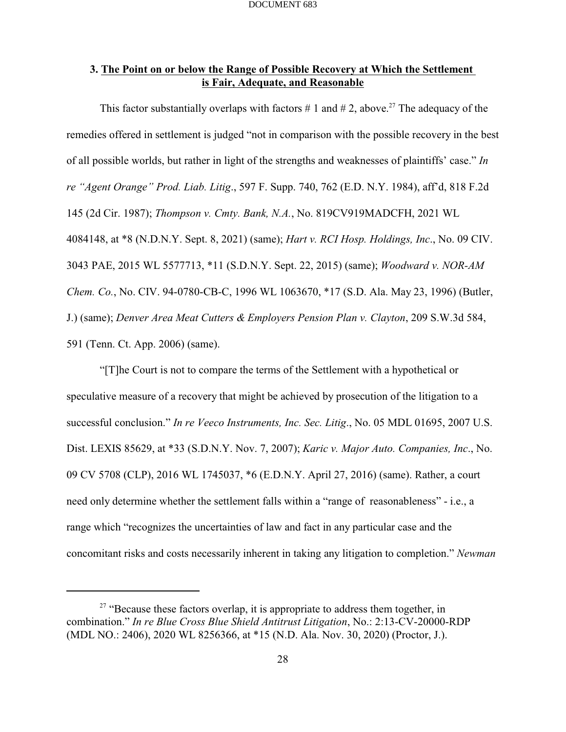## **3. The Point on or below the Range of Possible Recovery at Which the Settlement is Fair, Adequate, and Reasonable**

This factor substantially overlaps with factors # 1 and # 2, above.<sup>27</sup> The adequacy of the remedies offered in settlement is judged "not in comparison with the possible recovery in the best of all possible worlds, but rather in light of the strengths and weaknesses of plaintiffs' case." *In re "Agent Orange" Prod. Liab. Litig*., 597 F. Supp. 740, 762 (E.D. N.Y. 1984), aff'd, 818 F.2d 145 (2d Cir. 1987); *Thompson v. Cmty. Bank, N.A.*, No. 819CV919MADCFH, 2021 WL 4084148, at \*8 (N.D.N.Y. Sept. 8, 2021) (same); *Hart v. RCI Hosp. Holdings, Inc*., No. 09 CIV. 3043 PAE, 2015 WL 5577713, \*11 (S.D.N.Y. Sept. 22, 2015) (same); *Woodward v. NOR-AM Chem. Co.*, No. CIV. 94-0780-CB-C, 1996 WL 1063670, \*17 (S.D. Ala. May 23, 1996) (Butler, J.) (same); *Denver Area Meat Cutters & Employers Pension Plan v. Clayton*, 209 S.W.3d 584, 591 (Tenn. Ct. App. 2006) (same).

"[T]he Court is not to compare the terms of the Settlement with a hypothetical or speculative measure of a recovery that might be achieved by prosecution of the litigation to a successful conclusion." *In re Veeco Instruments, Inc. Sec. Litig*., No. 05 MDL 01695, 2007 U.S. Dist. LEXIS 85629, at \*33 (S.D.N.Y. Nov. 7, 2007); *Karic v. Major Auto. Companies, Inc*., No. 09 CV 5708 (CLP), 2016 WL 1745037, \*6 (E.D.N.Y. April 27, 2016) (same). Rather, a court need only determine whether the settlement falls within a "range of reasonableness" - i.e., a range which "recognizes the uncertainties of law and fact in any particular case and the concomitant risks and costs necessarily inherent in taking any litigation to completion." *Newman*

 $27$  "Because these factors overlap, it is appropriate to address them together, in combination." *In re Blue Cross Blue Shield Antitrust Litigation*, No.: 2:13-CV-20000-RDP (MDL NO.: 2406), 2020 WL 8256366, at \*15 (N.D. Ala. Nov. 30, 2020) (Proctor, J.).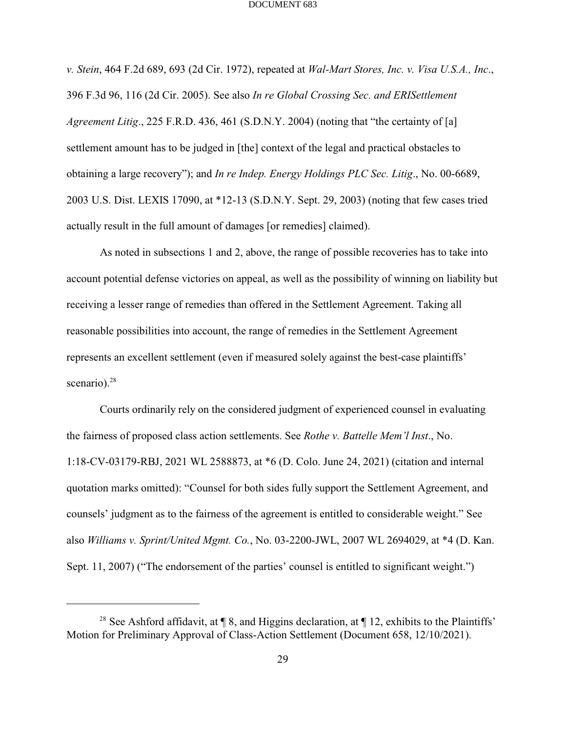*v. Stein*, 464 F.2d 689, 693 (2d Cir. 1972), repeated at *Wal-Mart Stores, Inc. v. Visa U.S.A., Inc*., 396 F.3d 96, 116 (2d Cir. 2005). See also *In re Global Crossing Sec. and ERISettlement Agreement Litig*., 225 F.R.D. 436, 461 (S.D.N.Y. 2004) (noting that "the certainty of [a] settlement amount has to be judged in [the] context of the legal and practical obstacles to obtaining a large recovery"); and *In re Indep. Energy Holdings PLC Sec. Litig*., No. 00-6689, 2003 U.S. Dist. LEXIS 17090, at \*12-13 (S.D.N.Y. Sept. 29, 2003) (noting that few cases tried actually result in the full amount of damages [or remedies] claimed).

As noted in subsections 1 and 2, above, the range of possible recoveries has to take into account potential defense victories on appeal, as well as the possibility of winning on liability but receiving a lesser range of remedies than offered in the Settlement Agreement. Taking all reasonable possibilities into account, the range of remedies in the Settlement Agreement represents an excellent settlement (even if measured solely against the best-case plaintiffs' scenario). $28$ 

Courts ordinarily rely on the considered judgment of experienced counsel in evaluating the fairness of proposed class action settlements. See *Rothe v. Battelle Mem'l Inst*., No. 1:18-CV-03179-RBJ, 2021 WL 2588873, at \*6 (D. Colo. June 24, 2021) (citation and internal quotation marks omitted): "Counsel for both sides fully support the Settlement Agreement, and counsels' judgment as to the fairness of the agreement is entitled to considerable weight." See also *Williams v. Sprint/United Mgmt. Co.*, No. 03-2200-JWL, 2007 WL 2694029, at \*4 (D. Kan. Sept. 11, 2007) ("The endorsement of the parties' counsel is entitled to significant weight.")

<sup>&</sup>lt;sup>28</sup> See Ashford affidavit, at  $\P$  8, and Higgins declaration, at  $\P$  12, exhibits to the Plaintiffs' Motion for Preliminary Approval of Class-Action Settlement (Document 658, 12/10/2021).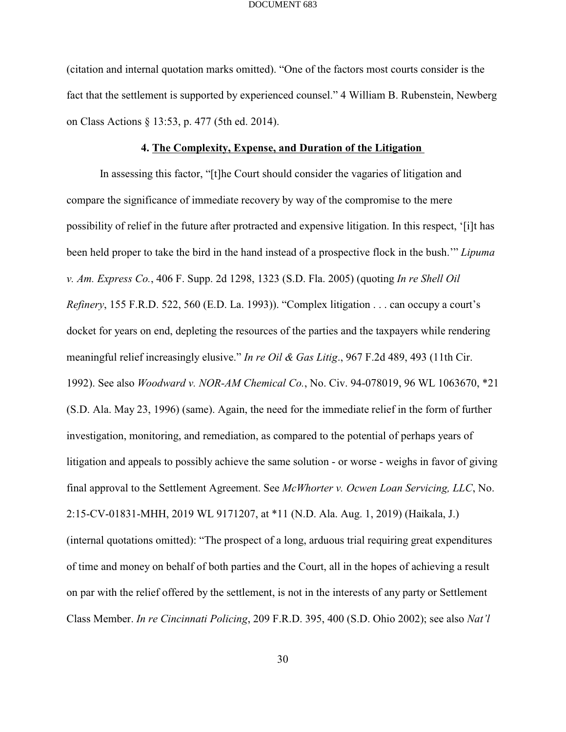(citation and internal quotation marks omitted). "One of the factors most courts consider is the fact that the settlement is supported by experienced counsel." 4 William B. Rubenstein, Newberg on Class Actions § 13:53, p. 477 (5th ed. 2014).

### **4. The Complexity, Expense, and Duration of the Litigation**

In assessing this factor, "[t]he Court should consider the vagaries of litigation and compare the significance of immediate recovery by way of the compromise to the mere possibility of relief in the future after protracted and expensive litigation. In this respect, '[i]t has been held proper to take the bird in the hand instead of a prospective flock in the bush.'" *Lipuma v. Am. Express Co.*, 406 F. Supp. 2d 1298, 1323 (S.D. Fla. 2005) (quoting *In re Shell Oil Refinery*, 155 F.R.D. 522, 560 (E.D. La. 1993)). "Complex litigation . . . can occupy a court's docket for years on end, depleting the resources of the parties and the taxpayers while rendering meaningful relief increasingly elusive." *In re Oil & Gas Litig*., 967 F.2d 489, 493 (11th Cir. 1992). See also *Woodward v. NOR-AM Chemical Co.*, No. Civ. 94-078019, 96 WL 1063670, \*21 (S.D. Ala. May 23, 1996) (same). Again, the need for the immediate relief in the form of further investigation, monitoring, and remediation, as compared to the potential of perhaps years of litigation and appeals to possibly achieve the same solution - or worse - weighs in favor of giving final approval to the Settlement Agreement. See *McWhorter v. Ocwen Loan Servicing, LLC*, No. 2:15-CV-01831-MHH, 2019 WL 9171207, at \*11 (N.D. Ala. Aug. 1, 2019) (Haikala, J.) (internal quotations omitted): "The prospect of a long, arduous trial requiring great expenditures of time and money on behalf of both parties and the Court, all in the hopes of achieving a result on par with the relief offered by the settlement, is not in the interests of any party or Settlement Class Member. *In re Cincinnati Policing*, 209 F.R.D. 395, 400 (S.D. Ohio 2002); see also *Nat'l*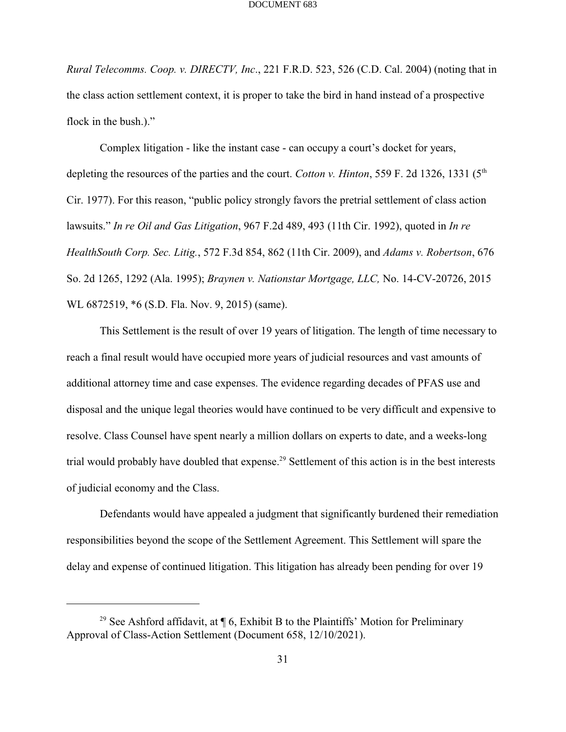*Rural Telecomms. Coop. v. DIRECTV, Inc*., 221 F.R.D. 523, 526 (C.D. Cal. 2004) (noting that in the class action settlement context, it is proper to take the bird in hand instead of a prospective flock in the bush.)."

Complex litigation - like the instant case - can occupy a court's docket for years, depleting the resources of the parties and the court. *Cotton v. Hinton*, 559 F. 2d 1326, 1331 (5<sup>th</sup> Cir. 1977). For this reason, "public policy strongly favors the pretrial settlement of class action lawsuits." *In re Oil and Gas Litigation*, 967 F.2d 489, 493 (11th Cir. 1992), quoted in *In re HealthSouth Corp. Sec. Litig.*, 572 F.3d 854, 862 (11th Cir. 2009), and *Adams v. Robertson*, 676 So. 2d 1265, 1292 (Ala. 1995); *Braynen v. Nationstar Mortgage, LLC,* No. 14-CV-20726, 2015 WL 6872519, \*6 (S.D. Fla. Nov. 9, 2015) (same).

This Settlement is the result of over 19 years of litigation. The length of time necessary to reach a final result would have occupied more years of judicial resources and vast amounts of additional attorney time and case expenses. The evidence regarding decades of PFAS use and disposal and the unique legal theories would have continued to be very difficult and expensive to resolve. Class Counsel have spent nearly a million dollars on experts to date, and a weeks-long trial would probably have doubled that expense.<sup>29</sup> Settlement of this action is in the best interests of judicial economy and the Class.

Defendants would have appealed a judgment that significantly burdened their remediation responsibilities beyond the scope of the Settlement Agreement. This Settlement will spare the delay and expense of continued litigation. This litigation has already been pending for over 19

<sup>&</sup>lt;sup>29</sup> See Ashford affidavit, at  $\P$  6, Exhibit B to the Plaintiffs' Motion for Preliminary Approval of Class-Action Settlement (Document 658, 12/10/2021).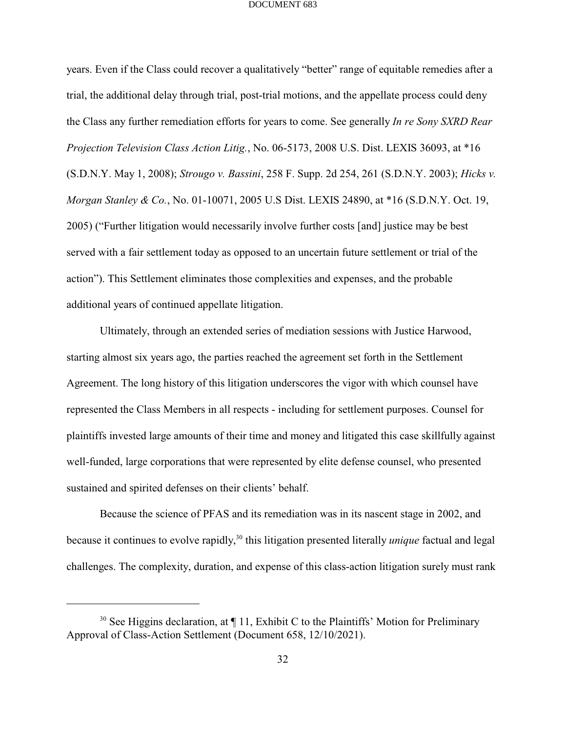years. Even if the Class could recover a qualitatively "better" range of equitable remedies after a trial, the additional delay through trial, post-trial motions, and the appellate process could deny the Class any further remediation efforts for years to come. See generally *In re Sony SXRD Rear Projection Television Class Action Litig.*, No. 06-5173, 2008 U.S. Dist. LEXIS 36093, at \*16 (S.D.N.Y. May 1, 2008); *Strougo v. Bassini*, 258 F. Supp. 2d 254, 261 (S.D.N.Y. 2003); *Hicks v. Morgan Stanley & Co.*, No. 01-10071, 2005 U.S Dist. LEXIS 24890, at \*16 (S.D.N.Y. Oct. 19, 2005) ("Further litigation would necessarily involve further costs [and] justice may be best served with a fair settlement today as opposed to an uncertain future settlement or trial of the action"). This Settlement eliminates those complexities and expenses, and the probable additional years of continued appellate litigation.

Ultimately, through an extended series of mediation sessions with Justice Harwood, starting almost six years ago, the parties reached the agreement set forth in the Settlement Agreement. The long history of this litigation underscores the vigor with which counsel have represented the Class Members in all respects - including for settlement purposes. Counsel for plaintiffs invested large amounts of their time and money and litigated this case skillfully against well-funded, large corporations that were represented by elite defense counsel, who presented sustained and spirited defenses on their clients' behalf.

Because the science of PFAS and its remediation was in its nascent stage in 2002, and because it continues to evolve rapidly,<sup>30</sup> this litigation presented literally *unique* factual and legal challenges. The complexity, duration, and expense of this class-action litigation surely must rank

<sup>&</sup>lt;sup>30</sup> See Higgins declaration, at  $\P$  11, Exhibit C to the Plaintiffs' Motion for Preliminary Approval of Class-Action Settlement (Document 658, 12/10/2021).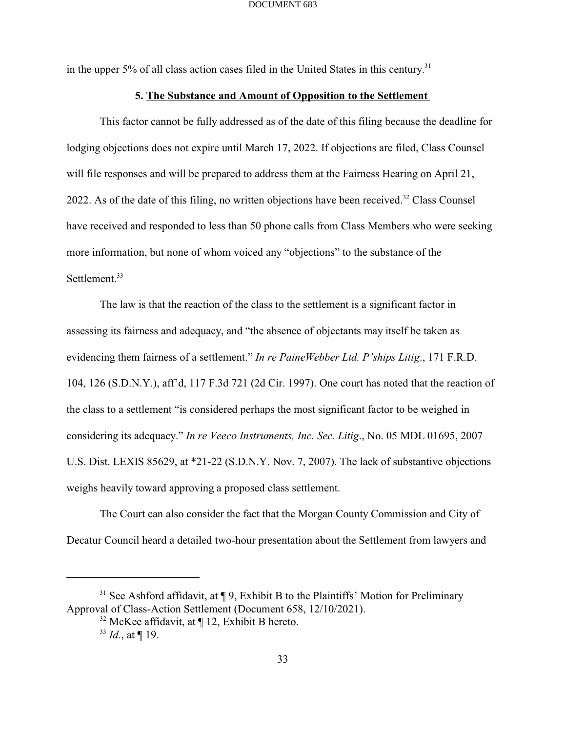in the upper 5% of all class action cases filed in the United States in this century.<sup>31</sup>

### **5. The Substance and Amount of Opposition to the Settlement**

This factor cannot be fully addressed as of the date of this filing because the deadline for lodging objections does not expire until March 17, 2022. If objections are filed, Class Counsel will file responses and will be prepared to address them at the Fairness Hearing on April 21, 2022. As of the date of this filing, no written objections have been received.<sup>32</sup> Class Counsel have received and responded to less than 50 phone calls from Class Members who were seeking more information, but none of whom voiced any "objections" to the substance of the Settlement.<sup>33</sup>

The law is that the reaction of the class to the settlement is a significant factor in assessing its fairness and adequacy, and "the absence of objectants may itself be taken as evidencing them fairness of a settlement." *In re PaineWebber Ltd. P'ships Litig*., 171 F.R.D. 104, 126 (S.D.N.Y.), aff'd, 117 F.3d 721 (2d Cir. 1997). One court has noted that the reaction of the class to a settlement "is considered perhaps the most significant factor to be weighed in considering its adequacy." *In re Veeco Instruments, Inc. Sec. Litig*., No. 05 MDL 01695, 2007 U.S. Dist. LEXIS 85629, at \*21-22 (S.D.N.Y. Nov. 7, 2007). The lack of substantive objections weighs heavily toward approving a proposed class settlement.

The Court can also consider the fact that the Morgan County Commission and City of Decatur Council heard a detailed two-hour presentation about the Settlement from lawyers and

 $31$  See Ashford affidavit, at  $\P$  9, Exhibit B to the Plaintiffs' Motion for Preliminary Approval of Class-Action Settlement (Document 658, 12/10/2021).

 $32$  McKee affidavit, at ¶ 12, Exhibit B hereto.

 $^{33}$  *Id.*, at ¶ 19.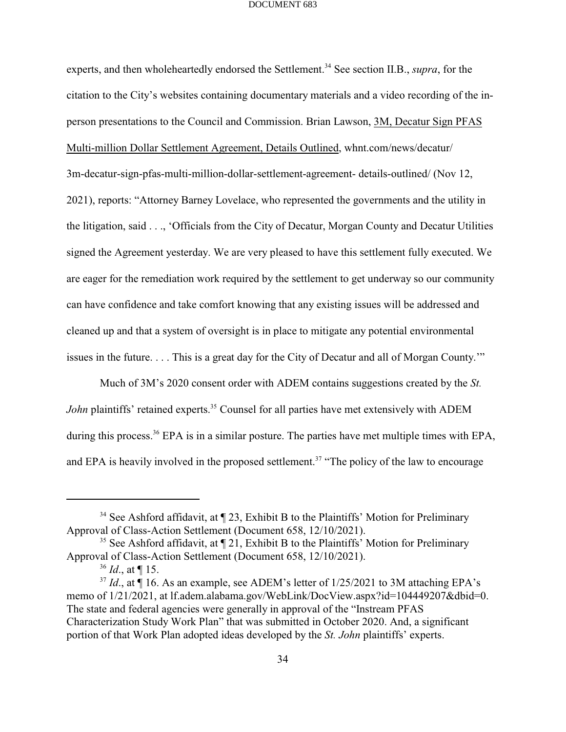experts, and then wholeheartedly endorsed the Settlement.<sup>34</sup> See section II.B., *supra*, for the citation to the City's websites containing documentary materials and a video recording of the inperson presentations to the Council and Commission. Brian Lawson, 3M, Decatur Sign PFAS Multi-million Dollar Settlement Agreement, Details Outlined, whnt.com/news/decatur/ 3m-decatur-sign-pfas-multi-million-dollar-settlement-agreement- details-outlined/ (Nov 12, 2021), reports: "Attorney Barney Lovelace, who represented the governments and the utility in the litigation, said . . ., 'Officials from the City of Decatur, Morgan County and Decatur Utilities signed the Agreement yesterday. We are very pleased to have this settlement fully executed. We are eager for the remediation work required by the settlement to get underway so our community can have confidence and take comfort knowing that any existing issues will be addressed and cleaned up and that a system of oversight is in place to mitigate any potential environmental issues in the future. . . . This is a great day for the City of Decatur and all of Morgan County.'"

Much of 3M's 2020 consent order with ADEM contains suggestions created by the *St.* John plaintiffs' retained experts.<sup>35</sup> Counsel for all parties have met extensively with ADEM during this process.  $36$  EPA is in a similar posture. The parties have met multiple times with EPA, and EPA is heavily involved in the proposed settlement.<sup>37</sup> "The policy of the law to encourage

<sup>&</sup>lt;sup>34</sup> See Ashford affidavit, at  $\P$  23, Exhibit B to the Plaintiffs' Motion for Preliminary Approval of Class-Action Settlement (Document 658, 12/10/2021).

<sup>&</sup>lt;sup>35</sup> See Ashford affidavit, at  $\P$  21, Exhibit B to the Plaintiffs' Motion for Preliminary Approval of Class-Action Settlement (Document 658, 12/10/2021).

 $^{36}$  *Id.*, at ¶ 15.

<sup>&</sup>lt;sup>37</sup> Id., at  $\P$  16. As an example, see ADEM's letter of  $1/25/2021$  to 3M attaching EPA's memo of 1/21/2021, at lf.adem.alabama.gov/WebLink/DocView.aspx?id=104449207&dbid=0. The state and federal agencies were generally in approval of the "Instream PFAS Characterization Study Work Plan" that was submitted in October 2020. And, a significant portion of that Work Plan adopted ideas developed by the *St. John* plaintiffs' experts.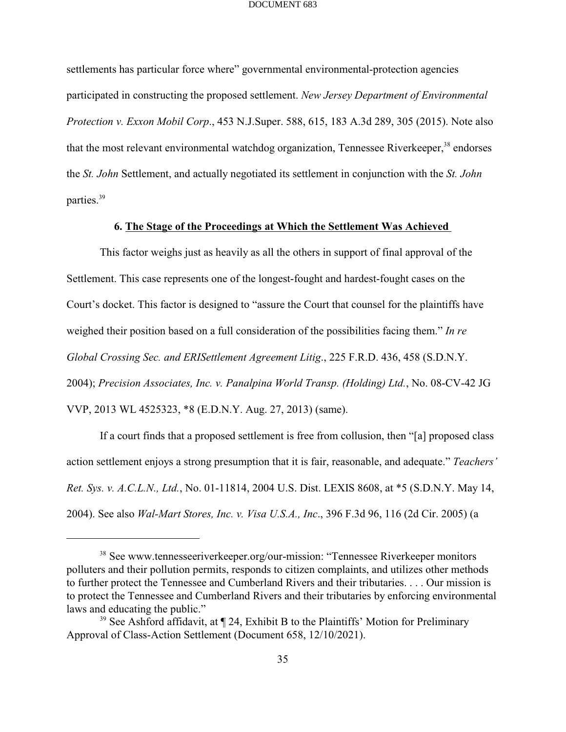settlements has particular force where" governmental environmental-protection agencies participated in constructing the proposed settlement. *New Jersey Department of Environmental Protection v. Exxon Mobil Corp*., 453 N.J.Super. 588, 615, 183 A.3d 289, 305 (2015). Note also that the most relevant environmental watchdog organization, Tennessee Riverkeeper,<sup>38</sup> endorses the *St. John* Settlement, and actually negotiated its settlement in conjunction with the *St. John* parties.<sup>39</sup>

### **6. The Stage of the Proceedings at Which the Settlement Was Achieved**

This factor weighs just as heavily as all the others in support of final approval of the Settlement. This case represents one of the longest-fought and hardest-fought cases on the Court's docket. This factor is designed to "assure the Court that counsel for the plaintiffs have weighed their position based on a full consideration of the possibilities facing them." *In re Global Crossing Sec. and ERISettlement Agreement Litig*., 225 F.R.D. 436, 458 (S.D.N.Y. 2004); *Precision Associates, Inc. v. Panalpina World Transp. (Holding) Ltd.*, No. 08-CV-42 JG VVP, 2013 WL 4525323, \*8 (E.D.N.Y. Aug. 27, 2013) (same).

If a court finds that a proposed settlement is free from collusion, then "[a] proposed class action settlement enjoys a strong presumption that it is fair, reasonable, and adequate." *Teachers' Ret. Sys. v. A.C.L.N., Ltd.*, No. 01-11814, 2004 U.S. Dist. LEXIS 8608, at \*5 (S.D.N.Y. May 14, 2004). See also *Wal-Mart Stores, Inc. v. Visa U.S.A., Inc*., 396 F.3d 96, 116 (2d Cir. 2005) (a

<sup>&</sup>lt;sup>38</sup> See www.tennesseeriverkeeper.org/our-mission: "Tennessee Riverkeeper monitors polluters and their pollution permits, responds to citizen complaints, and utilizes other methods to further protect the Tennessee and Cumberland Rivers and their tributaries. . . . Our mission is to protect the Tennessee and Cumberland Rivers and their tributaries by enforcing environmental laws and educating the public."

 $39$  See Ashford affidavit, at  $\P$  24, Exhibit B to the Plaintiffs' Motion for Preliminary Approval of Class-Action Settlement (Document 658, 12/10/2021).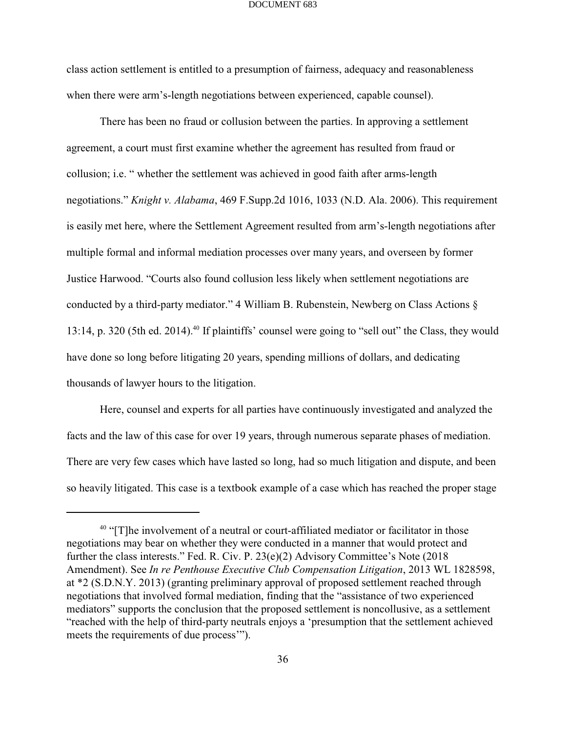class action settlement is entitled to a presumption of fairness, adequacy and reasonableness when there were arm's-length negotiations between experienced, capable counsel).

There has been no fraud or collusion between the parties. In approving a settlement agreement, a court must first examine whether the agreement has resulted from fraud or collusion; i.e. " whether the settlement was achieved in good faith after arms-length negotiations." *Knight v. Alabama*, 469 F.Supp.2d 1016, 1033 (N.D. Ala. 2006). This requirement is easily met here, where the Settlement Agreement resulted from arm's-length negotiations after multiple formal and informal mediation processes over many years, and overseen by former Justice Harwood. "Courts also found collusion less likely when settlement negotiations are conducted by a third-party mediator." 4 William B. Rubenstein, Newberg on Class Actions § 13:14, p. 320 (5th ed. 2014).<sup>40</sup> If plaintiffs' counsel were going to "sell out" the Class, they would have done so long before litigating 20 years, spending millions of dollars, and dedicating thousands of lawyer hours to the litigation.

Here, counsel and experts for all parties have continuously investigated and analyzed the facts and the law of this case for over 19 years, through numerous separate phases of mediation. There are very few cases which have lasted so long, had so much litigation and dispute, and been so heavily litigated. This case is a textbook example of a case which has reached the proper stage

 $40$  "[T]he involvement of a neutral or court-affiliated mediator or facilitator in those negotiations may bear on whether they were conducted in a manner that would protect and further the class interests." Fed. R. Civ. P. 23(e)(2) Advisory Committee's Note (2018 Amendment). See *In re Penthouse Executive Club Compensation Litigation*, 2013 WL 1828598, at \*2 (S.D.N.Y. 2013) (granting preliminary approval of proposed settlement reached through negotiations that involved formal mediation, finding that the "assistance of two experienced mediators" supports the conclusion that the proposed settlement is noncollusive, as a settlement "reached with the help of third-party neutrals enjoys a 'presumption that the settlement achieved meets the requirements of due process'").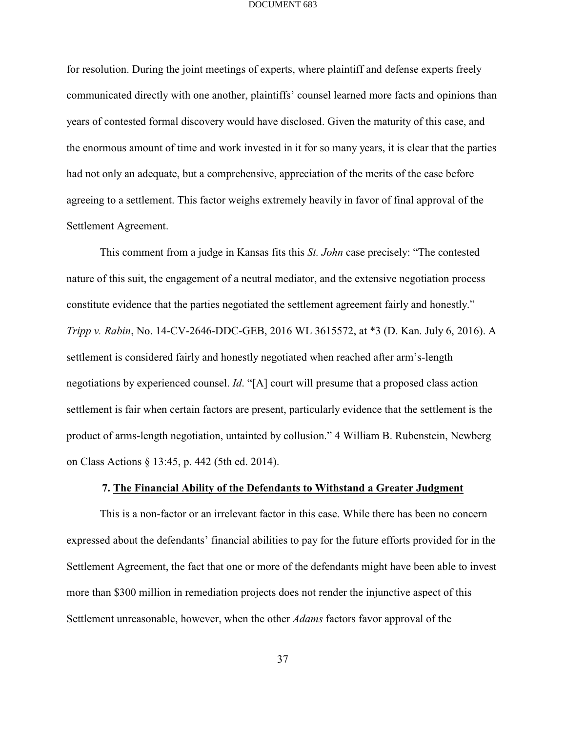for resolution. During the joint meetings of experts, where plaintiff and defense experts freely communicated directly with one another, plaintiffs' counsel learned more facts and opinions than years of contested formal discovery would have disclosed. Given the maturity of this case, and the enormous amount of time and work invested in it for so many years, it is clear that the parties had not only an adequate, but a comprehensive, appreciation of the merits of the case before agreeing to a settlement. This factor weighs extremely heavily in favor of final approval of the Settlement Agreement.

This comment from a judge in Kansas fits this *St. John* case precisely: "The contested nature of this suit, the engagement of a neutral mediator, and the extensive negotiation process constitute evidence that the parties negotiated the settlement agreement fairly and honestly." *Tripp v. Rabin*, No. 14-CV-2646-DDC-GEB, 2016 WL 3615572, at \*3 (D. Kan. July 6, 2016). A settlement is considered fairly and honestly negotiated when reached after arm's-length negotiations by experienced counsel. *Id*. "[A] court will presume that a proposed class action settlement is fair when certain factors are present, particularly evidence that the settlement is the product of arms-length negotiation, untainted by collusion." 4 William B. Rubenstein, Newberg on Class Actions § 13:45, p. 442 (5th ed. 2014).

### **7. The Financial Ability of the Defendants to Withstand a Greater Judgment**

This is a non-factor or an irrelevant factor in this case. While there has been no concern expressed about the defendants' financial abilities to pay for the future efforts provided for in the Settlement Agreement, the fact that one or more of the defendants might have been able to invest more than \$300 million in remediation projects does not render the injunctive aspect of this Settlement unreasonable, however, when the other *Adams* factors favor approval of the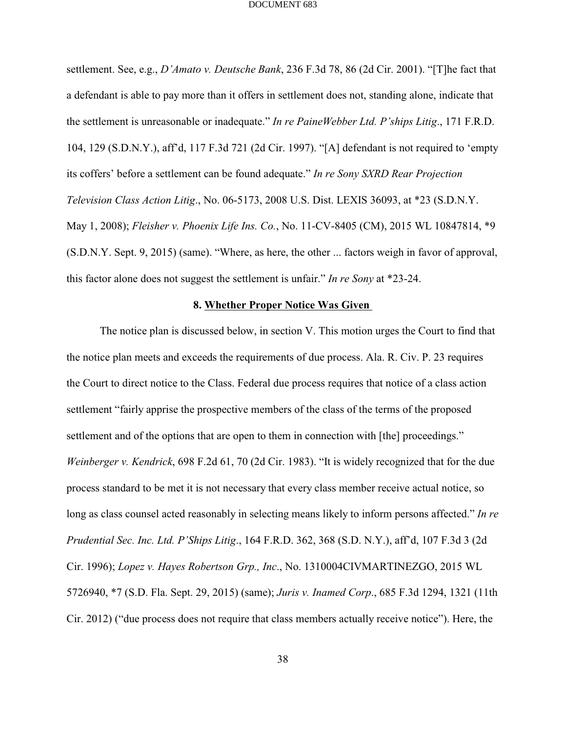settlement. See, e.g., *D'Amato v. Deutsche Bank*, 236 F.3d 78, 86 (2d Cir. 2001). "[T]he fact that a defendant is able to pay more than it offers in settlement does not, standing alone, indicate that the settlement is unreasonable or inadequate." *In re PaineWebber Ltd. P'ships Litig*., 171 F.R.D. 104, 129 (S.D.N.Y.), aff'd, 117 F.3d 721 (2d Cir. 1997). "[A] defendant is not required to 'empty its coffers' before a settlement can be found adequate." *In re Sony SXRD Rear Projection Television Class Action Litig*., No. 06-5173, 2008 U.S. Dist. LEXIS 36093, at \*23 (S.D.N.Y. May 1, 2008); *Fleisher v. Phoenix Life Ins. Co.*, No. 11-CV-8405 (CM), 2015 WL 10847814, \*9 (S.D.N.Y. Sept. 9, 2015) (same). "Where, as here, the other ... factors weigh in favor of approval, this factor alone does not suggest the settlement is unfair." *In re Sony* at \*23-24.

### **8. Whether Proper Notice Was Given**

The notice plan is discussed below, in section V. This motion urges the Court to find that the notice plan meets and exceeds the requirements of due process. Ala. R. Civ. P. 23 requires the Court to direct notice to the Class. Federal due process requires that notice of a class action settlement "fairly apprise the prospective members of the class of the terms of the proposed settlement and of the options that are open to them in connection with [the] proceedings." *Weinberger v. Kendrick*, 698 F.2d 61, 70 (2d Cir. 1983). "It is widely recognized that for the due process standard to be met it is not necessary that every class member receive actual notice, so long as class counsel acted reasonably in selecting means likely to inform persons affected." *In re Prudential Sec. Inc. Ltd. P'Ships Litig*., 164 F.R.D. 362, 368 (S.D. N.Y.), aff'd, 107 F.3d 3 (2d Cir. 1996); *Lopez v. Hayes Robertson Grp., Inc*., No. 1310004CIVMARTINEZGO, 2015 WL 5726940, \*7 (S.D. Fla. Sept. 29, 2015) (same); *Juris v. Inamed Corp*., 685 F.3d 1294, 1321 (11th Cir. 2012) ("due process does not require that class members actually receive notice"). Here, the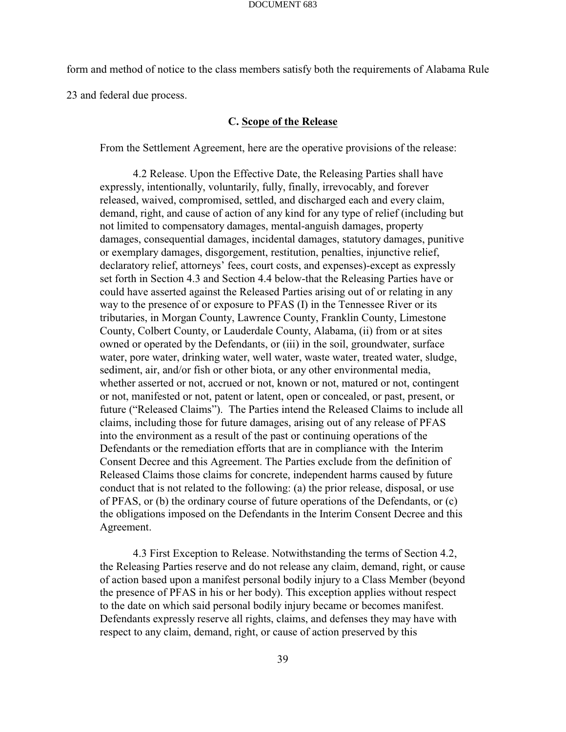form and method of notice to the class members satisfy both the requirements of Alabama Rule

23 and federal due process.

### **C. Scope of the Release**

From the Settlement Agreement, here are the operative provisions of the release:

4.2 Release. Upon the Effective Date, the Releasing Parties shall have expressly, intentionally, voluntarily, fully, finally, irrevocably, and forever released, waived, compromised, settled, and discharged each and every claim, demand, right, and cause of action of any kind for any type of relief (including but not limited to compensatory damages, mental-anguish damages, property damages, consequential damages, incidental damages, statutory damages, punitive or exemplary damages, disgorgement, restitution, penalties, injunctive relief, declaratory relief, attorneys' fees, court costs, and expenses)-except as expressly set forth in Section 4.3 and Section 4.4 below-that the Releasing Parties have or could have asserted against the Released Parties arising out of or relating in any way to the presence of or exposure to PFAS (I) in the Tennessee River or its tributaries, in Morgan County, Lawrence County, Franklin County, Limestone County, Colbert County, or Lauderdale County, Alabama, (ii) from or at sites owned or operated by the Defendants, or (iii) in the soil, groundwater, surface water, pore water, drinking water, well water, waste water, treated water, sludge, sediment, air, and/or fish or other biota, or any other environmental media, whether asserted or not, accrued or not, known or not, matured or not, contingent or not, manifested or not, patent or latent, open or concealed, or past, present, or future ("Released Claims"). The Parties intend the Released Claims to include all claims, including those for future damages, arising out of any release of PFAS into the environment as a result of the past or continuing operations of the Defendants or the remediation efforts that are in compliance with the Interim Consent Decree and this Agreement. The Parties exclude from the definition of Released Claims those claims for concrete, independent harms caused by future conduct that is not related to the following: (a) the prior release, disposal, or use of PFAS, or (b) the ordinary course of future operations of the Defendants, or (c) the obligations imposed on the Defendants in the Interim Consent Decree and this Agreement.

4.3 First Exception to Release. Notwithstanding the terms of Section 4.2, the Releasing Parties reserve and do not release any claim, demand, right, or cause of action based upon a manifest personal bodily injury to a Class Member (beyond the presence of PFAS in his or her body). This exception applies without respect to the date on which said personal bodily injury became or becomes manifest. Defendants expressly reserve all rights, claims, and defenses they may have with respect to any claim, demand, right, or cause of action preserved by this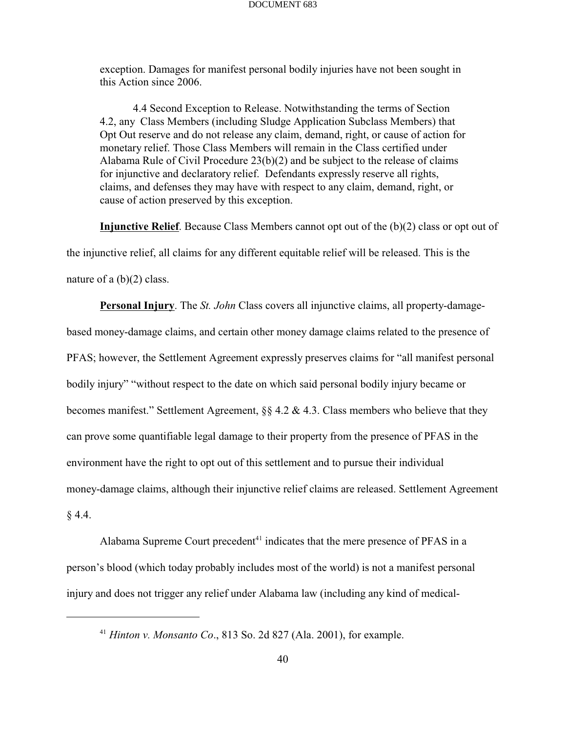exception. Damages for manifest personal bodily injuries have not been sought in this Action since 2006.

4.4 Second Exception to Release. Notwithstanding the terms of Section 4.2, any Class Members (including Sludge Application Subclass Members) that Opt Out reserve and do not release any claim, demand, right, or cause of action for monetary relief. Those Class Members will remain in the Class certified under Alabama Rule of Civil Procedure 23(b)(2) and be subject to the release of claims for injunctive and declaratory relief. Defendants expressly reserve all rights, claims, and defenses they may have with respect to any claim, demand, right, or cause of action preserved by this exception.

**Injunctive Relief**. Because Class Members cannot opt out of the (b)(2) class or opt out of the injunctive relief, all claims for any different equitable relief will be released. This is the nature of a (b)(2) class.

**Personal Injury**. The *St. John* Class covers all injunctive claims, all property-damagebased money-damage claims, and certain other money damage claims related to the presence of PFAS; however, the Settlement Agreement expressly preserves claims for "all manifest personal bodily injury" "without respect to the date on which said personal bodily injury became or becomes manifest." Settlement Agreement, §§ 4.2 & 4.3. Class members who believe that they can prove some quantifiable legal damage to their property from the presence of PFAS in the environment have the right to opt out of this settlement and to pursue their individual money-damage claims, although their injunctive relief claims are released. Settlement Agreement  $§ 4.4.$ 

Alabama Supreme Court precedent $41$  indicates that the mere presence of PFAS in a person's blood (which today probably includes most of the world) is not a manifest personal injury and does not trigger any relief under Alabama law (including any kind of medical-

<sup>&</sup>lt;sup>41</sup> *Hinton v. Monsanto Co.*, 813 So. 2d 827 (Ala. 2001), for example.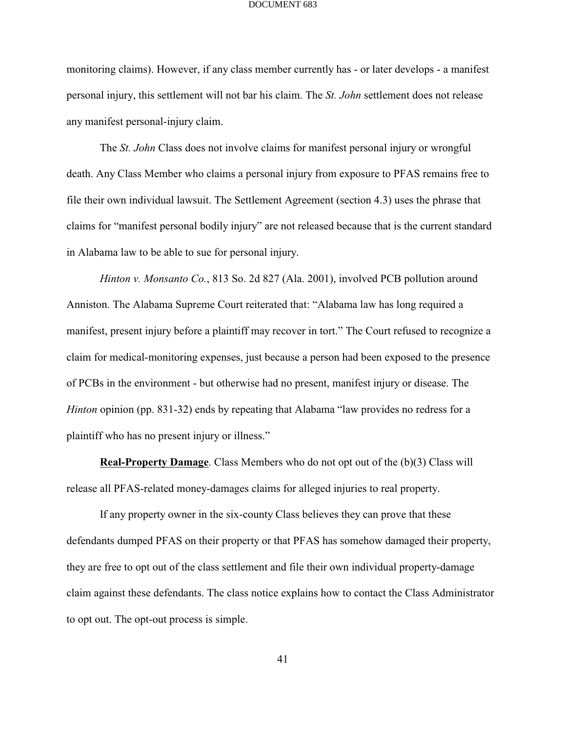monitoring claims). However, if any class member currently has - or later develops - a manifest personal injury, this settlement will not bar his claim. The *St. John* settlement does not release any manifest personal-injury claim.

The *St. John* Class does not involve claims for manifest personal injury or wrongful death. Any Class Member who claims a personal injury from exposure to PFAS remains free to file their own individual lawsuit. The Settlement Agreement (section 4.3) uses the phrase that claims for "manifest personal bodily injury" are not released because that is the current standard in Alabama law to be able to sue for personal injury.

*Hinton v. Monsanto Co.*, 813 So. 2d 827 (Ala. 2001), involved PCB pollution around Anniston. The Alabama Supreme Court reiterated that: "Alabama law has long required a manifest, present injury before a plaintiff may recover in tort." The Court refused to recognize a claim for medical-monitoring expenses, just because a person had been exposed to the presence of PCBs in the environment - but otherwise had no present, manifest injury or disease. The *Hinton* opinion (pp. 831-32) ends by repeating that Alabama "law provides no redress for a plaintiff who has no present injury or illness."

**Real-Property Damage**. Class Members who do not opt out of the (b)(3) Class will release all PFAS-related money-damages claims for alleged injuries to real property.

If any property owner in the six-county Class believes they can prove that these defendants dumped PFAS on their property or that PFAS has somehow damaged their property, they are free to opt out of the class settlement and file their own individual property-damage claim against these defendants. The class notice explains how to contact the Class Administrator to opt out. The opt-out process is simple.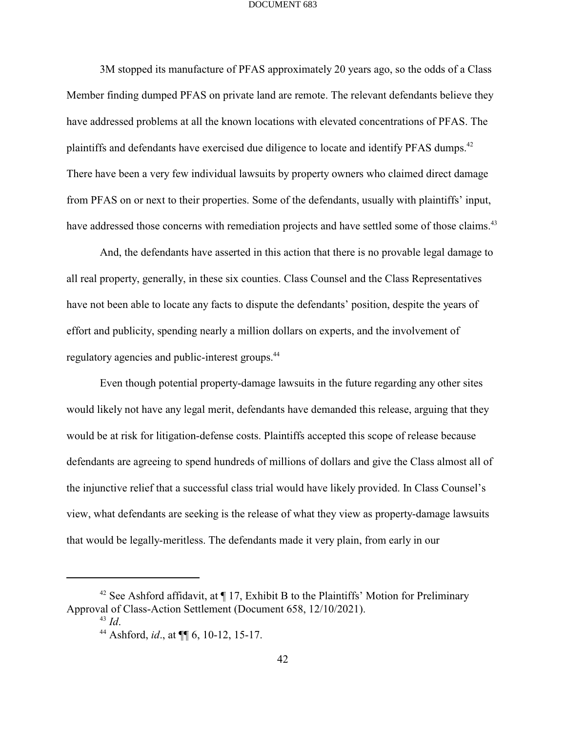3M stopped its manufacture of PFAS approximately 20 years ago, so the odds of a Class Member finding dumped PFAS on private land are remote. The relevant defendants believe they have addressed problems at all the known locations with elevated concentrations of PFAS. The plaintiffs and defendants have exercised due diligence to locate and identify PFAS dumps.<sup>42</sup> There have been a very few individual lawsuits by property owners who claimed direct damage from PFAS on or next to their properties. Some of the defendants, usually with plaintiffs' input, have addressed those concerns with remediation projects and have settled some of those claims.<sup>43</sup>

And, the defendants have asserted in this action that there is no provable legal damage to all real property, generally, in these six counties. Class Counsel and the Class Representatives have not been able to locate any facts to dispute the defendants' position, despite the years of effort and publicity, spending nearly a million dollars on experts, and the involvement of regulatory agencies and public-interest groups.<sup>44</sup>

Even though potential property-damage lawsuits in the future regarding any other sites would likely not have any legal merit, defendants have demanded this release, arguing that they would be at risk for litigation-defense costs. Plaintiffs accepted this scope of release because defendants are agreeing to spend hundreds of millions of dollars and give the Class almost all of the injunctive relief that a successful class trial would have likely provided. In Class Counsel's view, what defendants are seeking is the release of what they view as property-damage lawsuits that would be legally-meritless. The defendants made it very plain, from early in our

<sup>&</sup>lt;sup>42</sup> See Ashford affidavit, at  $\P$  17, Exhibit B to the Plaintiffs' Motion for Preliminary Approval of Class-Action Settlement (Document 658, 12/10/2021).

 $^{43}$  *Id*.

<sup>&</sup>lt;sup>44</sup> Ashford, *id.*, at  $\P\P$  6, 10-12, 15-17.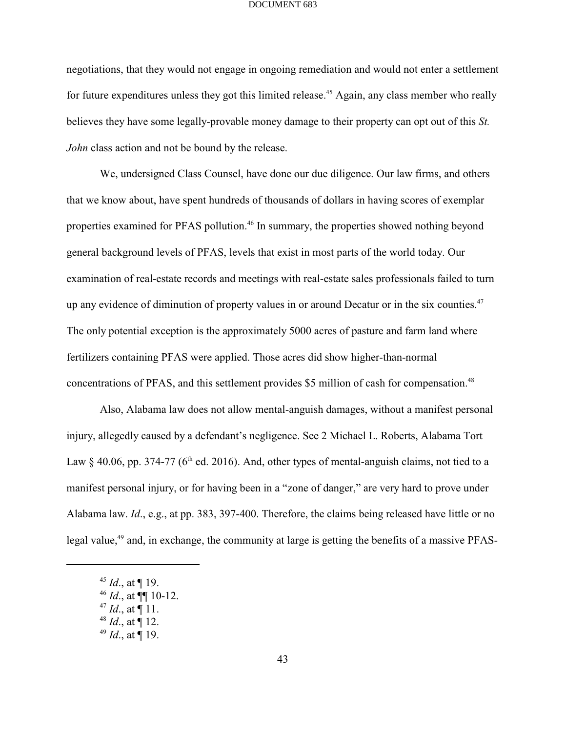negotiations, that they would not engage in ongoing remediation and would not enter a settlement for future expenditures unless they got this limited release.<sup> $45$ </sup> Again, any class member who really believes they have some legally-provable money damage to their property can opt out of this *St. John* class action and not be bound by the release.

We, undersigned Class Counsel, have done our due diligence. Our law firms, and others that we know about, have spent hundreds of thousands of dollars in having scores of exemplar properties examined for PFAS pollution.<sup>46</sup> In summary, the properties showed nothing beyond general background levels of PFAS, levels that exist in most parts of the world today. Our examination of real-estate records and meetings with real-estate sales professionals failed to turn up any evidence of diminution of property values in or around Decatur or in the six counties. $47$ The only potential exception is the approximately 5000 acres of pasture and farm land where fertilizers containing PFAS were applied. Those acres did show higher-than-normal concentrations of PFAS, and this settlement provides \$5 million of cash for compensation.<sup>48</sup>

Also, Alabama law does not allow mental-anguish damages, without a manifest personal injury, allegedly caused by a defendant's negligence. See 2 Michael L. Roberts, Alabama Tort Law § 40.06, pp. 374-77 (6<sup>th</sup> ed. 2016). And, other types of mental-anguish claims, not tied to a manifest personal injury, or for having been in a "zone of danger," are very hard to prove under Alabama law. *Id*., e.g., at pp. 383, 397-400. Therefore, the claims being released have little or no legal value, $49$  and, in exchange, the community at large is getting the benefits of a massive PFAS-

 $^{45}$  *Id.*, at ¶ 19.

 $^{46}$  *Id.*, at  $\P\P$  10-12.

 $^{47}$  *Id.*, at ¶ 11.

 $^{48}$  *Id.*, at ¶ 12.

 $^{49}$  *Id.*, at ¶ 19.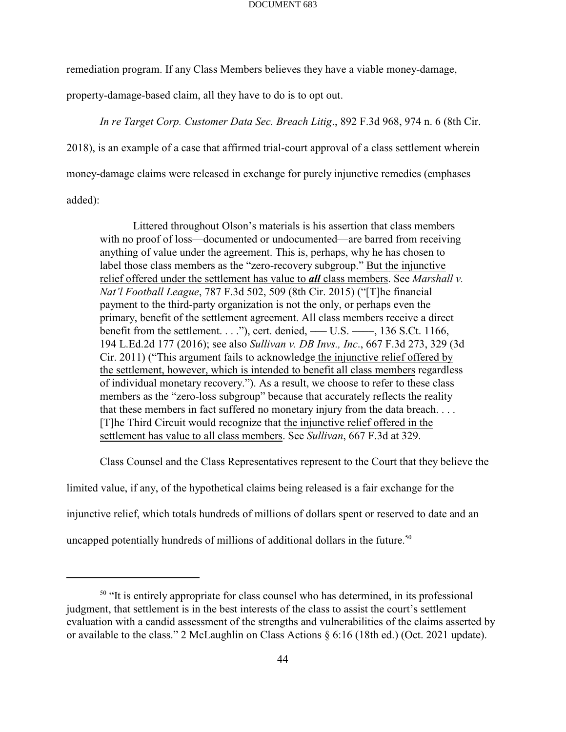remediation program. If any Class Members believes they have a viable money-damage,

property-damage-based claim, all they have to do is to opt out.

*In re Target Corp. Customer Data Sec. Breach Litig*., 892 F.3d 968, 974 n. 6 (8th Cir.

2018), is an example of a case that affirmed trial-court approval of a class settlement wherein

money-damage claims were released in exchange for purely injunctive remedies (emphases

added):

Littered throughout Olson's materials is his assertion that class members with no proof of loss—documented or undocumented—are barred from receiving anything of value under the agreement. This is, perhaps, why he has chosen to label those class members as the "zero-recovery subgroup." But the injunctive relief offered under the settlement has value to *all* class members. See *Marshall v. Nat'l Football League*, 787 F.3d 502, 509 (8th Cir. 2015) ("[T]he financial payment to the third-party organization is not the only, or perhaps even the primary, benefit of the settlement agreement. All class members receive a direct benefit from the settlement. . . ."), cert. denied, — U.S. —  $\ldots$ , 136 S.Ct. 1166, 194 L.Ed.2d 177 (2016); see also *Sullivan v. DB Invs., Inc*., 667 F.3d 273, 329 (3d Cir. 2011) ("This argument fails to acknowledge the injunctive relief offered by the settlement, however, which is intended to benefit all class members regardless of individual monetary recovery."). As a result, we choose to refer to these class members as the "zero-loss subgroup" because that accurately reflects the reality that these members in fact suffered no monetary injury from the data breach. . . . [T]he Third Circuit would recognize that the injunctive relief offered in the settlement has value to all class members. See *Sullivan*, 667 F.3d at 329.

Class Counsel and the Class Representatives represent to the Court that they believe the

limited value, if any, of the hypothetical claims being released is a fair exchange for the

injunctive relief, which totals hundreds of millions of dollars spent or reserved to date and an

uncapped potentially hundreds of millions of additional dollars in the future.<sup>50</sup>

 $<sup>50</sup>$  "It is entirely appropriate for class counsel who has determined, in its professional</sup> judgment, that settlement is in the best interests of the class to assist the court's settlement evaluation with a candid assessment of the strengths and vulnerabilities of the claims asserted by or available to the class." 2 McLaughlin on Class Actions § 6:16 (18th ed.) (Oct. 2021 update).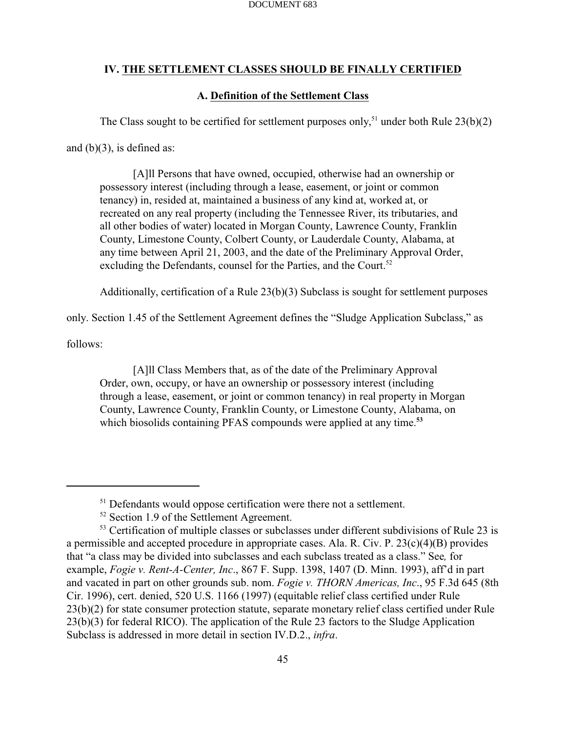# **IV. THE SETTLEMENT CLASSES SHOULD BE FINALLY CERTIFIED**

## **A. Definition of the Settlement Class**

The Class sought to be certified for settlement purposes only,<sup>51</sup> under both Rule  $23(b)(2)$ 

and  $(b)(3)$ , is defined as:

[A]ll Persons that have owned, occupied, otherwise had an ownership or possessory interest (including through a lease, easement, or joint or common tenancy) in, resided at, maintained a business of any kind at, worked at, or recreated on any real property (including the Tennessee River, its tributaries, and all other bodies of water) located in Morgan County, Lawrence County, Franklin County, Limestone County, Colbert County, or Lauderdale County, Alabama, at any time between April 21, 2003, and the date of the Preliminary Approval Order, excluding the Defendants, counsel for the Parties, and the Court.<sup>52</sup>

Additionally, certification of a Rule 23(b)(3) Subclass is sought for settlement purposes

only. Section 1.45 of the Settlement Agreement defines the "Sludge Application Subclass," as

follows:

[A]ll Class Members that, as of the date of the Preliminary Approval Order, own, occupy, or have an ownership or possessory interest (including through a lease, easement, or joint or common tenancy) in real property in Morgan County, Lawrence County, Franklin County, or Limestone County, Alabama, on which biosolids containing PFAS compounds were applied at any time.<sup>53</sup>

 $51$  Defendants would oppose certification were there not a settlement.

 $52$  Section 1.9 of the Settlement Agreement.

 $53$  Certification of multiple classes or subclasses under different subdivisions of Rule 23 is a permissible and accepted procedure in appropriate cases. Ala. R. Civ. P. 23(c)(4)(B) provides that "a class may be divided into subclasses and each subclass treated as a class." See*,* for example, *Fogie v. Rent-A-Center, Inc*., 867 F. Supp. 1398, 1407 (D. Minn. 1993), aff'd in part and vacated in part on other grounds sub. nom. *Fogie v. THORN Americas, Inc*., 95 F.3d 645 (8th Cir. 1996), cert. denied, 520 U.S. 1166 (1997) (equitable relief class certified under Rule 23(b)(2) for state consumer protection statute, separate monetary relief class certified under Rule 23(b)(3) for federal RICO). The application of the Rule 23 factors to the Sludge Application Subclass is addressed in more detail in section IV.D.2., *infra*.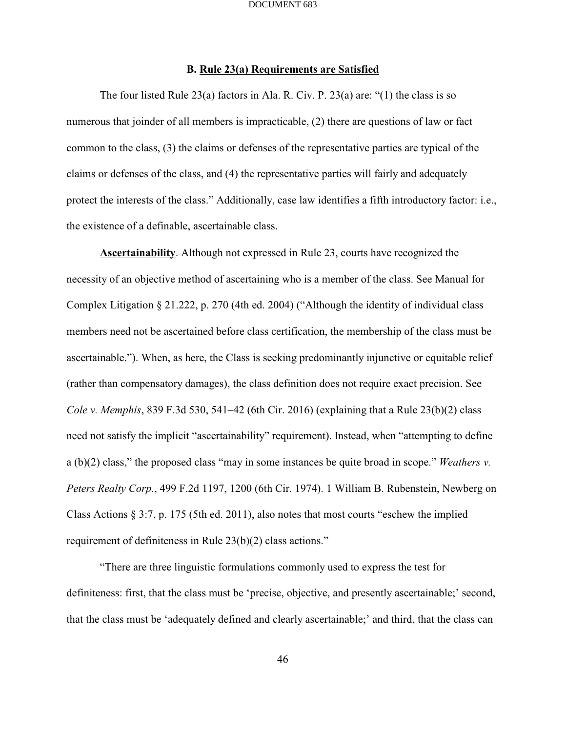### **B. Rule 23(a) Requirements are Satisfied**

The four listed Rule 23(a) factors in Ala. R. Civ. P. 23(a) are: "(1) the class is so numerous that joinder of all members is impracticable, (2) there are questions of law or fact common to the class, (3) the claims or defenses of the representative parties are typical of the claims or defenses of the class, and (4) the representative parties will fairly and adequately protect the interests of the class." Additionally, case law identifies a fifth introductory factor: i.e., the existence of a definable, ascertainable class.

**Ascertainability**. Although not expressed in Rule 23, courts have recognized the necessity of an objective method of ascertaining who is a member of the class. See Manual for Complex Litigation § 21.222, p. 270 (4th ed. 2004) ("Although the identity of individual class members need not be ascertained before class certification, the membership of the class must be ascertainable."). When, as here, the Class is seeking predominantly injunctive or equitable relief (rather than compensatory damages), the class definition does not require exact precision. See *Cole v. Memphis*, 839 F.3d 530, 541–42 (6th Cir. 2016) (explaining that a Rule 23(b)(2) class need not satisfy the implicit "ascertainability" requirement). Instead, when "attempting to define a (b)(2) class," the proposed class "may in some instances be quite broad in scope." *Weathers v. Peters Realty Corp.*, 499 F.2d 1197, 1200 (6th Cir. 1974). 1 William B. Rubenstein, Newberg on Class Actions § 3:7, p. 175 (5th ed. 2011), also notes that most courts "eschew the implied requirement of definiteness in Rule 23(b)(2) class actions."

"There are three linguistic formulations commonly used to express the test for definiteness: first, that the class must be 'precise, objective, and presently ascertainable;' second, that the class must be 'adequately defined and clearly ascertainable;' and third, that the class can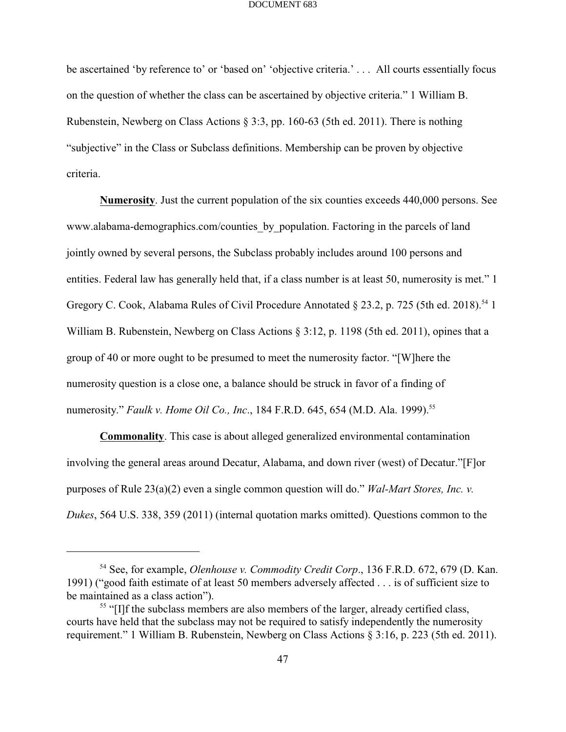be ascertained 'by reference to' or 'based on' 'objective criteria.' . . . All courts essentially focus on the question of whether the class can be ascertained by objective criteria." 1 William B. Rubenstein, Newberg on Class Actions § 3:3, pp. 160-63 (5th ed. 2011). There is nothing "subjective" in the Class or Subclass definitions. Membership can be proven by objective criteria.

**Numerosity**. Just the current population of the six counties exceeds 440,000 persons. See www.alabama-demographics.com/counties by population. Factoring in the parcels of land jointly owned by several persons, the Subclass probably includes around 100 persons and entities. Federal law has generally held that, if a class number is at least 50, numerosity is met." 1 Gregory C. Cook, Alabama Rules of Civil Procedure Annotated  $\S$  23.2, p. 725 (5th ed. 2018).<sup>54</sup> 1 William B. Rubenstein, Newberg on Class Actions § 3:12, p. 1198 (5th ed. 2011), opines that a group of 40 or more ought to be presumed to meet the numerosity factor. "[W]here the numerosity question is a close one, a balance should be struck in favor of a finding of numerosity." *Faulk v. Home Oil Co., Inc.*, 184 F.R.D. 645, 654 (M.D. Ala. 1999).<sup>55</sup>

**Commonality**. This case is about alleged generalized environmental contamination involving the general areas around Decatur, Alabama, and down river (west) of Decatur."[F]or purposes of Rule 23(a)(2) even a single common question will do." *Wal-Mart Stores, Inc. v. Dukes*, 564 U.S. 338, 359 (2011) (internal quotation marks omitted). Questions common to the

<sup>&</sup>lt;sup>54</sup> See, for example, *Olenhouse v. Commodity Credit Corp.*, 136 F.R.D. 672, 679 (D. Kan. 1991) ("good faith estimate of at least 50 members adversely affected . . . is of sufficient size to be maintained as a class action").

<sup>&</sup>lt;sup>55</sup> "[I]f the subclass members are also members of the larger, already certified class, courts have held that the subclass may not be required to satisfy independently the numerosity requirement." 1 William B. Rubenstein, Newberg on Class Actions § 3:16, p. 223 (5th ed. 2011).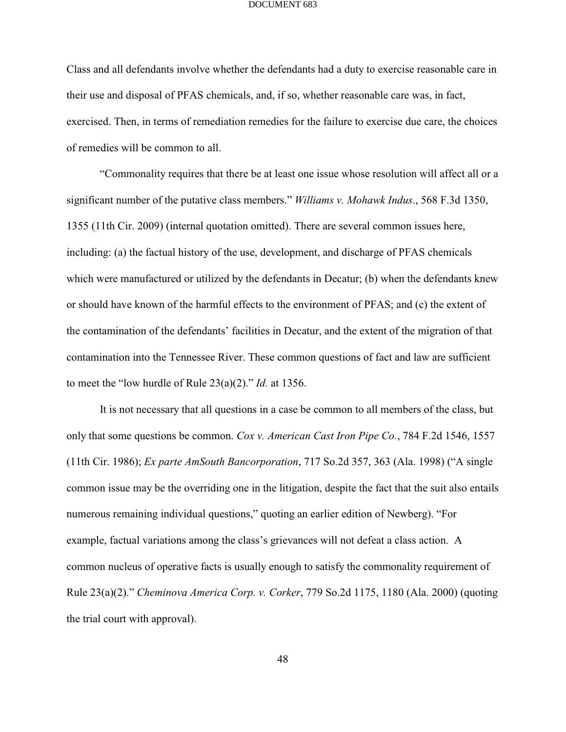Class and all defendants involve whether the defendants had a duty to exercise reasonable care in their use and disposal of PFAS chemicals, and, if so, whether reasonable care was, in fact, exercised. Then, in terms of remediation remedies for the failure to exercise due care, the choices of remedies will be common to all.

"Commonality requires that there be at least one issue whose resolution will affect all or a significant number of the putative class members." *Williams v. Mohawk Indus*., 568 F.3d 1350, 1355 (11th Cir. 2009) (internal quotation omitted). There are several common issues here, including: (a) the factual history of the use, development, and discharge of PFAS chemicals which were manufactured or utilized by the defendants in Decatur; (b) when the defendants knew or should have known of the harmful effects to the environment of PFAS; and (c) the extent of the contamination of the defendants' facilities in Decatur, and the extent of the migration of that contamination into the Tennessee River. These common questions of fact and law are sufficient to meet the "low hurdle of Rule 23(a)(2)." *Id.* at 1356.

It is not necessary that all questions in a case be common to all members of the class, but only that some questions be common. *Cox v. American Cast Iron Pipe Co.*, 784 F.2d 1546, 1557 (11th Cir. 1986); *Ex parte AmSouth Bancorporation*, 717 So.2d 357, 363 (Ala. 1998) ("A single common issue may be the overriding one in the litigation, despite the fact that the suit also entails numerous remaining individual questions," quoting an earlier edition of Newberg). "For example, factual variations among the class's grievances will not defeat a class action. A common nucleus of operative facts is usually enough to satisfy the commonality requirement of Rule 23(a)(2)." *Cheminova America Corp. v. Corker*, 779 So.2d 1175, 1180 (Ala. 2000) (quoting the trial court with approval).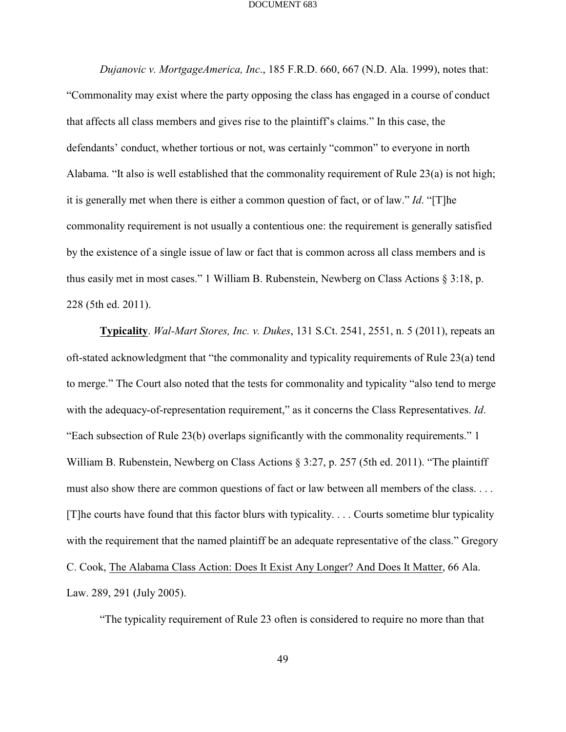*Dujanovic v. MortgageAmerica, Inc*., 185 F.R.D. 660, 667 (N.D. Ala. 1999), notes that: "Commonality may exist where the party opposing the class has engaged in a course of conduct that affects all class members and gives rise to the plaintiff's claims." In this case, the defendants' conduct, whether tortious or not, was certainly "common" to everyone in north Alabama. "It also is well established that the commonality requirement of Rule 23(a) is not high; it is generally met when there is either a common question of fact, or of law." *Id*. "[T]he commonality requirement is not usually a contentious one: the requirement is generally satisfied by the existence of a single issue of law or fact that is common across all class members and is thus easily met in most cases." 1 William B. Rubenstein, Newberg on Class Actions § 3:18, p. 228 (5th ed. 2011).

**Typicality**. *Wal-Mart Stores, Inc. v. Dukes*, 131 S.Ct. 2541, 2551, n. 5 (2011), repeats an oft-stated acknowledgment that "the commonality and typicality requirements of Rule 23(a) tend to merge." The Court also noted that the tests for commonality and typicality "also tend to merge with the adequacy-of-representation requirement," as it concerns the Class Representatives. *Id*. "Each subsection of Rule 23(b) overlaps significantly with the commonality requirements." 1 William B. Rubenstein, Newberg on Class Actions § 3:27, p. 257 (5th ed. 2011). "The plaintiff must also show there are common questions of fact or law between all members of the class. . . . [T]he courts have found that this factor blurs with typicality. . . . Courts sometime blur typicality with the requirement that the named plaintiff be an adequate representative of the class." Gregory C. Cook, The Alabama Class Action: Does It Exist Any Longer? And Does It Matter, 66 Ala. Law. 289, 291 (July 2005).

"The typicality requirement of Rule 23 often is considered to require no more than that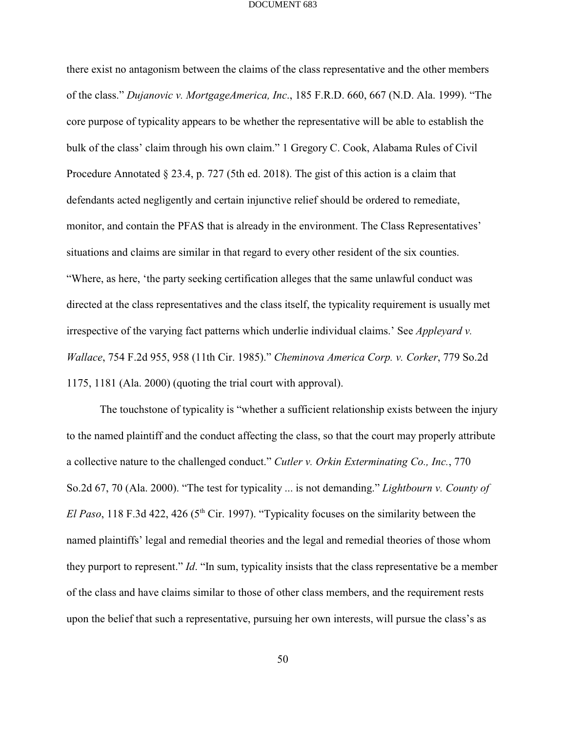there exist no antagonism between the claims of the class representative and the other members of the class." *Dujanovic v. MortgageAmerica, Inc*., 185 F.R.D. 660, 667 (N.D. Ala. 1999). "The core purpose of typicality appears to be whether the representative will be able to establish the bulk of the class' claim through his own claim." 1 Gregory C. Cook, Alabama Rules of Civil Procedure Annotated § 23.4, p. 727 (5th ed. 2018). The gist of this action is a claim that defendants acted negligently and certain injunctive relief should be ordered to remediate, monitor, and contain the PFAS that is already in the environment. The Class Representatives' situations and claims are similar in that regard to every other resident of the six counties. "Where, as here, 'the party seeking certification alleges that the same unlawful conduct was directed at the class representatives and the class itself, the typicality requirement is usually met irrespective of the varying fact patterns which underlie individual claims.' See *Appleyard v. Wallace*, 754 F.2d 955, 958 (11th Cir. 1985)." *Cheminova America Corp. v. Corker*, 779 So.2d 1175, 1181 (Ala. 2000) (quoting the trial court with approval).

The touchstone of typicality is "whether a sufficient relationship exists between the injury to the named plaintiff and the conduct affecting the class, so that the court may properly attribute a collective nature to the challenged conduct." *Cutler v. Orkin Exterminating Co., Inc.*, 770 So.2d 67, 70 (Ala. 2000). "The test for typicality ... is not demanding." *Lightbourn v. County of El Paso*, 118 F.3d 422, 426 ( $5<sup>th</sup>$  Cir. 1997). "Typicality focuses on the similarity between the named plaintiffs' legal and remedial theories and the legal and remedial theories of those whom they purport to represent." *Id*. "In sum, typicality insists that the class representative be a member of the class and have claims similar to those of other class members, and the requirement rests upon the belief that such a representative, pursuing her own interests, will pursue the class's as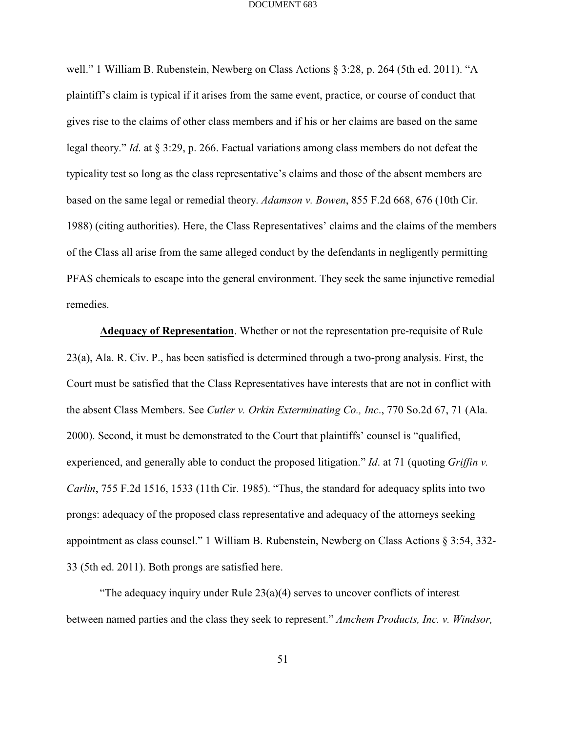well." 1 William B. Rubenstein, Newberg on Class Actions § 3:28, p. 264 (5th ed. 2011). "A plaintiff's claim is typical if it arises from the same event, practice, or course of conduct that gives rise to the claims of other class members and if his or her claims are based on the same legal theory." *Id*. at § 3:29, p. 266. Factual variations among class members do not defeat the typicality test so long as the class representative's claims and those of the absent members are based on the same legal or remedial theory. *Adamson v. Bowen*, 855 F.2d 668, 676 (10th Cir. 1988) (citing authorities). Here, the Class Representatives' claims and the claims of the members of the Class all arise from the same alleged conduct by the defendants in negligently permitting PFAS chemicals to escape into the general environment. They seek the same injunctive remedial remedies.

**Adequacy of Representation**. Whether or not the representation pre-requisite of Rule 23(a), Ala. R. Civ. P., has been satisfied is determined through a two-prong analysis. First, the Court must be satisfied that the Class Representatives have interests that are not in conflict with the absent Class Members. See *Cutler v. Orkin Exterminating Co., Inc*., 770 So.2d 67, 71 (Ala. 2000). Second, it must be demonstrated to the Court that plaintiffs' counsel is "qualified, experienced, and generally able to conduct the proposed litigation." *Id*. at 71 (quoting *Griffin v. Carlin*, 755 F.2d 1516, 1533 (11th Cir. 1985). "Thus, the standard for adequacy splits into two prongs: adequacy of the proposed class representative and adequacy of the attorneys seeking appointment as class counsel." 1 William B. Rubenstein, Newberg on Class Actions § 3:54, 332- 33 (5th ed. 2011). Both prongs are satisfied here.

"The adequacy inquiry under Rule  $23(a)(4)$  serves to uncover conflicts of interest between named parties and the class they seek to represent." *Amchem Products, Inc. v. Windsor,*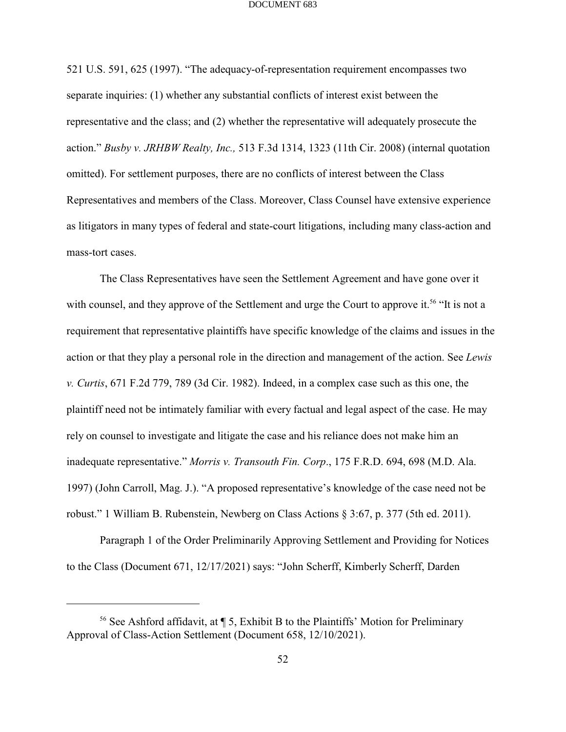521 U.S. 591, 625 (1997). "The adequacy-of-representation requirement encompasses two separate inquiries: (1) whether any substantial conflicts of interest exist between the representative and the class; and (2) whether the representative will adequately prosecute the action." *Busby v. JRHBW Realty, Inc.,* 513 F.3d 1314, 1323 (11th Cir. 2008) (internal quotation omitted). For settlement purposes, there are no conflicts of interest between the Class Representatives and members of the Class. Moreover, Class Counsel have extensive experience as litigators in many types of federal and state-court litigations, including many class-action and mass-tort cases.

The Class Representatives have seen the Settlement Agreement and have gone over it with counsel, and they approve of the Settlement and urge the Court to approve it.<sup>56</sup> "It is not a requirement that representative plaintiffs have specific knowledge of the claims and issues in the action or that they play a personal role in the direction and management of the action. See *Lewis v. Curtis*, 671 F.2d 779, 789 (3d Cir. 1982). Indeed, in a complex case such as this one, the plaintiff need not be intimately familiar with every factual and legal aspect of the case. He may rely on counsel to investigate and litigate the case and his reliance does not make him an inadequate representative." *Morris v. Transouth Fin. Corp*., 175 F.R.D. 694, 698 (M.D. Ala. 1997) (John Carroll, Mag. J.). "A proposed representative's knowledge of the case need not be robust." 1 William B. Rubenstein, Newberg on Class Actions § 3:67, p. 377 (5th ed. 2011).

Paragraph 1 of the Order Preliminarily Approving Settlement and Providing for Notices to the Class (Document 671, 12/17/2021) says: "John Scherff, Kimberly Scherff, Darden

<sup>&</sup>lt;sup>56</sup> See Ashford affidavit, at  $\P$  5, Exhibit B to the Plaintiffs' Motion for Preliminary Approval of Class-Action Settlement (Document 658, 12/10/2021).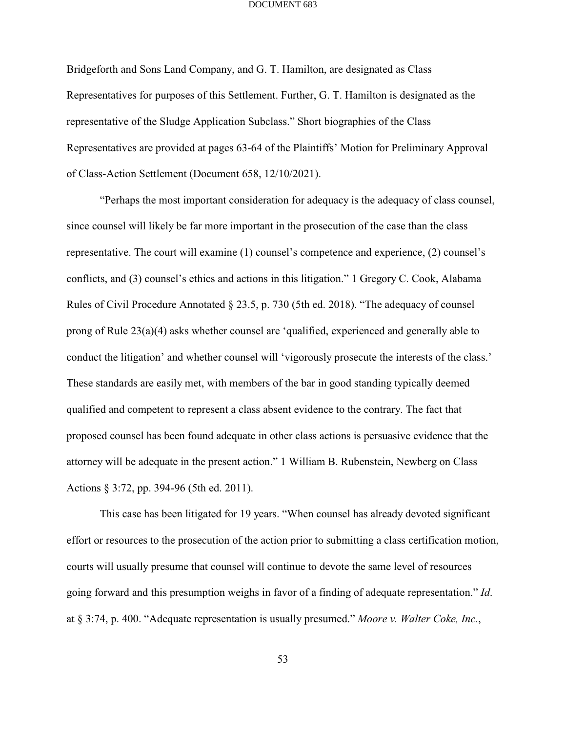Bridgeforth and Sons Land Company, and G. T. Hamilton, are designated as Class Representatives for purposes of this Settlement. Further, G. T. Hamilton is designated as the representative of the Sludge Application Subclass." Short biographies of the Class Representatives are provided at pages 63-64 of the Plaintiffs' Motion for Preliminary Approval of Class-Action Settlement (Document 658, 12/10/2021).

"Perhaps the most important consideration for adequacy is the adequacy of class counsel, since counsel will likely be far more important in the prosecution of the case than the class representative. The court will examine (1) counsel's competence and experience, (2) counsel's conflicts, and (3) counsel's ethics and actions in this litigation." 1 Gregory C. Cook, Alabama Rules of Civil Procedure Annotated § 23.5, p. 730 (5th ed. 2018). "The adequacy of counsel prong of Rule 23(a)(4) asks whether counsel are 'qualified, experienced and generally able to conduct the litigation' and whether counsel will 'vigorously prosecute the interests of the class.' These standards are easily met, with members of the bar in good standing typically deemed qualified and competent to represent a class absent evidence to the contrary. The fact that proposed counsel has been found adequate in other class actions is persuasive evidence that the attorney will be adequate in the present action." 1 William B. Rubenstein, Newberg on Class Actions § 3:72, pp. 394-96 (5th ed. 2011).

This case has been litigated for 19 years. "When counsel has already devoted significant effort or resources to the prosecution of the action prior to submitting a class certification motion, courts will usually presume that counsel will continue to devote the same level of resources going forward and this presumption weighs in favor of a finding of adequate representation." *Id*. at § 3:74, p. 400. "Adequate representation is usually presumed." *Moore v. Walter Coke, Inc.*,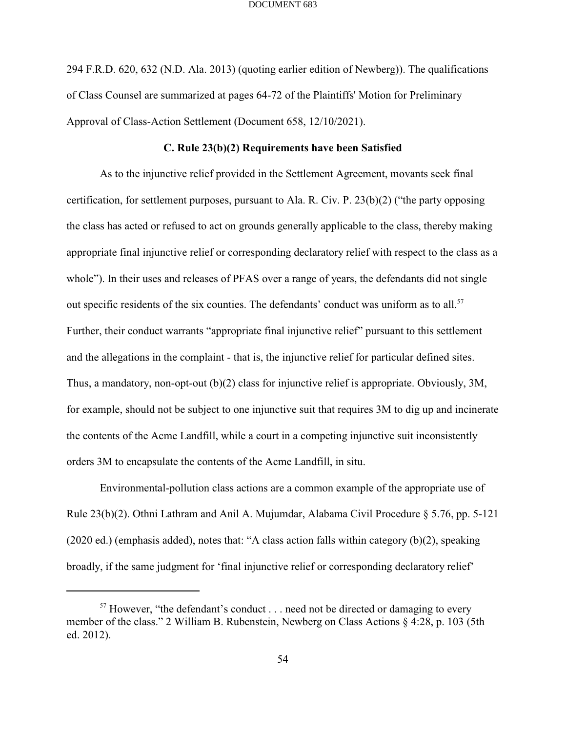294 F.R.D. 620, 632 (N.D. Ala. 2013) (quoting earlier edition of Newberg)). The qualifications of Class Counsel are summarized at pages 64-72 of the Plaintiffs' Motion for Preliminary Approval of Class-Action Settlement (Document 658, 12/10/2021).

### **C. Rule 23(b)(2) Requirements have been Satisfied**

As to the injunctive relief provided in the Settlement Agreement, movants seek final certification, for settlement purposes, pursuant to Ala. R. Civ. P. 23(b)(2) ("the party opposing the class has acted or refused to act on grounds generally applicable to the class, thereby making appropriate final injunctive relief or corresponding declaratory relief with respect to the class as a whole"). In their uses and releases of PFAS over a range of years, the defendants did not single out specific residents of the six counties. The defendants' conduct was uniform as to all.<sup>57</sup> Further, their conduct warrants "appropriate final injunctive relief" pursuant to this settlement and the allegations in the complaint - that is, the injunctive relief for particular defined sites. Thus, a mandatory, non-opt-out (b)(2) class for injunctive relief is appropriate. Obviously, 3M, for example, should not be subject to one injunctive suit that requires 3M to dig up and incinerate the contents of the Acme Landfill, while a court in a competing injunctive suit inconsistently orders 3M to encapsulate the contents of the Acme Landfill, in situ.

Environmental-pollution class actions are a common example of the appropriate use of Rule 23(b)(2). Othni Lathram and Anil A. Mujumdar, Alabama Civil Procedure § 5.76, pp. 5-121 (2020 ed.) (emphasis added), notes that: "A class action falls within category (b)(2), speaking broadly, if the same judgment for 'final injunctive relief or corresponding declaratory relief'

 $57$  However, "the defendant's conduct . . . need not be directed or damaging to every member of the class." 2 William B. Rubenstein, Newberg on Class Actions § 4:28, p. 103 (5th ed. 2012).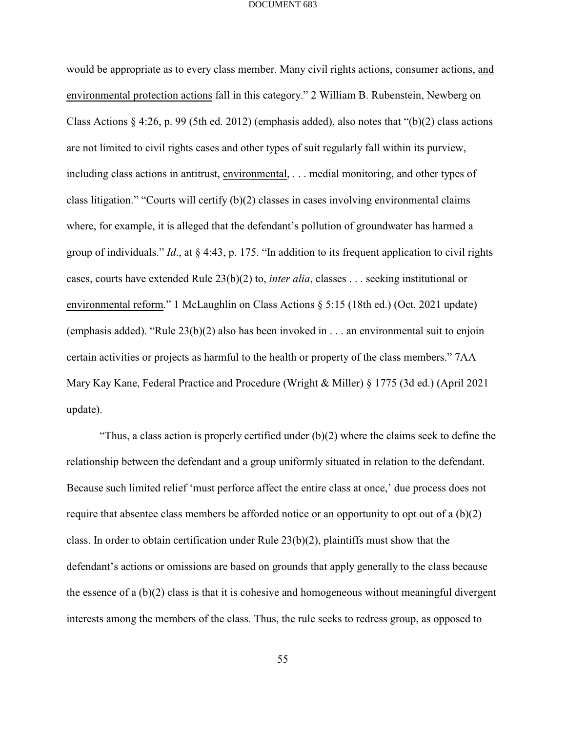would be appropriate as to every class member. Many civil rights actions, consumer actions, and environmental protection actions fall in this category." 2 William B. Rubenstein, Newberg on Class Actions  $\S$  4:26, p. 99 (5th ed. 2012) (emphasis added), also notes that "(b)(2) class actions are not limited to civil rights cases and other types of suit regularly fall within its purview, including class actions in antitrust, environmental, . . . medial monitoring, and other types of class litigation." "Courts will certify (b)(2) classes in cases involving environmental claims where, for example, it is alleged that the defendant's pollution of groundwater has harmed a group of individuals." *Id*., at § 4:43, p. 175. "In addition to its frequent application to civil rights cases, courts have extended Rule 23(b)(2) to, *inter alia*, classes . . . seeking institutional or environmental reform." 1 McLaughlin on Class Actions § 5:15 (18th ed.) (Oct. 2021 update) (emphasis added). "Rule 23(b)(2) also has been invoked in . . . an environmental suit to enjoin certain activities or projects as harmful to the health or property of the class members." 7AA Mary Kay Kane, Federal Practice and Procedure (Wright & Miller) § 1775 (3d ed.) (April 2021 update).

"Thus, a class action is properly certified under (b)(2) where the claims seek to define the relationship between the defendant and a group uniformly situated in relation to the defendant. Because such limited relief 'must perforce affect the entire class at once,' due process does not require that absentee class members be afforded notice or an opportunity to opt out of a (b)(2) class. In order to obtain certification under Rule 23(b)(2), plaintiffs must show that the defendant's actions or omissions are based on grounds that apply generally to the class because the essence of a  $(b)(2)$  class is that it is cohesive and homogeneous without meaningful divergent interests among the members of the class. Thus, the rule seeks to redress group, as opposed to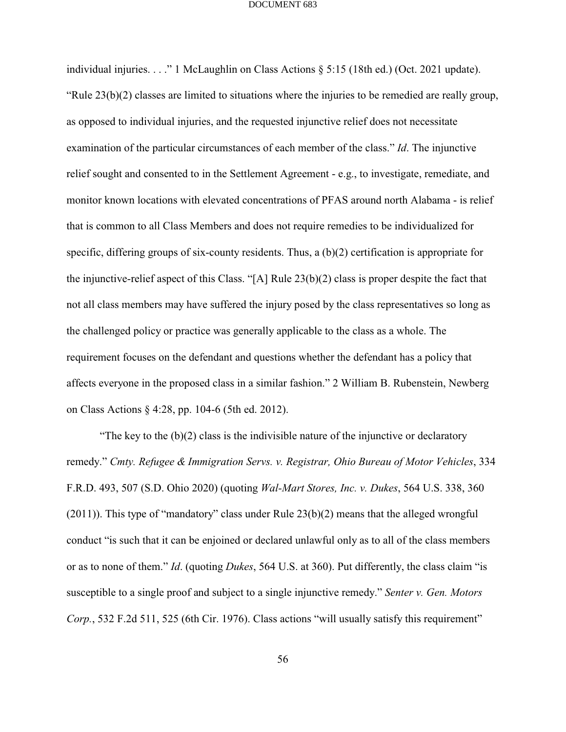individual injuries. . . ." 1 McLaughlin on Class Actions § 5:15 (18th ed.) (Oct. 2021 update). "Rule  $23(b)(2)$  classes are limited to situations where the injuries to be remedied are really group, as opposed to individual injuries, and the requested injunctive relief does not necessitate examination of the particular circumstances of each member of the class." *Id*. The injunctive relief sought and consented to in the Settlement Agreement - e.g., to investigate, remediate, and monitor known locations with elevated concentrations of PFAS around north Alabama - is relief that is common to all Class Members and does not require remedies to be individualized for specific, differing groups of six-county residents. Thus, a (b)(2) certification is appropriate for the injunctive-relief aspect of this Class. "[A] Rule 23(b)(2) class is proper despite the fact that not all class members may have suffered the injury posed by the class representatives so long as the challenged policy or practice was generally applicable to the class as a whole. The requirement focuses on the defendant and questions whether the defendant has a policy that affects everyone in the proposed class in a similar fashion." 2 William B. Rubenstein, Newberg on Class Actions § 4:28, pp. 104-6 (5th ed. 2012).

"The key to the  $(b)(2)$  class is the indivisible nature of the injunctive or declaratory remedy." *Cmty. Refugee & Immigration Servs. v. Registrar, Ohio Bureau of Motor Vehicles*, 334 F.R.D. 493, 507 (S.D. Ohio 2020) (quoting *Wal-Mart Stores, Inc. v. Dukes*, 564 U.S. 338, 360 (2011)). This type of "mandatory" class under Rule 23(b)(2) means that the alleged wrongful conduct "is such that it can be enjoined or declared unlawful only as to all of the class members or as to none of them." *Id*. (quoting *Dukes*, 564 U.S. at 360). Put differently, the class claim "is susceptible to a single proof and subject to a single injunctive remedy." *Senter v. Gen. Motors Corp.*, 532 F.2d 511, 525 (6th Cir. 1976). Class actions "will usually satisfy this requirement"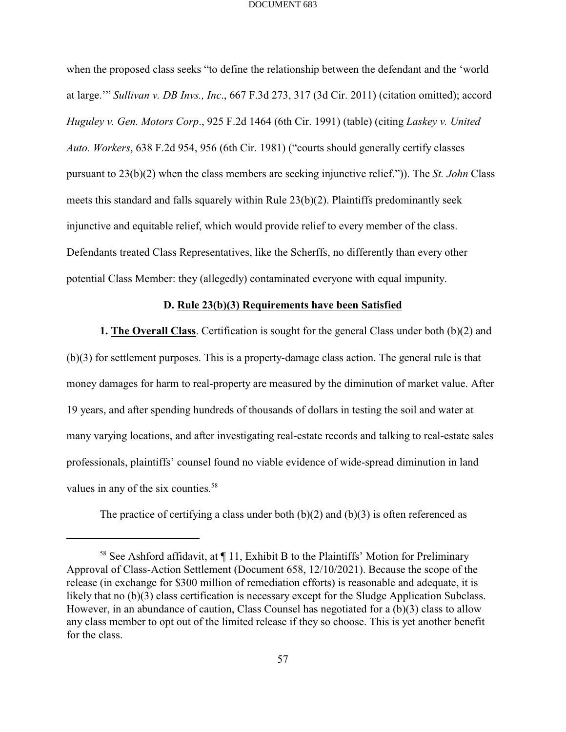when the proposed class seeks "to define the relationship between the defendant and the 'world at large.'" *Sullivan v. DB Invs., Inc*., 667 F.3d 273, 317 (3d Cir. 2011) (citation omitted); accord *Huguley v. Gen. Motors Corp*., 925 F.2d 1464 (6th Cir. 1991) (table) (citing *Laskey v. United Auto. Workers*, 638 F.2d 954, 956 (6th Cir. 1981) ("courts should generally certify classes pursuant to 23(b)(2) when the class members are seeking injunctive relief.")). The *St. John* Class meets this standard and falls squarely within Rule  $23(b)(2)$ . Plaintiffs predominantly seek injunctive and equitable relief, which would provide relief to every member of the class. Defendants treated Class Representatives, like the Scherffs, no differently than every other potential Class Member: they (allegedly) contaminated everyone with equal impunity.

### **D. Rule 23(b)(3) Requirements have been Satisfied**

**1. The Overall Class**. Certification is sought for the general Class under both (b)(2) and (b)(3) for settlement purposes. This is a property-damage class action. The general rule is that money damages for harm to real-property are measured by the diminution of market value. After 19 years, and after spending hundreds of thousands of dollars in testing the soil and water at many varying locations, and after investigating real-estate records and talking to real-estate sales professionals, plaintiffs' counsel found no viable evidence of wide-spread diminution in land values in any of the six counties.<sup>58</sup>

The practice of certifying a class under both  $(b)(2)$  and  $(b)(3)$  is often referenced as

 $58$  See Ashford affidavit, at  $\P$  11, Exhibit B to the Plaintiffs' Motion for Preliminary Approval of Class-Action Settlement (Document 658, 12/10/2021). Because the scope of the release (in exchange for \$300 million of remediation efforts) is reasonable and adequate, it is likely that no (b)(3) class certification is necessary except for the Sludge Application Subclass. However, in an abundance of caution, Class Counsel has negotiated for a (b)(3) class to allow any class member to opt out of the limited release if they so choose. This is yet another benefit for the class.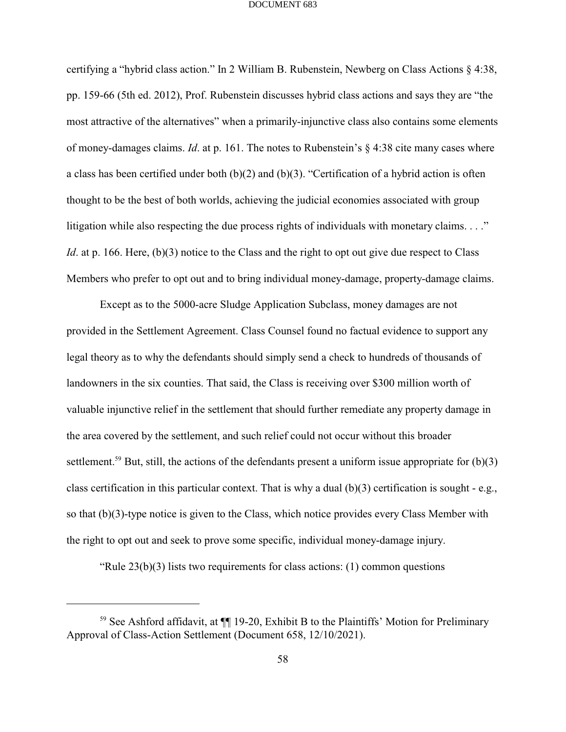certifying a "hybrid class action." In 2 William B. Rubenstein, Newberg on Class Actions § 4:38, pp. 159-66 (5th ed. 2012), Prof. Rubenstein discusses hybrid class actions and says they are "the most attractive of the alternatives" when a primarily-injunctive class also contains some elements of money-damages claims. *Id*. at p. 161. The notes to Rubenstein's § 4:38 cite many cases where a class has been certified under both (b)(2) and (b)(3). "Certification of a hybrid action is often thought to be the best of both worlds, achieving the judicial economies associated with group litigation while also respecting the due process rights of individuals with monetary claims. . . ." *Id*. at p. 166. Here, (b)(3) notice to the Class and the right to opt out give due respect to Class Members who prefer to opt out and to bring individual money-damage, property-damage claims.

Except as to the 5000-acre Sludge Application Subclass, money damages are not provided in the Settlement Agreement. Class Counsel found no factual evidence to support any legal theory as to why the defendants should simply send a check to hundreds of thousands of landowners in the six counties. That said, the Class is receiving over \$300 million worth of valuable injunctive relief in the settlement that should further remediate any property damage in the area covered by the settlement, and such relief could not occur without this broader settlement.<sup>59</sup> But, still, the actions of the defendants present a uniform issue appropriate for  $(b)(3)$ class certification in this particular context. That is why a dual (b)(3) certification is sought - e.g., so that (b)(3)-type notice is given to the Class, which notice provides every Class Member with the right to opt out and seek to prove some specific, individual money-damage injury.

"Rule  $23(b)(3)$  lists two requirements for class actions: (1) common questions

<sup>&</sup>lt;sup>59</sup> See Ashford affidavit, at  $\P$  19-20, Exhibit B to the Plaintiffs' Motion for Preliminary Approval of Class-Action Settlement (Document 658, 12/10/2021).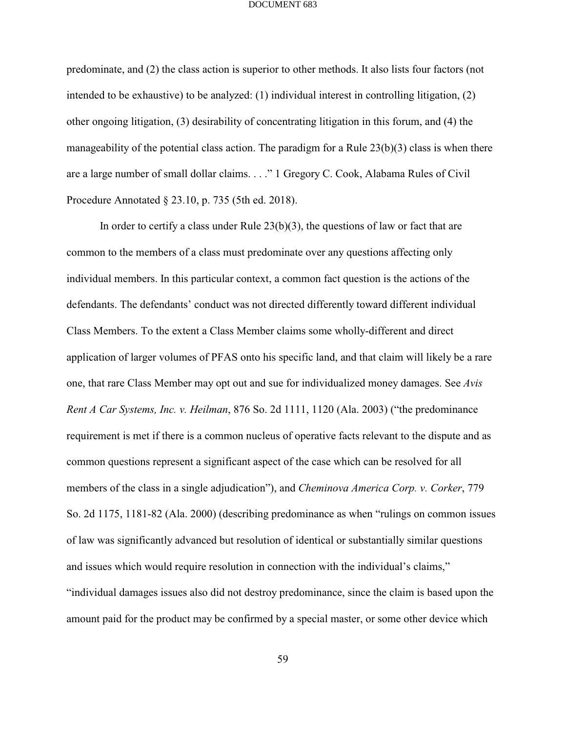predominate, and (2) the class action is superior to other methods. It also lists four factors (not intended to be exhaustive) to be analyzed: (1) individual interest in controlling litigation, (2) other ongoing litigation, (3) desirability of concentrating litigation in this forum, and (4) the manageability of the potential class action. The paradigm for a Rule 23(b)(3) class is when there are a large number of small dollar claims. . . ." 1 Gregory C. Cook, Alabama Rules of Civil Procedure Annotated § 23.10, p. 735 (5th ed. 2018).

In order to certify a class under Rule  $23(b)(3)$ , the questions of law or fact that are common to the members of a class must predominate over any questions affecting only individual members. In this particular context, a common fact question is the actions of the defendants. The defendants' conduct was not directed differently toward different individual Class Members. To the extent a Class Member claims some wholly-different and direct application of larger volumes of PFAS onto his specific land, and that claim will likely be a rare one, that rare Class Member may opt out and sue for individualized money damages. See *Avis Rent A Car Systems, Inc. v. Heilman*, 876 So. 2d 1111, 1120 (Ala. 2003) ("the predominance requirement is met if there is a common nucleus of operative facts relevant to the dispute and as common questions represent a significant aspect of the case which can be resolved for all members of the class in a single adjudication"), and *Cheminova America Corp. v. Corker*, 779 So. 2d 1175, 1181-82 (Ala. 2000) (describing predominance as when "rulings on common issues of law was significantly advanced but resolution of identical or substantially similar questions and issues which would require resolution in connection with the individual's claims," "individual damages issues also did not destroy predominance, since the claim is based upon the amount paid for the product may be confirmed by a special master, or some other device which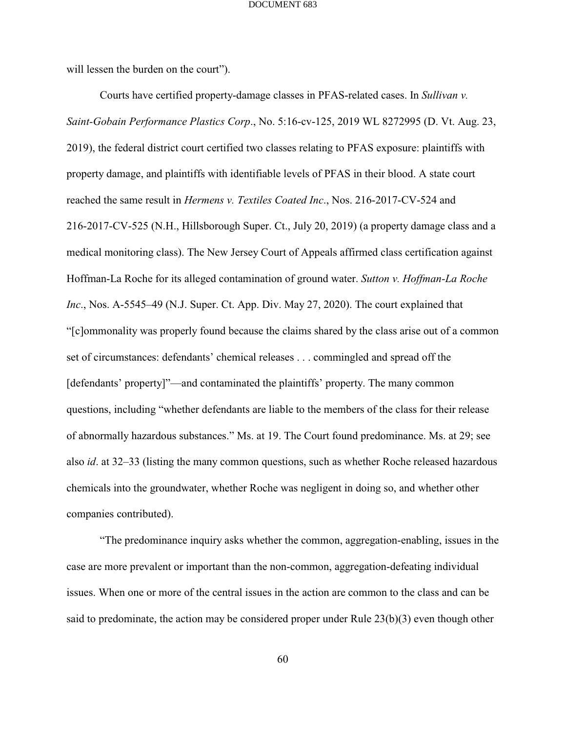will lessen the burden on the court").

Courts have certified property-damage classes in PFAS-related cases. In *Sullivan v. Saint-Gobain Performance Plastics Corp*., No. 5:16-cv-125, 2019 WL 8272995 (D. Vt. Aug. 23, 2019), the federal district court certified two classes relating to PFAS exposure: plaintiffs with property damage, and plaintiffs with identifiable levels of PFAS in their blood. A state court reached the same result in *Hermens v. Textiles Coated Inc*., Nos. 216-2017-CV-524 and 216-2017-CV-525 (N.H., Hillsborough Super. Ct., July 20, 2019) (a property damage class and a medical monitoring class). The New Jersey Court of Appeals affirmed class certification against Hoffman-La Roche for its alleged contamination of ground water. *Sutton v. Hoffman-La Roche Inc*., Nos. A-5545–49 (N.J. Super. Ct. App. Div. May 27, 2020). The court explained that "[c]ommonality was properly found because the claims shared by the class arise out of a common set of circumstances: defendants' chemical releases . . . commingled and spread off the [defendants' property]"—and contaminated the plaintiffs' property. The many common questions, including "whether defendants are liable to the members of the class for their release of abnormally hazardous substances." Ms. at 19. The Court found predominance. Ms. at 29; see also *id*. at 32–33 (listing the many common questions, such as whether Roche released hazardous chemicals into the groundwater, whether Roche was negligent in doing so, and whether other companies contributed).

"The predominance inquiry asks whether the common, aggregation-enabling, issues in the case are more prevalent or important than the non-common, aggregation-defeating individual issues. When one or more of the central issues in the action are common to the class and can be said to predominate, the action may be considered proper under Rule 23(b)(3) even though other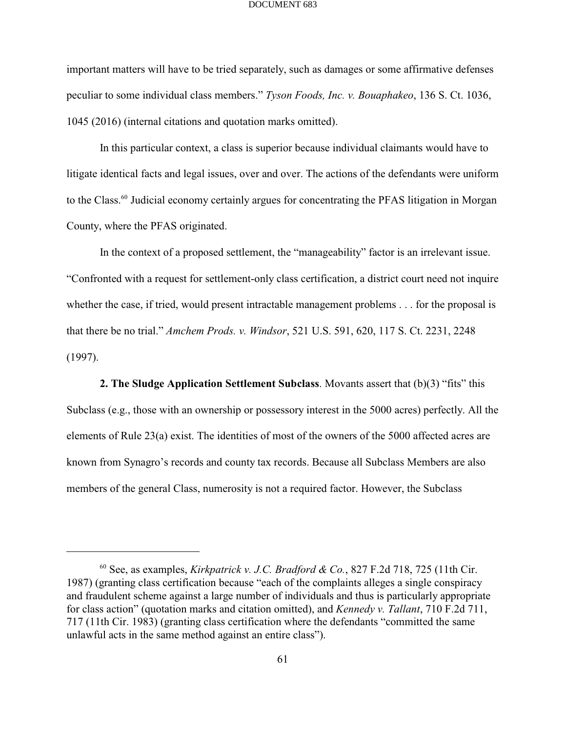important matters will have to be tried separately, such as damages or some affirmative defenses peculiar to some individual class members." *Tyson Foods, Inc. v. Bouaphakeo*, 136 S. Ct. 1036, 1045 (2016) (internal citations and quotation marks omitted).

In this particular context, a class is superior because individual claimants would have to litigate identical facts and legal issues, over and over. The actions of the defendants were uniform to the Class.<sup>60</sup> Judicial economy certainly argues for concentrating the PFAS litigation in Morgan County, where the PFAS originated.

In the context of a proposed settlement, the "manageability" factor is an irrelevant issue. "Confronted with a request for settlement-only class certification, a district court need not inquire whether the case, if tried, would present intractable management problems . . . for the proposal is that there be no trial." *Amchem Prods. v. Windsor*, 521 U.S. 591, 620, 117 S. Ct. 2231, 2248 (1997).

**2. The Sludge Application Settlement Subclass**. Movants assert that (b)(3) "fits" this Subclass (e.g., those with an ownership or possessory interest in the 5000 acres) perfectly. All the elements of Rule 23(a) exist. The identities of most of the owners of the 5000 affected acres are known from Synagro's records and county tax records. Because all Subclass Members are also members of the general Class, numerosity is not a required factor. However, the Subclass

 $^{60}$  See, as examples, *Kirkpatrick v. J.C. Bradford & Co.*, 827 F.2d 718, 725 (11th Cir. 1987) (granting class certification because "each of the complaints alleges a single conspiracy and fraudulent scheme against a large number of individuals and thus is particularly appropriate for class action" (quotation marks and citation omitted), and *Kennedy v. Tallant*, 710 F.2d 711, 717 (11th Cir. 1983) (granting class certification where the defendants "committed the same unlawful acts in the same method against an entire class").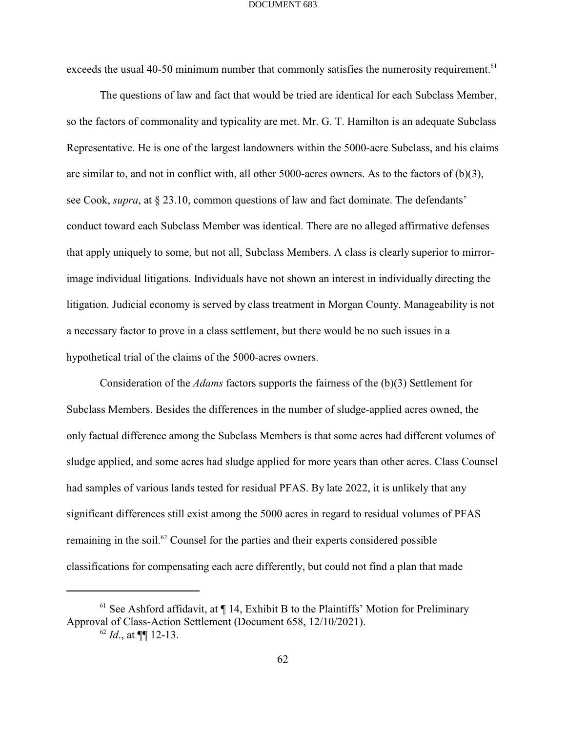exceeds the usual 40-50 minimum number that commonly satisfies the numerosity requirement.<sup>61</sup>

The questions of law and fact that would be tried are identical for each Subclass Member, so the factors of commonality and typicality are met. Mr. G. T. Hamilton is an adequate Subclass Representative. He is one of the largest landowners within the 5000-acre Subclass, and his claims are similar to, and not in conflict with, all other 5000-acres owners. As to the factors of  $(b)(3)$ , see Cook, *supra*, at § 23.10, common questions of law and fact dominate. The defendants' conduct toward each Subclass Member was identical. There are no alleged affirmative defenses that apply uniquely to some, but not all, Subclass Members. A class is clearly superior to mirrorimage individual litigations. Individuals have not shown an interest in individually directing the litigation. Judicial economy is served by class treatment in Morgan County. Manageability is not a necessary factor to prove in a class settlement, but there would be no such issues in a hypothetical trial of the claims of the 5000-acres owners.

Consideration of the *Adams* factors supports the fairness of the (b)(3) Settlement for Subclass Members. Besides the differences in the number of sludge-applied acres owned, the only factual difference among the Subclass Members is that some acres had different volumes of sludge applied, and some acres had sludge applied for more years than other acres. Class Counsel had samples of various lands tested for residual PFAS. By late 2022, it is unlikely that any significant differences still exist among the 5000 acres in regard to residual volumes of PFAS remaining in the soil.<sup> $62$ </sup> Counsel for the parties and their experts considered possible classifications for compensating each acre differently, but could not find a plan that made

 $61$  See Ashford affidavit, at  $\P$  14, Exhibit B to the Plaintiffs' Motion for Preliminary Approval of Class-Action Settlement (Document 658, 12/10/2021).

 $^{62}$  *Id.*, at **[[**] 12-13.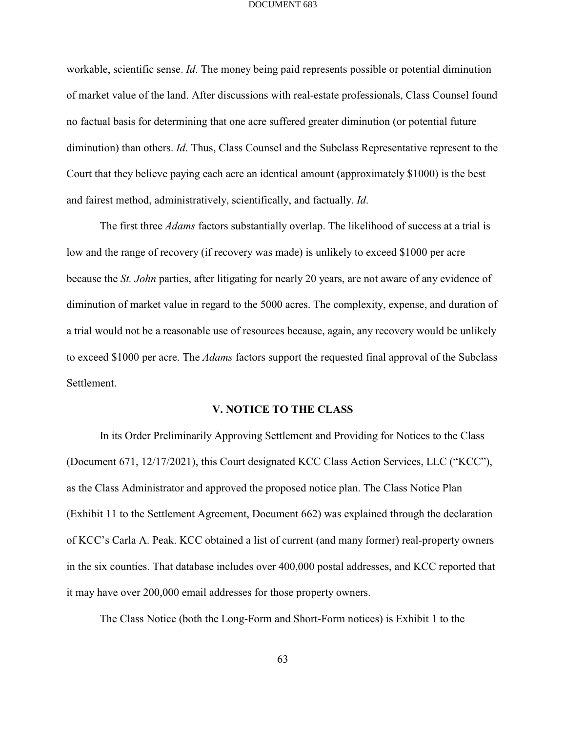workable, scientific sense. *Id*. The money being paid represents possible or potential diminution of market value of the land. After discussions with real-estate professionals, Class Counsel found no factual basis for determining that one acre suffered greater diminution (or potential future diminution) than others. *Id*. Thus, Class Counsel and the Subclass Representative represent to the Court that they believe paying each acre an identical amount (approximately \$1000) is the best and fairest method, administratively, scientifically, and factually. *Id*.

The first three *Adams* factors substantially overlap. The likelihood of success at a trial is low and the range of recovery (if recovery was made) is unlikely to exceed \$1000 per acre because the *St. John* parties, after litigating for nearly 20 years, are not aware of any evidence of diminution of market value in regard to the 5000 acres. The complexity, expense, and duration of a trial would not be a reasonable use of resources because, again, any recovery would be unlikely to exceed \$1000 per acre. The *Adams* factors support the requested final approval of the Subclass Settlement.

### **V. NOTICE TO THE CLASS**

In its Order Preliminarily Approving Settlement and Providing for Notices to the Class (Document 671, 12/17/2021), this Court designated KCC Class Action Services, LLC ("KCC"), as the Class Administrator and approved the proposed notice plan. The Class Notice Plan (Exhibit 11 to the Settlement Agreement, Document 662) was explained through the declaration of KCC's Carla A. Peak. KCC obtained a list of current (and many former) real-property owners in the six counties. That database includes over 400,000 postal addresses, and KCC reported that it may have over 200,000 email addresses for those property owners.

The Class Notice (both the Long-Form and Short-Form notices) is Exhibit 1 to the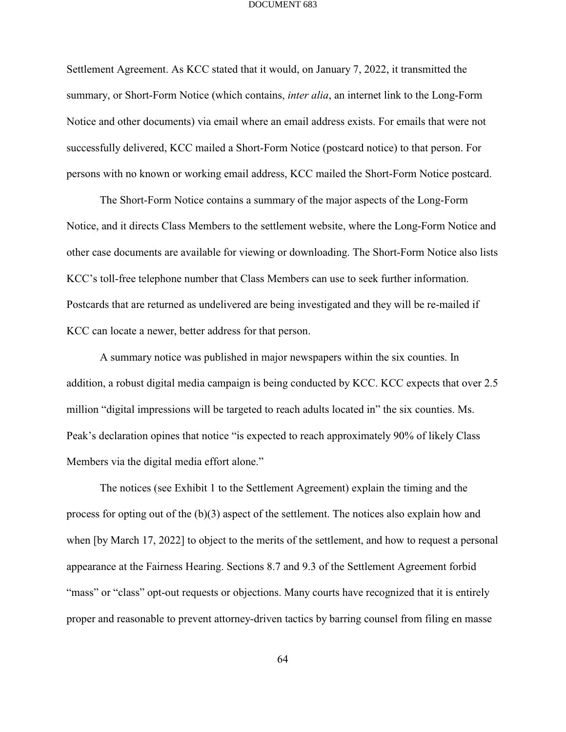Settlement Agreement. As KCC stated that it would, on January 7, 2022, it transmitted the summary, or Short-Form Notice (which contains, *inter alia*, an internet link to the Long-Form Notice and other documents) via email where an email address exists. For emails that were not successfully delivered, KCC mailed a Short-Form Notice (postcard notice) to that person. For persons with no known or working email address, KCC mailed the Short-Form Notice postcard.

The Short-Form Notice contains a summary of the major aspects of the Long-Form Notice, and it directs Class Members to the settlement website, where the Long-Form Notice and other case documents are available for viewing or downloading. The Short-Form Notice also lists KCC's toll-free telephone number that Class Members can use to seek further information. Postcards that are returned as undelivered are being investigated and they will be re-mailed if KCC can locate a newer, better address for that person.

A summary notice was published in major newspapers within the six counties. In addition, a robust digital media campaign is being conducted by KCC. KCC expects that over 2.5 million "digital impressions will be targeted to reach adults located in" the six counties. Ms. Peak's declaration opines that notice "is expected to reach approximately 90% of likely Class Members via the digital media effort alone."

The notices (see Exhibit 1 to the Settlement Agreement) explain the timing and the process for opting out of the (b)(3) aspect of the settlement. The notices also explain how and when [by March 17, 2022] to object to the merits of the settlement, and how to request a personal appearance at the Fairness Hearing. Sections 8.7 and 9.3 of the Settlement Agreement forbid "mass" or "class" opt-out requests or objections. Many courts have recognized that it is entirely proper and reasonable to prevent attorney-driven tactics by barring counsel from filing en masse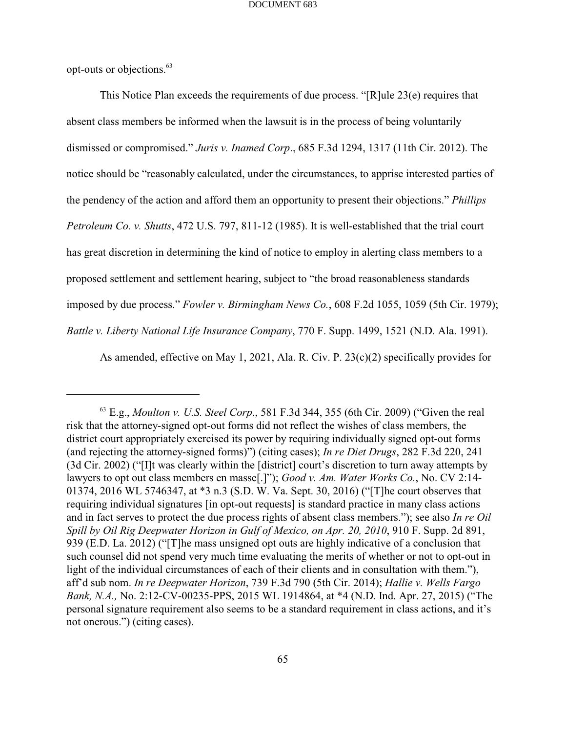opt-outs or objections.<sup>63</sup>

This Notice Plan exceeds the requirements of due process. "[R]ule 23(e) requires that absent class members be informed when the lawsuit is in the process of being voluntarily dismissed or compromised." *Juris v. Inamed Corp*., 685 F.3d 1294, 1317 (11th Cir. 2012). The notice should be "reasonably calculated, under the circumstances, to apprise interested parties of the pendency of the action and afford them an opportunity to present their objections." *Phillips Petroleum Co. v. Shutts*, 472 U.S. 797, 811-12 (1985). It is well-established that the trial court has great discretion in determining the kind of notice to employ in alerting class members to a proposed settlement and settlement hearing, subject to "the broad reasonableness standards imposed by due process." *Fowler v. Birmingham News Co.*, 608 F.2d 1055, 1059 (5th Cir. 1979); *Battle v. Liberty National Life Insurance Company*, 770 F. Supp. 1499, 1521 (N.D. Ala. 1991).

As amended, effective on May 1, 2021, Ala. R. Civ. P. 23(c)(2) specifically provides for

 $^{63}$  E.g., *Moulton v. U.S. Steel Corp.*, 581 F.3d 344, 355 (6th Cir. 2009) ("Given the real risk that the attorney-signed opt-out forms did not reflect the wishes of class members, the district court appropriately exercised its power by requiring individually signed opt-out forms (and rejecting the attorney-signed forms)") (citing cases); *In re Diet Drugs*, 282 F.3d 220, 241 (3d Cir. 2002) ("[I]t was clearly within the [district] court's discretion to turn away attempts by lawyers to opt out class members en masse[.]"); *Good v. Am. Water Works Co.*, No. CV 2:14- 01374, 2016 WL 5746347, at \*3 n.3 (S.D. W. Va. Sept. 30, 2016) ("[T]he court observes that requiring individual signatures [in opt-out requests] is standard practice in many class actions and in fact serves to protect the due process rights of absent class members."); see also *In re Oil Spill by Oil Rig Deepwater Horizon in Gulf of Mexico, on Apr. 20, 2010*, 910 F. Supp. 2d 891, 939 (E.D. La. 2012) ("[T]he mass unsigned opt outs are highly indicative of a conclusion that such counsel did not spend very much time evaluating the merits of whether or not to opt-out in light of the individual circumstances of each of their clients and in consultation with them."), aff'd sub nom. *In re Deepwater Horizon*, 739 F.3d 790 (5th Cir. 2014); *Hallie v. Wells Fargo Bank, N.A.,* No. 2:12-CV-00235-PPS, 2015 WL 1914864, at \*4 (N.D. Ind. Apr. 27, 2015) ("The personal signature requirement also seems to be a standard requirement in class actions, and it's not onerous.") (citing cases).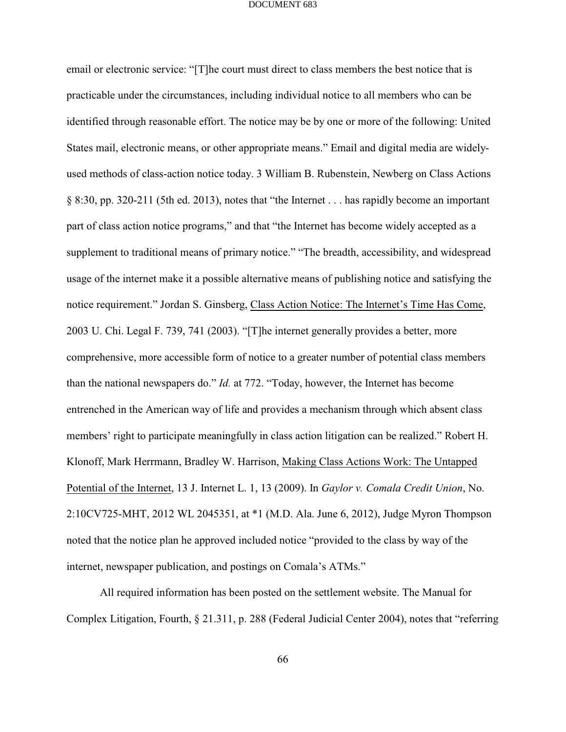email or electronic service: "[T]he court must direct to class members the best notice that is practicable under the circumstances, including individual notice to all members who can be identified through reasonable effort. The notice may be by one or more of the following: United States mail, electronic means, or other appropriate means." Email and digital media are widelyused methods of class-action notice today. 3 William B. Rubenstein, Newberg on Class Actions § 8:30, pp. 320-211 (5th ed. 2013), notes that "the Internet . . . has rapidly become an important part of class action notice programs," and that "the Internet has become widely accepted as a supplement to traditional means of primary notice." "The breadth, accessibility, and widespread usage of the internet make it a possible alternative means of publishing notice and satisfying the notice requirement." Jordan S. Ginsberg, Class Action Notice: The Internet's Time Has Come, 2003 U. Chi. Legal F. 739, 741 (2003). "[T]he internet generally provides a better, more comprehensive, more accessible form of notice to a greater number of potential class members than the national newspapers do." *Id.* at 772. "Today, however, the Internet has become entrenched in the American way of life and provides a mechanism through which absent class members' right to participate meaningfully in class action litigation can be realized." Robert H. Klonoff, Mark Herrmann, Bradley W. Harrison, Making Class Actions Work: The Untapped Potential of the Internet, 13 J. Internet L. 1, 13 (2009). In *Gaylor v. Comala Credit Union*, No. 2:10CV725-MHT, 2012 WL 2045351, at \*1 (M.D. Ala. June 6, 2012), Judge Myron Thompson noted that the notice plan he approved included notice "provided to the class by way of the internet, newspaper publication, and postings on Comala's ATMs."

All required information has been posted on the settlement website. The Manual for Complex Litigation, Fourth, § 21.311, p. 288 (Federal Judicial Center 2004), notes that "referring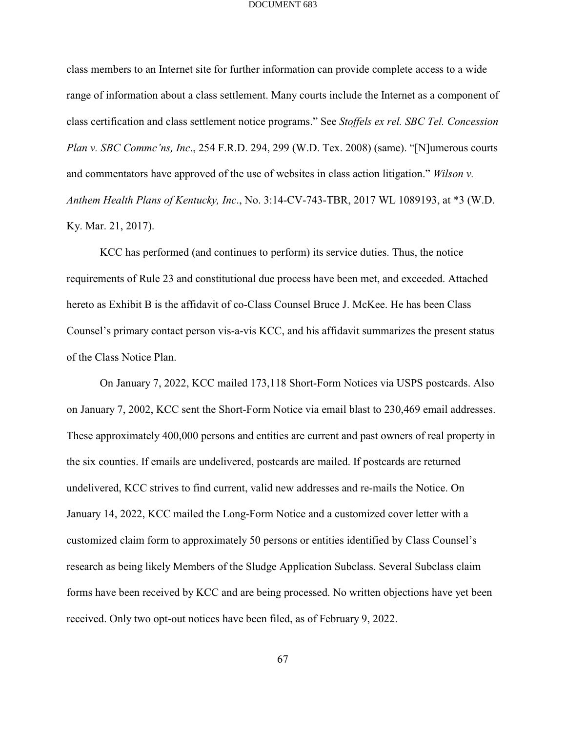class members to an Internet site for further information can provide complete access to a wide range of information about a class settlement. Many courts include the Internet as a component of class certification and class settlement notice programs." See *Stoffels ex rel. SBC Tel. Concession Plan v. SBC Commc'ns, Inc*., 254 F.R.D. 294, 299 (W.D. Tex. 2008) (same). "[N]umerous courts and commentators have approved of the use of websites in class action litigation." *Wilson v. Anthem Health Plans of Kentucky, Inc*., No. 3:14-CV-743-TBR, 2017 WL 1089193, at \*3 (W.D. Ky. Mar. 21, 2017).

KCC has performed (and continues to perform) its service duties. Thus, the notice requirements of Rule 23 and constitutional due process have been met, and exceeded. Attached hereto as Exhibit B is the affidavit of co-Class Counsel Bruce J. McKee. He has been Class Counsel's primary contact person vis-a-vis KCC, and his affidavit summarizes the present status of the Class Notice Plan.

On January 7, 2022, KCC mailed 173,118 Short-Form Notices via USPS postcards. Also on January 7, 2002, KCC sent the Short-Form Notice via email blast to 230,469 email addresses. These approximately 400,000 persons and entities are current and past owners of real property in the six counties. If emails are undelivered, postcards are mailed. If postcards are returned undelivered, KCC strives to find current, valid new addresses and re-mails the Notice. On January 14, 2022, KCC mailed the Long-Form Notice and a customized cover letter with a customized claim form to approximately 50 persons or entities identified by Class Counsel's research as being likely Members of the Sludge Application Subclass. Several Subclass claim forms have been received by KCC and are being processed. No written objections have yet been received. Only two opt-out notices have been filed, as of February 9, 2022.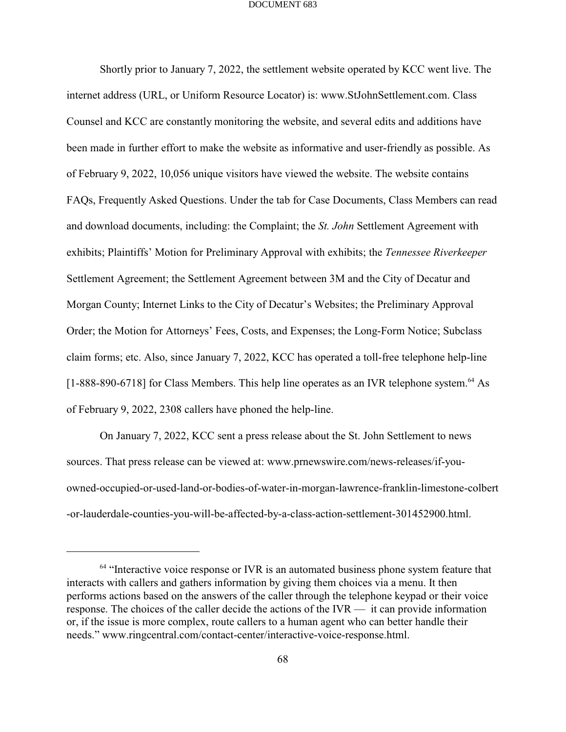Shortly prior to January 7, 2022, the settlement website operated by KCC went live. The internet address (URL, or Uniform Resource Locator) is: www.StJohnSettlement.com. Class Counsel and KCC are constantly monitoring the website, and several edits and additions have been made in further effort to make the website as informative and user-friendly as possible. As of February 9, 2022, 10,056 unique visitors have viewed the website. The website contains FAQs, Frequently Asked Questions. Under the tab for Case Documents, Class Members can read and download documents, including: the Complaint; the *St. John* Settlement Agreement with exhibits; Plaintiffs' Motion for Preliminary Approval with exhibits; the *Tennessee Riverkeeper* Settlement Agreement; the Settlement Agreement between 3M and the City of Decatur and Morgan County; Internet Links to the City of Decatur's Websites; the Preliminary Approval Order; the Motion for Attorneys' Fees, Costs, and Expenses; the Long-Form Notice; Subclass claim forms; etc. Also, since January 7, 2022, KCC has operated a toll-free telephone help-line  $[1-888-890-6718]$  for Class Members. This help line operates as an IVR telephone system.<sup>64</sup> As of February 9, 2022, 2308 callers have phoned the help-line.

On January 7, 2022, KCC sent a press release about the St. John Settlement to news sources. That press release can be viewed at: www.prnewswire.com/news-releases/if-youowned-occupied-or-used-land-or-bodies-of-water-in-morgan-lawrence-franklin-limestone-colbert -or-lauderdale-counties-you-will-be-affected-by-a-class-action-settlement-301452900.html.

 $<sup>64</sup>$  "Interactive voice response or IVR is an automated business phone system feature that</sup> interacts with callers and gathers information by giving them choices via a menu. It then performs actions based on the answers of the caller through the telephone keypad or their voice response. The choices of the caller decide the actions of the IVR — it can provide information or, if the issue is more complex, route callers to a human agent who can better handle their needs." www.ringcentral.com/contact-center/interactive-voice-response.html.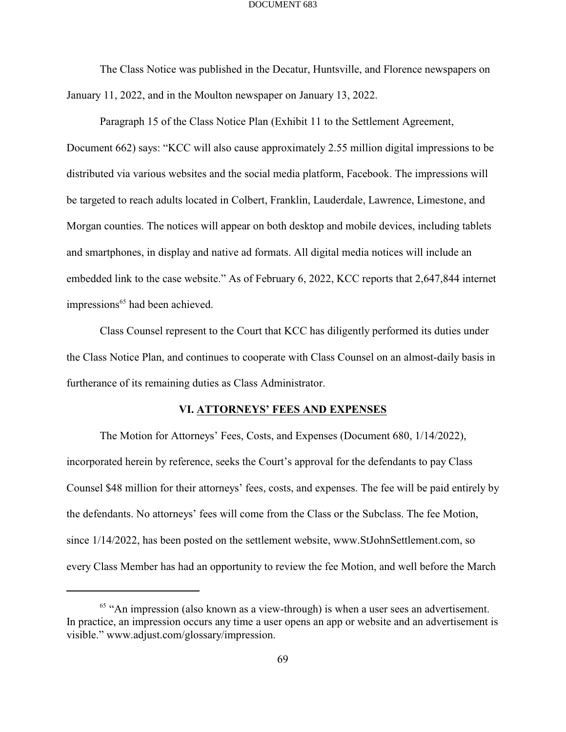The Class Notice was published in the Decatur, Huntsville, and Florence newspapers on January 11, 2022, and in the Moulton newspaper on January 13, 2022.

Paragraph 15 of the Class Notice Plan (Exhibit 11 to the Settlement Agreement, Document 662) says: "KCC will also cause approximately 2.55 million digital impressions to be distributed via various websites and the social media platform, Facebook. The impressions will be targeted to reach adults located in Colbert, Franklin, Lauderdale, Lawrence, Limestone, and Morgan counties. The notices will appear on both desktop and mobile devices, including tablets and smartphones, in display and native ad formats. All digital media notices will include an embedded link to the case website." As of February 6, 2022, KCC reports that 2,647,844 internet impressions<sup>65</sup> had been achieved.

Class Counsel represent to the Court that KCC has diligently performed its duties under the Class Notice Plan, and continues to cooperate with Class Counsel on an almost-daily basis in furtherance of its remaining duties as Class Administrator.

## **VI. ATTORNEYS' FEES AND EXPENSES**

The Motion for Attorneys' Fees, Costs, and Expenses (Document 680, 1/14/2022), incorporated herein by reference, seeks the Court's approval for the defendants to pay Class Counsel \$48 million for their attorneys' fees, costs, and expenses. The fee will be paid entirely by the defendants. No attorneys' fees will come from the Class or the Subclass. The fee Motion, since 1/14/2022, has been posted on the settlement website, www.StJohnSettlement.com, so every Class Member has had an opportunity to review the fee Motion, and well before the March

 $<sup>65</sup>$  "An impression (also known as a view-through) is when a user sees an advertisement.</sup> In practice, an impression occurs any time a user opens an app or website and an advertisement is visible." www.adjust.com/glossary/impression.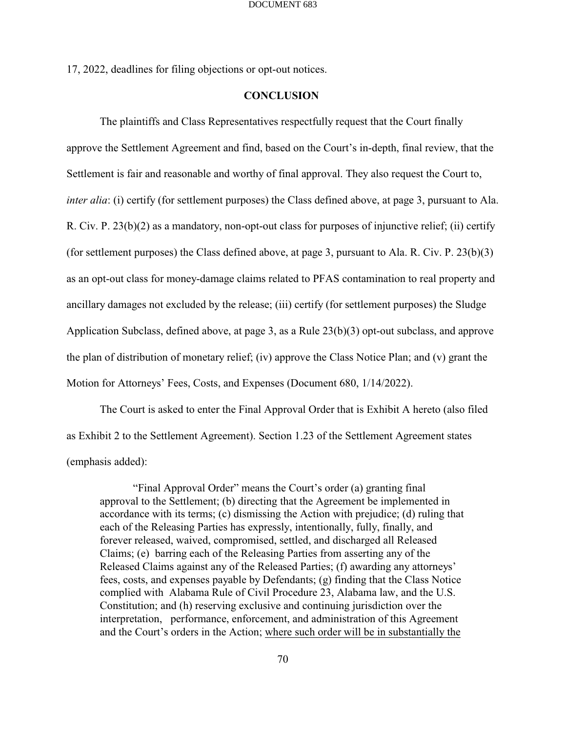17, 2022, deadlines for filing objections or opt-out notices.

### **CONCLUSION**

The plaintiffs and Class Representatives respectfully request that the Court finally approve the Settlement Agreement and find, based on the Court's in-depth, final review, that the Settlement is fair and reasonable and worthy of final approval. They also request the Court to, *inter alia*: (i) certify (for settlement purposes) the Class defined above, at page 3, pursuant to Ala. R. Civ. P. 23(b)(2) as a mandatory, non-opt-out class for purposes of injunctive relief; (ii) certify (for settlement purposes) the Class defined above, at page 3, pursuant to Ala. R. Civ. P. 23(b)(3) as an opt-out class for money-damage claims related to PFAS contamination to real property and ancillary damages not excluded by the release; (iii) certify (for settlement purposes) the Sludge Application Subclass, defined above, at page 3, as a Rule 23(b)(3) opt-out subclass, and approve the plan of distribution of monetary relief; (iv) approve the Class Notice Plan; and (v) grant the Motion for Attorneys' Fees, Costs, and Expenses (Document 680, 1/14/2022).

The Court is asked to enter the Final Approval Order that is Exhibit A hereto (also filed as Exhibit 2 to the Settlement Agreement). Section 1.23 of the Settlement Agreement states (emphasis added):

"Final Approval Order" means the Court's order (a) granting final approval to the Settlement; (b) directing that the Agreement be implemented in accordance with its terms; (c) dismissing the Action with prejudice; (d) ruling that each of the Releasing Parties has expressly, intentionally, fully, finally, and forever released, waived, compromised, settled, and discharged all Released Claims; (e) barring each of the Releasing Parties from asserting any of the Released Claims against any of the Released Parties; (f) awarding any attorneys' fees, costs, and expenses payable by Defendants; (g) finding that the Class Notice complied with Alabama Rule of Civil Procedure 23, Alabama law, and the U.S. Constitution; and (h) reserving exclusive and continuing jurisdiction over the interpretation, performance, enforcement, and administration of this Agreement and the Court's orders in the Action; where such order will be in substantially the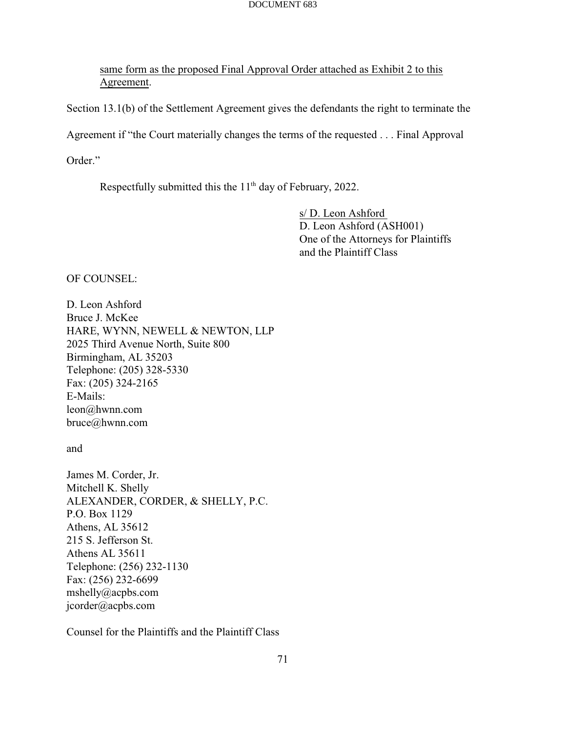same form as the proposed Final Approval Order attached as Exhibit 2 to this Agreement.

Section 13.1(b) of the Settlement Agreement gives the defendants the right to terminate the Agreement if "the Court materially changes the terms of the requested . . . Final Approval

Order."

Respectfully submitted this the  $11<sup>th</sup>$  day of February, 2022.

s/ D. Leon Ashford D. Leon Ashford (ASH001) One of the Attorneys for Plaintiffs and the Plaintiff Class

OF COUNSEL:

D. Leon Ashford Bruce J. McKee HARE, WYNN, NEWELL & NEWTON, LLP 2025 Third Avenue North, Suite 800 Birmingham, AL 35203 Telephone: (205) 328-5330 Fax: (205) 324-2165 E-Mails: leon@hwnn.com bruce@hwnn.com

and

James M. Corder, Jr. Mitchell K. Shelly ALEXANDER, CORDER, & SHELLY, P.C. P.O. Box 1129 Athens, AL 35612 215 S. Jefferson St. Athens AL 35611 Telephone: (256) 232-1130 Fax: (256) 232-6699 mshelly@acpbs.com jcorder@acpbs.com

Counsel for the Plaintiffs and the Plaintiff Class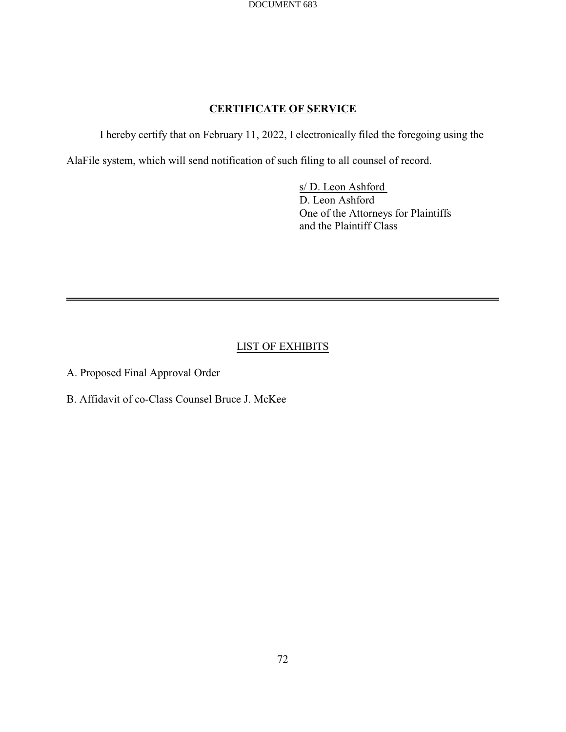## **CERTIFICATE OF SERVICE**

I hereby certify that on February 11, 2022, I electronically filed the foregoing using the

AlaFile system, which will send notification of such filing to all counsel of record.

s/ D. Leon Ashford D. Leon Ashford One of the Attorneys for Plaintiffs and the Plaintiff Class

## LIST OF EXHIBITS

A. Proposed Final Approval Order

B. Affidavit of co-Class Counsel Bruce J. McKee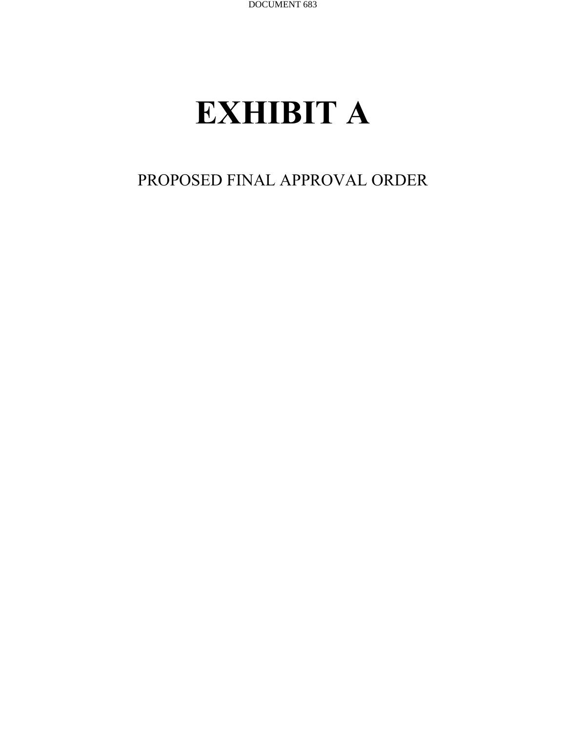# **EXHIBIT A**

## PROPOSED FINAL APPROVAL ORDER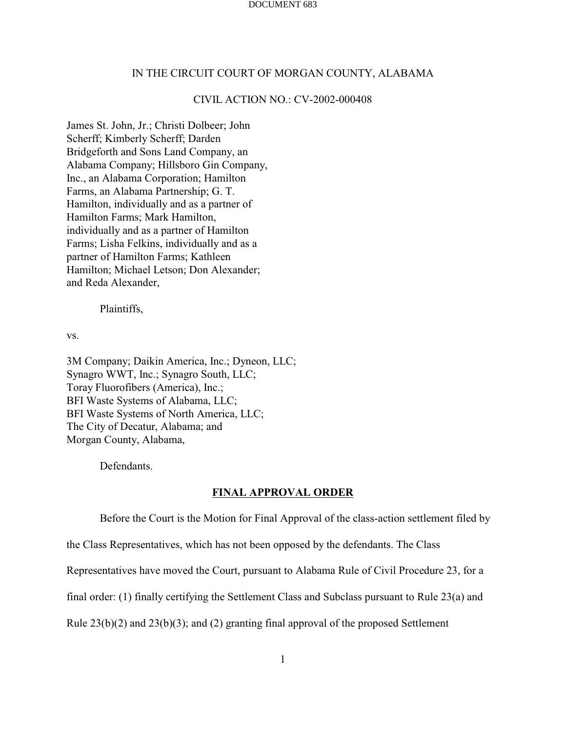### IN THE CIRCUIT COURT OF MORGAN COUNTY, ALABAMA

## CIVIL ACTION NO.: CV-2002-000408

James St. John, Jr.; Christi Dolbeer; John Scherff; Kimberly Scherff; Darden Bridgeforth and Sons Land Company, an Alabama Company; Hillsboro Gin Company, Inc., an Alabama Corporation; Hamilton Farms, an Alabama Partnership; G. T. Hamilton, individually and as a partner of Hamilton Farms; Mark Hamilton, individually and as a partner of Hamilton Farms; Lisha Felkins, individually and as a partner of Hamilton Farms; Kathleen Hamilton; Michael Letson; Don Alexander; and Reda Alexander,

Plaintiffs,

vs.

3M Company; Daikin America, Inc.; Dyneon, LLC; Synagro WWT, Inc.; Synagro South, LLC; Toray Fluorofibers (America), Inc.; BFI Waste Systems of Alabama, LLC; BFI Waste Systems of North America, LLC; The City of Decatur, Alabama; and Morgan County, Alabama,

Defendants.

### **FINAL APPROVAL ORDER**

Before the Court is the Motion for Final Approval of the class-action settlement filed by

the Class Representatives, which has not been opposed by the defendants. The Class

Representatives have moved the Court, pursuant to Alabama Rule of Civil Procedure 23, for a

final order: (1) finally certifying the Settlement Class and Subclass pursuant to Rule 23(a) and

Rule 23(b)(2) and 23(b)(3); and (2) granting final approval of the proposed Settlement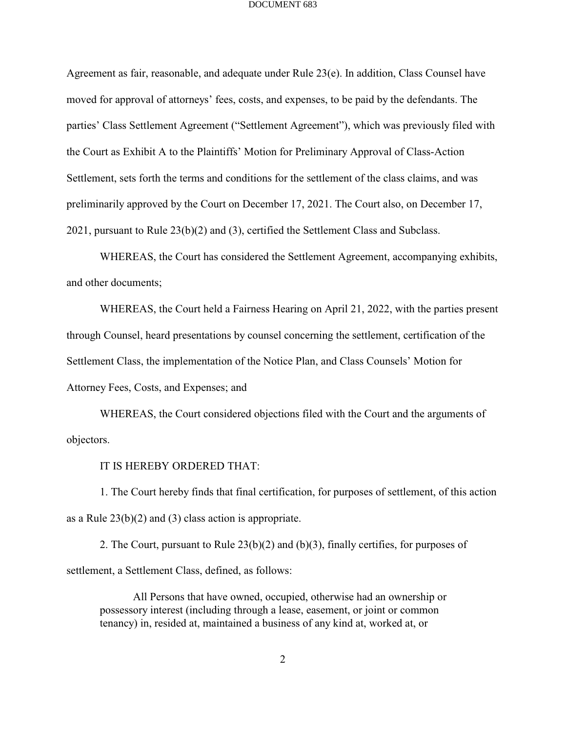Agreement as fair, reasonable, and adequate under Rule 23(e). In addition, Class Counsel have moved for approval of attorneys' fees, costs, and expenses, to be paid by the defendants. The parties' Class Settlement Agreement ("Settlement Agreement"), which was previously filed with the Court as Exhibit A to the Plaintiffs' Motion for Preliminary Approval of Class-Action Settlement, sets forth the terms and conditions for the settlement of the class claims, and was preliminarily approved by the Court on December 17, 2021. The Court also, on December 17, 2021, pursuant to Rule 23(b)(2) and (3), certified the Settlement Class and Subclass.

WHEREAS, the Court has considered the Settlement Agreement, accompanying exhibits, and other documents;

WHEREAS, the Court held a Fairness Hearing on April 21, 2022, with the parties present through Counsel, heard presentations by counsel concerning the settlement, certification of the Settlement Class, the implementation of the Notice Plan, and Class Counsels' Motion for Attorney Fees, Costs, and Expenses; and

WHEREAS, the Court considered objections filed with the Court and the arguments of objectors.

IT IS HEREBY ORDERED THAT:

1. The Court hereby finds that final certification, for purposes of settlement, of this action as a Rule  $23(b)(2)$  and (3) class action is appropriate.

2. The Court, pursuant to Rule  $23(b)(2)$  and  $(b)(3)$ , finally certifies, for purposes of settlement, a Settlement Class, defined, as follows:

All Persons that have owned, occupied, otherwise had an ownership or possessory interest (including through a lease, easement, or joint or common tenancy) in, resided at, maintained a business of any kind at, worked at, or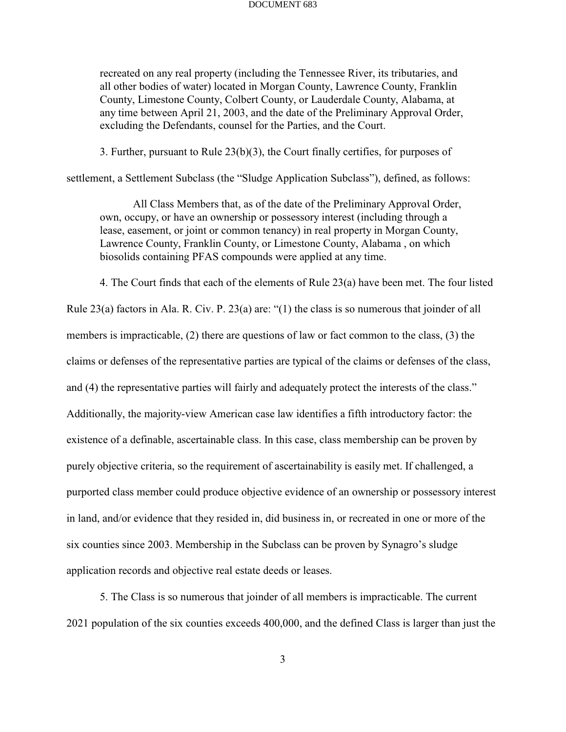recreated on any real property (including the Tennessee River, its tributaries, and all other bodies of water) located in Morgan County, Lawrence County, Franklin County, Limestone County, Colbert County, or Lauderdale County, Alabama, at any time between April 21, 2003, and the date of the Preliminary Approval Order, excluding the Defendants, counsel for the Parties, and the Court.

3. Further, pursuant to Rule 23(b)(3), the Court finally certifies, for purposes of

settlement, a Settlement Subclass (the "Sludge Application Subclass"), defined, as follows:

All Class Members that, as of the date of the Preliminary Approval Order, own, occupy, or have an ownership or possessory interest (including through a lease, easement, or joint or common tenancy) in real property in Morgan County, Lawrence County, Franklin County, or Limestone County, Alabama , on which biosolids containing PFAS compounds were applied at any time.

4. The Court finds that each of the elements of Rule 23(a) have been met. The four listed

Rule 23(a) factors in Ala. R. Civ. P. 23(a) are: "(1) the class is so numerous that joinder of all members is impracticable, (2) there are questions of law or fact common to the class, (3) the claims or defenses of the representative parties are typical of the claims or defenses of the class, and (4) the representative parties will fairly and adequately protect the interests of the class." Additionally, the majority-view American case law identifies a fifth introductory factor: the existence of a definable, ascertainable class. In this case, class membership can be proven by purely objective criteria, so the requirement of ascertainability is easily met. If challenged, a purported class member could produce objective evidence of an ownership or possessory interest in land, and/or evidence that they resided in, did business in, or recreated in one or more of the six counties since 2003. Membership in the Subclass can be proven by Synagro's sludge application records and objective real estate deeds or leases.

5. The Class is so numerous that joinder of all members is impracticable. The current 2021 population of the six counties exceeds 400,000, and the defined Class is larger than just the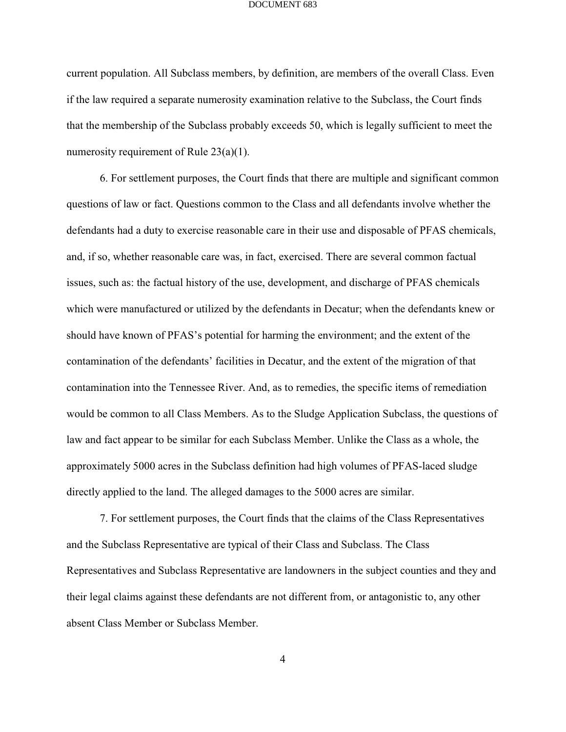current population. All Subclass members, by definition, are members of the overall Class. Even if the law required a separate numerosity examination relative to the Subclass, the Court finds that the membership of the Subclass probably exceeds 50, which is legally sufficient to meet the numerosity requirement of Rule 23(a)(1).

6. For settlement purposes, the Court finds that there are multiple and significant common questions of law or fact. Questions common to the Class and all defendants involve whether the defendants had a duty to exercise reasonable care in their use and disposable of PFAS chemicals, and, if so, whether reasonable care was, in fact, exercised. There are several common factual issues, such as: the factual history of the use, development, and discharge of PFAS chemicals which were manufactured or utilized by the defendants in Decatur; when the defendants knew or should have known of PFAS's potential for harming the environment; and the extent of the contamination of the defendants' facilities in Decatur, and the extent of the migration of that contamination into the Tennessee River. And, as to remedies, the specific items of remediation would be common to all Class Members. As to the Sludge Application Subclass, the questions of law and fact appear to be similar for each Subclass Member. Unlike the Class as a whole, the approximately 5000 acres in the Subclass definition had high volumes of PFAS-laced sludge directly applied to the land. The alleged damages to the 5000 acres are similar.

7. For settlement purposes, the Court finds that the claims of the Class Representatives and the Subclass Representative are typical of their Class and Subclass. The Class Representatives and Subclass Representative are landowners in the subject counties and they and their legal claims against these defendants are not different from, or antagonistic to, any other absent Class Member or Subclass Member.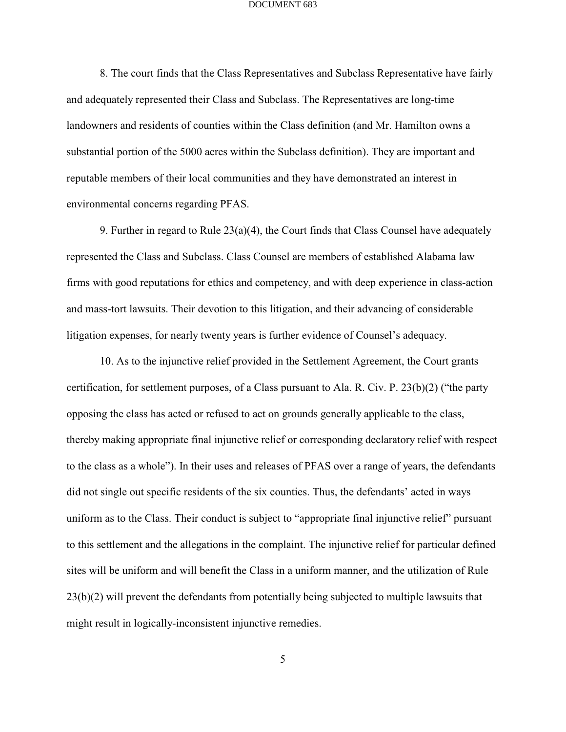8. The court finds that the Class Representatives and Subclass Representative have fairly and adequately represented their Class and Subclass. The Representatives are long-time landowners and residents of counties within the Class definition (and Mr. Hamilton owns a substantial portion of the 5000 acres within the Subclass definition). They are important and reputable members of their local communities and they have demonstrated an interest in environmental concerns regarding PFAS.

9. Further in regard to Rule 23(a)(4), the Court finds that Class Counsel have adequately represented the Class and Subclass. Class Counsel are members of established Alabama law firms with good reputations for ethics and competency, and with deep experience in class-action and mass-tort lawsuits. Their devotion to this litigation, and their advancing of considerable litigation expenses, for nearly twenty years is further evidence of Counsel's adequacy.

10. As to the injunctive relief provided in the Settlement Agreement, the Court grants certification, for settlement purposes, of a Class pursuant to Ala. R. Civ. P. 23(b)(2) ("the party opposing the class has acted or refused to act on grounds generally applicable to the class, thereby making appropriate final injunctive relief or corresponding declaratory relief with respect to the class as a whole"). In their uses and releases of PFAS over a range of years, the defendants did not single out specific residents of the six counties. Thus, the defendants' acted in ways uniform as to the Class. Their conduct is subject to "appropriate final injunctive relief" pursuant to this settlement and the allegations in the complaint. The injunctive relief for particular defined sites will be uniform and will benefit the Class in a uniform manner, and the utilization of Rule 23(b)(2) will prevent the defendants from potentially being subjected to multiple lawsuits that might result in logically-inconsistent injunctive remedies.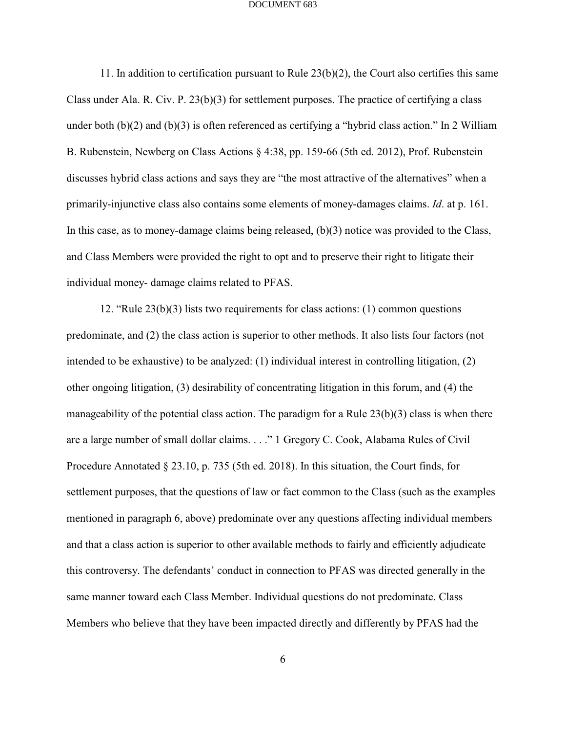11. In addition to certification pursuant to Rule 23(b)(2), the Court also certifies this same Class under Ala. R. Civ. P. 23(b)(3) for settlement purposes. The practice of certifying a class under both (b)(2) and (b)(3) is often referenced as certifying a "hybrid class action." In 2 William B. Rubenstein, Newberg on Class Actions § 4:38, pp. 159-66 (5th ed. 2012), Prof. Rubenstein discusses hybrid class actions and says they are "the most attractive of the alternatives" when a primarily-injunctive class also contains some elements of money-damages claims. *Id*. at p. 161. In this case, as to money-damage claims being released, (b)(3) notice was provided to the Class, and Class Members were provided the right to opt and to preserve their right to litigate their individual money- damage claims related to PFAS.

12. "Rule 23(b)(3) lists two requirements for class actions: (1) common questions predominate, and (2) the class action is superior to other methods. It also lists four factors (not intended to be exhaustive) to be analyzed: (1) individual interest in controlling litigation, (2) other ongoing litigation, (3) desirability of concentrating litigation in this forum, and (4) the manageability of the potential class action. The paradigm for a Rule 23(b)(3) class is when there are a large number of small dollar claims. . . ." 1 Gregory C. Cook, Alabama Rules of Civil Procedure Annotated § 23.10, p. 735 (5th ed. 2018). In this situation, the Court finds, for settlement purposes, that the questions of law or fact common to the Class (such as the examples mentioned in paragraph 6, above) predominate over any questions affecting individual members and that a class action is superior to other available methods to fairly and efficiently adjudicate this controversy. The defendants' conduct in connection to PFAS was directed generally in the same manner toward each Class Member. Individual questions do not predominate. Class Members who believe that they have been impacted directly and differently by PFAS had the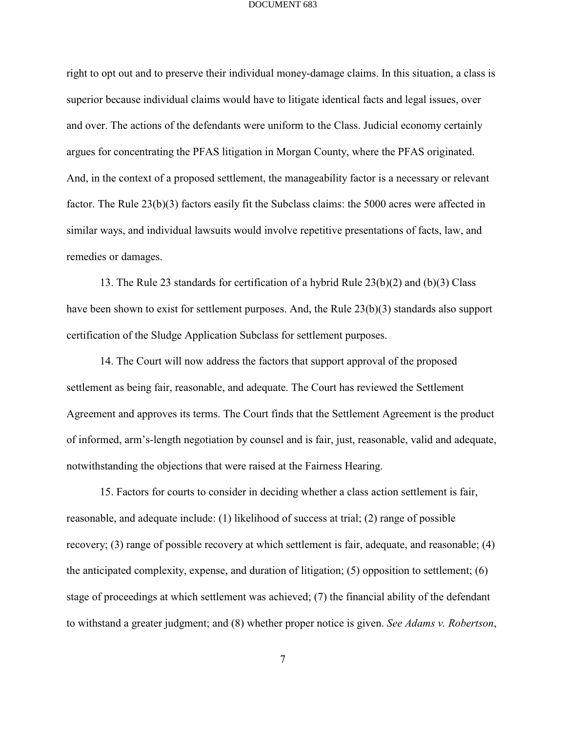right to opt out and to preserve their individual money-damage claims. In this situation, a class is superior because individual claims would have to litigate identical facts and legal issues, over and over. The actions of the defendants were uniform to the Class. Judicial economy certainly argues for concentrating the PFAS litigation in Morgan County, where the PFAS originated. And, in the context of a proposed settlement, the manageability factor is a necessary or relevant factor. The Rule 23(b)(3) factors easily fit the Subclass claims: the 5000 acres were affected in similar ways, and individual lawsuits would involve repetitive presentations of facts, law, and remedies or damages.

13. The Rule 23 standards for certification of a hybrid Rule 23(b)(2) and (b)(3) Class have been shown to exist for settlement purposes. And, the Rule 23(b)(3) standards also support certification of the Sludge Application Subclass for settlement purposes.

14. The Court will now address the factors that support approval of the proposed settlement as being fair, reasonable, and adequate. The Court has reviewed the Settlement Agreement and approves its terms. The Court finds that the Settlement Agreement is the product of informed, arm's-length negotiation by counsel and is fair, just, reasonable, valid and adequate, notwithstanding the objections that were raised at the Fairness Hearing.

15. Factors for courts to consider in deciding whether a class action settlement is fair, reasonable, and adequate include: (1) likelihood of success at trial; (2) range of possible recovery; (3) range of possible recovery at which settlement is fair, adequate, and reasonable; (4) the anticipated complexity, expense, and duration of litigation; (5) opposition to settlement; (6) stage of proceedings at which settlement was achieved; (7) the financial ability of the defendant to withstand a greater judgment; and (8) whether proper notice is given. *See Adams v. Robertson*,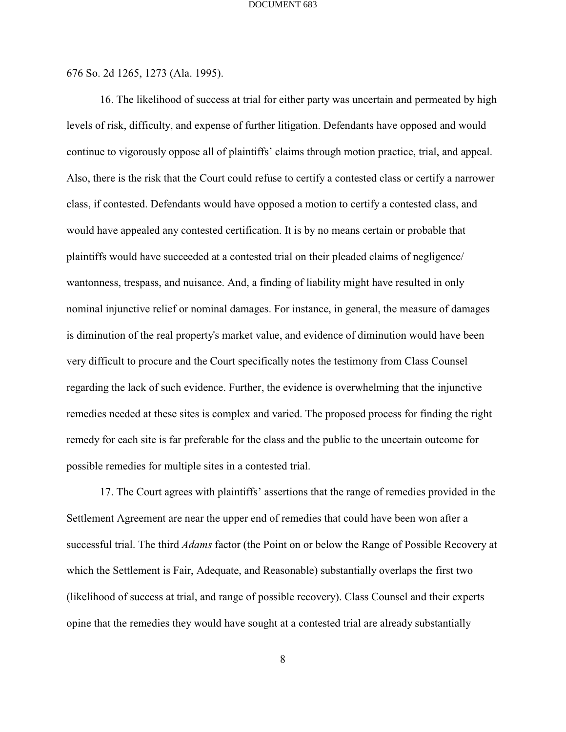676 So. 2d 1265, 1273 (Ala. 1995).

16. The likelihood of success at trial for either party was uncertain and permeated by high levels of risk, difficulty, and expense of further litigation. Defendants have opposed and would continue to vigorously oppose all of plaintiffs' claims through motion practice, trial, and appeal. Also, there is the risk that the Court could refuse to certify a contested class or certify a narrower class, if contested. Defendants would have opposed a motion to certify a contested class, and would have appealed any contested certification. It is by no means certain or probable that plaintiffs would have succeeded at a contested trial on their pleaded claims of negligence/ wantonness, trespass, and nuisance. And, a finding of liability might have resulted in only nominal injunctive relief or nominal damages. For instance, in general, the measure of damages is diminution of the real property's market value, and evidence of diminution would have been very difficult to procure and the Court specifically notes the testimony from Class Counsel regarding the lack of such evidence. Further, the evidence is overwhelming that the injunctive remedies needed at these sites is complex and varied. The proposed process for finding the right remedy for each site is far preferable for the class and the public to the uncertain outcome for possible remedies for multiple sites in a contested trial.

17. The Court agrees with plaintiffs' assertions that the range of remedies provided in the Settlement Agreement are near the upper end of remedies that could have been won after a successful trial. The third *Adams* factor (the Point on or below the Range of Possible Recovery at which the Settlement is Fair, Adequate, and Reasonable) substantially overlaps the first two (likelihood of success at trial, and range of possible recovery). Class Counsel and their experts opine that the remedies they would have sought at a contested trial are already substantially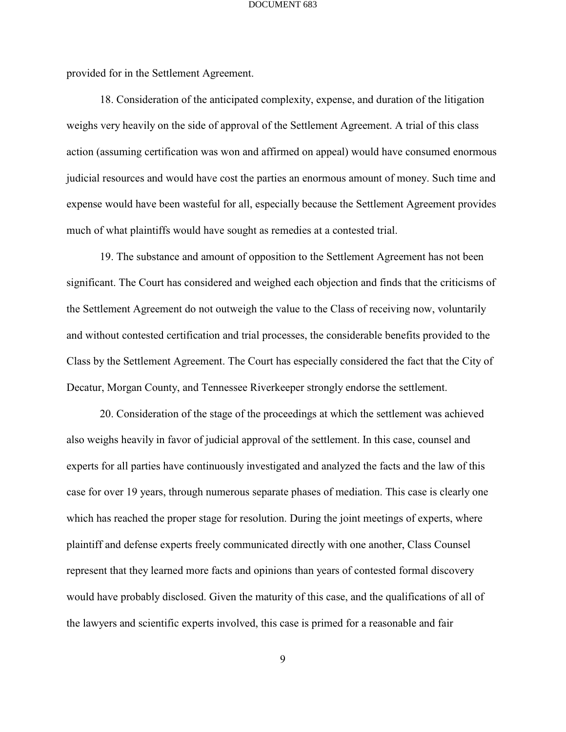provided for in the Settlement Agreement.

18. Consideration of the anticipated complexity, expense, and duration of the litigation weighs very heavily on the side of approval of the Settlement Agreement. A trial of this class action (assuming certification was won and affirmed on appeal) would have consumed enormous judicial resources and would have cost the parties an enormous amount of money. Such time and expense would have been wasteful for all, especially because the Settlement Agreement provides much of what plaintiffs would have sought as remedies at a contested trial.

19. The substance and amount of opposition to the Settlement Agreement has not been significant. The Court has considered and weighed each objection and finds that the criticisms of the Settlement Agreement do not outweigh the value to the Class of receiving now, voluntarily and without contested certification and trial processes, the considerable benefits provided to the Class by the Settlement Agreement. The Court has especially considered the fact that the City of Decatur, Morgan County, and Tennessee Riverkeeper strongly endorse the settlement.

20. Consideration of the stage of the proceedings at which the settlement was achieved also weighs heavily in favor of judicial approval of the settlement. In this case, counsel and experts for all parties have continuously investigated and analyzed the facts and the law of this case for over 19 years, through numerous separate phases of mediation. This case is clearly one which has reached the proper stage for resolution. During the joint meetings of experts, where plaintiff and defense experts freely communicated directly with one another, Class Counsel represent that they learned more facts and opinions than years of contested formal discovery would have probably disclosed. Given the maturity of this case, and the qualifications of all of the lawyers and scientific experts involved, this case is primed for a reasonable and fair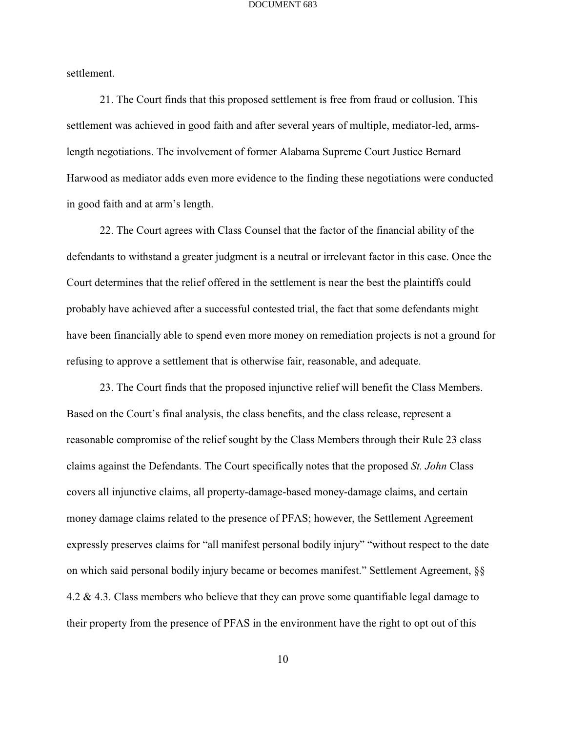settlement.

21. The Court finds that this proposed settlement is free from fraud or collusion. This settlement was achieved in good faith and after several years of multiple, mediator-led, armslength negotiations. The involvement of former Alabama Supreme Court Justice Bernard Harwood as mediator adds even more evidence to the finding these negotiations were conducted in good faith and at arm's length.

22. The Court agrees with Class Counsel that the factor of the financial ability of the defendants to withstand a greater judgment is a neutral or irrelevant factor in this case. Once the Court determines that the relief offered in the settlement is near the best the plaintiffs could probably have achieved after a successful contested trial, the fact that some defendants might have been financially able to spend even more money on remediation projects is not a ground for refusing to approve a settlement that is otherwise fair, reasonable, and adequate.

23. The Court finds that the proposed injunctive relief will benefit the Class Members. Based on the Court's final analysis, the class benefits, and the class release, represent a reasonable compromise of the relief sought by the Class Members through their Rule 23 class claims against the Defendants. The Court specifically notes that the proposed *St. John* Class covers all injunctive claims, all property-damage-based money-damage claims, and certain money damage claims related to the presence of PFAS; however, the Settlement Agreement expressly preserves claims for "all manifest personal bodily injury" "without respect to the date on which said personal bodily injury became or becomes manifest." Settlement Agreement, §§ 4.2 & 4.3. Class members who believe that they can prove some quantifiable legal damage to their property from the presence of PFAS in the environment have the right to opt out of this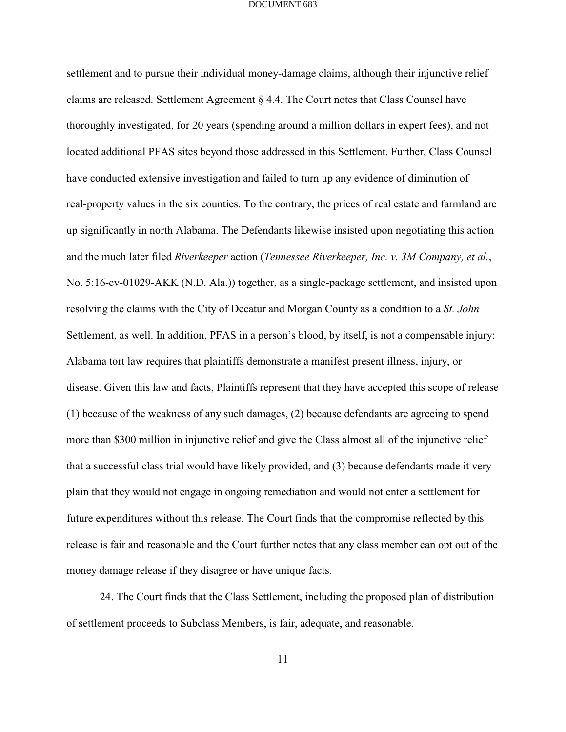settlement and to pursue their individual money-damage claims, although their injunctive relief claims are released. Settlement Agreement § 4.4. The Court notes that Class Counsel have thoroughly investigated, for 20 years (spending around a million dollars in expert fees), and not located additional PFAS sites beyond those addressed in this Settlement. Further, Class Counsel have conducted extensive investigation and failed to turn up any evidence of diminution of real-property values in the six counties. To the contrary, the prices of real estate and farmland are up significantly in north Alabama. The Defendants likewise insisted upon negotiating this action and the much later filed *Riverkeeper* action (*Tennessee Riverkeeper, Inc. v. 3M Company, et al.*, No. 5:16-cv-01029-AKK (N.D. Ala.)) together, as a single-package settlement, and insisted upon resolving the claims with the City of Decatur and Morgan County as a condition to a *St. John* Settlement, as well. In addition, PFAS in a person's blood, by itself, is not a compensable injury; Alabama tort law requires that plaintiffs demonstrate a manifest present illness, injury, or disease. Given this law and facts, Plaintiffs represent that they have accepted this scope of release (1) because of the weakness of any such damages, (2) because defendants are agreeing to spend more than \$300 million in injunctive relief and give the Class almost all of the injunctive relief that a successful class trial would have likely provided, and (3) because defendants made it very plain that they would not engage in ongoing remediation and would not enter a settlement for future expenditures without this release. The Court finds that the compromise reflected by this release is fair and reasonable and the Court further notes that any class member can opt out of the money damage release if they disagree or have unique facts.

24. The Court finds that the Class Settlement, including the proposed plan of distribution of settlement proceeds to Subclass Members, is fair, adequate, and reasonable.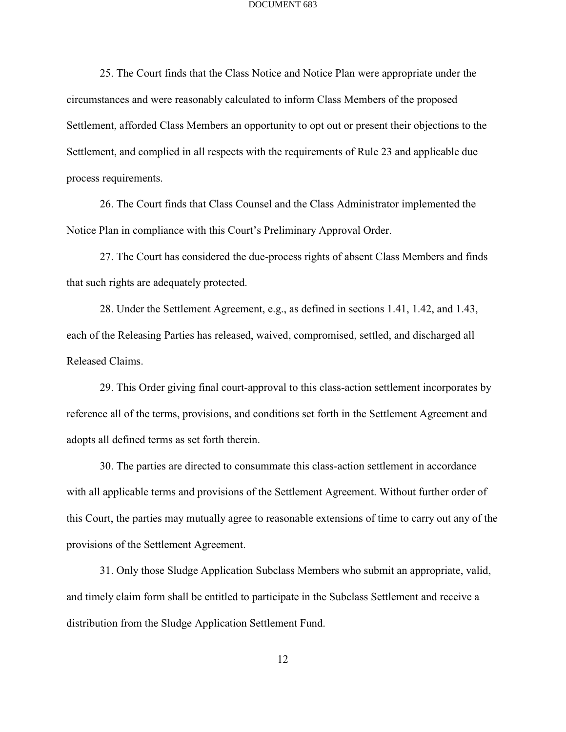25. The Court finds that the Class Notice and Notice Plan were appropriate under the circumstances and were reasonably calculated to inform Class Members of the proposed Settlement, afforded Class Members an opportunity to opt out or present their objections to the Settlement, and complied in all respects with the requirements of Rule 23 and applicable due process requirements.

26. The Court finds that Class Counsel and the Class Administrator implemented the Notice Plan in compliance with this Court's Preliminary Approval Order.

27. The Court has considered the due-process rights of absent Class Members and finds that such rights are adequately protected.

28. Under the Settlement Agreement, e.g., as defined in sections 1.41, 1.42, and 1.43, each of the Releasing Parties has released, waived, compromised, settled, and discharged all Released Claims.

29. This Order giving final court-approval to this class-action settlement incorporates by reference all of the terms, provisions, and conditions set forth in the Settlement Agreement and adopts all defined terms as set forth therein.

30. The parties are directed to consummate this class-action settlement in accordance with all applicable terms and provisions of the Settlement Agreement. Without further order of this Court, the parties may mutually agree to reasonable extensions of time to carry out any of the provisions of the Settlement Agreement.

31. Only those Sludge Application Subclass Members who submit an appropriate, valid, and timely claim form shall be entitled to participate in the Subclass Settlement and receive a distribution from the Sludge Application Settlement Fund.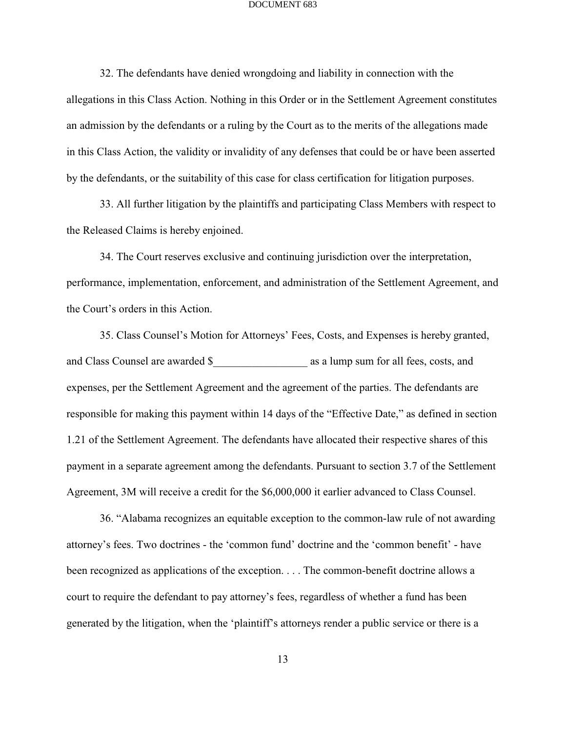32. The defendants have denied wrongdoing and liability in connection with the allegations in this Class Action. Nothing in this Order or in the Settlement Agreement constitutes an admission by the defendants or a ruling by the Court as to the merits of the allegations made in this Class Action, the validity or invalidity of any defenses that could be or have been asserted by the defendants, or the suitability of this case for class certification for litigation purposes.

33. All further litigation by the plaintiffs and participating Class Members with respect to the Released Claims is hereby enjoined.

34. The Court reserves exclusive and continuing jurisdiction over the interpretation, performance, implementation, enforcement, and administration of the Settlement Agreement, and the Court's orders in this Action.

35. Class Counsel's Motion for Attorneys' Fees, Costs, and Expenses is hereby granted, and Class Counsel are awarded \$\_\_\_\_\_\_\_\_\_\_\_\_\_\_\_\_\_ as a lump sum for all fees, costs, and expenses, per the Settlement Agreement and the agreement of the parties. The defendants are responsible for making this payment within 14 days of the "Effective Date," as defined in section 1.21 of the Settlement Agreement. The defendants have allocated their respective shares of this payment in a separate agreement among the defendants. Pursuant to section 3.7 of the Settlement Agreement, 3M will receive a credit for the \$6,000,000 it earlier advanced to Class Counsel.

36. "Alabama recognizes an equitable exception to the common-law rule of not awarding attorney's fees. Two doctrines - the 'common fund' doctrine and the 'common benefit' - have been recognized as applications of the exception. . . . The common-benefit doctrine allows a court to require the defendant to pay attorney's fees, regardless of whether a fund has been generated by the litigation, when the 'plaintiff's attorneys render a public service or there is a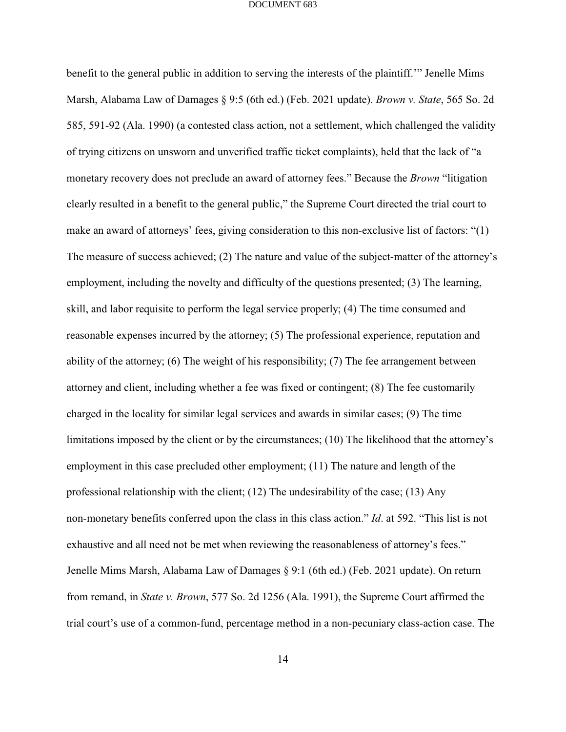benefit to the general public in addition to serving the interests of the plaintiff.'" Jenelle Mims Marsh, Alabama Law of Damages § 9:5 (6th ed.) (Feb. 2021 update). *Brown v. State*, 565 So. 2d 585, 591-92 (Ala. 1990) (a contested class action, not a settlement, which challenged the validity of trying citizens on unsworn and unverified traffic ticket complaints), held that the lack of "a monetary recovery does not preclude an award of attorney fees." Because the *Brown* "litigation clearly resulted in a benefit to the general public," the Supreme Court directed the trial court to make an award of attorneys' fees, giving consideration to this non-exclusive list of factors: "(1) The measure of success achieved; (2) The nature and value of the subject-matter of the attorney's employment, including the novelty and difficulty of the questions presented; (3) The learning, skill, and labor requisite to perform the legal service properly; (4) The time consumed and reasonable expenses incurred by the attorney; (5) The professional experience, reputation and ability of the attorney; (6) The weight of his responsibility; (7) The fee arrangement between attorney and client, including whether a fee was fixed or contingent; (8) The fee customarily charged in the locality for similar legal services and awards in similar cases; (9) The time limitations imposed by the client or by the circumstances; (10) The likelihood that the attorney's employment in this case precluded other employment; (11) The nature and length of the professional relationship with the client; (12) The undesirability of the case; (13) Any non-monetary benefits conferred upon the class in this class action." *Id*. at 592. "This list is not exhaustive and all need not be met when reviewing the reasonableness of attorney's fees." Jenelle Mims Marsh, Alabama Law of Damages § 9:1 (6th ed.) (Feb. 2021 update). On return from remand, in *State v. Brown*, 577 So. 2d 1256 (Ala. 1991), the Supreme Court affirmed the trial court's use of a common-fund, percentage method in a non-pecuniary class-action case. The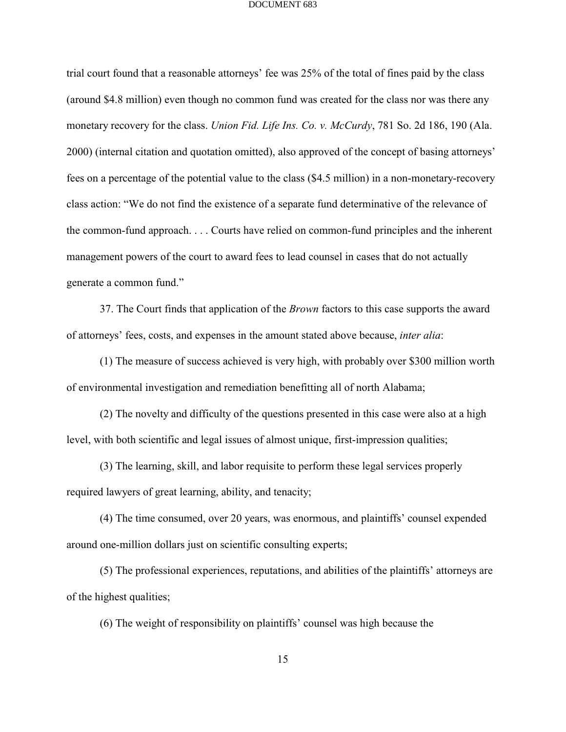trial court found that a reasonable attorneys' fee was 25% of the total of fines paid by the class (around \$4.8 million) even though no common fund was created for the class nor was there any monetary recovery for the class. *Union Fid. Life Ins. Co. v. McCurdy*, 781 So. 2d 186, 190 (Ala. 2000) (internal citation and quotation omitted), also approved of the concept of basing attorneys' fees on a percentage of the potential value to the class (\$4.5 million) in a non-monetary-recovery class action: "We do not find the existence of a separate fund determinative of the relevance of the common-fund approach. . . . Courts have relied on common-fund principles and the inherent management powers of the court to award fees to lead counsel in cases that do not actually generate a common fund."

37. The Court finds that application of the *Brown* factors to this case supports the award of attorneys' fees, costs, and expenses in the amount stated above because, *inter alia*:

(1) The measure of success achieved is very high, with probably over \$300 million worth of environmental investigation and remediation benefitting all of north Alabama;

(2) The novelty and difficulty of the questions presented in this case were also at a high level, with both scientific and legal issues of almost unique, first-impression qualities;

(3) The learning, skill, and labor requisite to perform these legal services properly required lawyers of great learning, ability, and tenacity;

(4) The time consumed, over 20 years, was enormous, and plaintiffs' counsel expended around one-million dollars just on scientific consulting experts;

(5) The professional experiences, reputations, and abilities of the plaintiffs' attorneys are of the highest qualities;

(6) The weight of responsibility on plaintiffs' counsel was high because the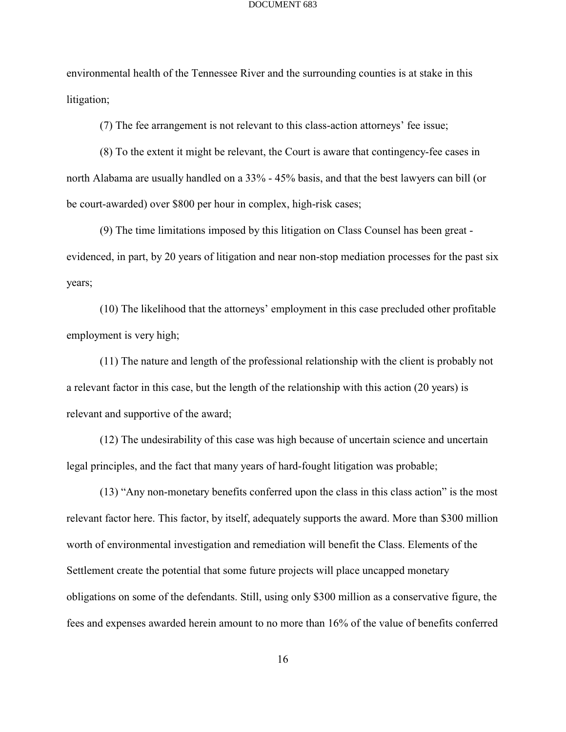environmental health of the Tennessee River and the surrounding counties is at stake in this litigation;

(7) The fee arrangement is not relevant to this class-action attorneys' fee issue;

(8) To the extent it might be relevant, the Court is aware that contingency-fee cases in north Alabama are usually handled on a 33% - 45% basis, and that the best lawyers can bill (or be court-awarded) over \$800 per hour in complex, high-risk cases;

(9) The time limitations imposed by this litigation on Class Counsel has been great evidenced, in part, by 20 years of litigation and near non-stop mediation processes for the past six years;

(10) The likelihood that the attorneys' employment in this case precluded other profitable employment is very high;

(11) The nature and length of the professional relationship with the client is probably not a relevant factor in this case, but the length of the relationship with this action (20 years) is relevant and supportive of the award;

(12) The undesirability of this case was high because of uncertain science and uncertain legal principles, and the fact that many years of hard-fought litigation was probable;

(13) "Any non-monetary benefits conferred upon the class in this class action" is the most relevant factor here. This factor, by itself, adequately supports the award. More than \$300 million worth of environmental investigation and remediation will benefit the Class. Elements of the Settlement create the potential that some future projects will place uncapped monetary obligations on some of the defendants. Still, using only \$300 million as a conservative figure, the fees and expenses awarded herein amount to no more than 16% of the value of benefits conferred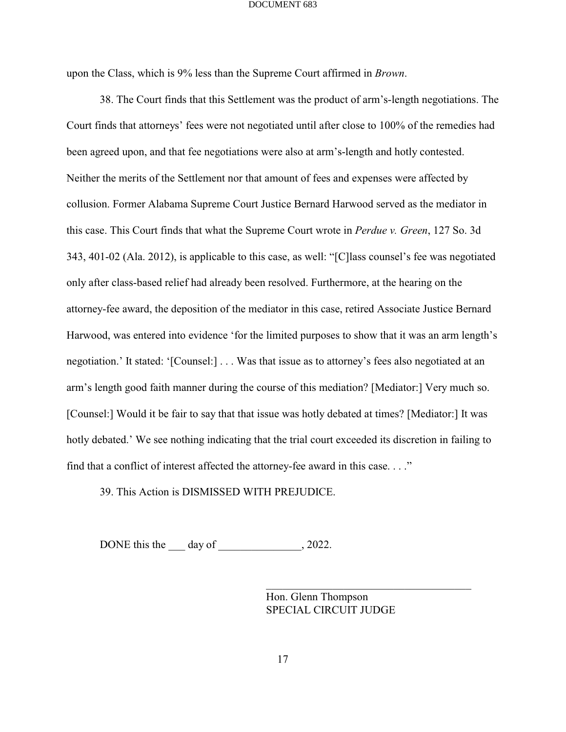upon the Class, which is 9% less than the Supreme Court affirmed in *Brown*.

38. The Court finds that this Settlement was the product of arm's-length negotiations. The Court finds that attorneys' fees were not negotiated until after close to 100% of the remedies had been agreed upon, and that fee negotiations were also at arm's-length and hotly contested. Neither the merits of the Settlement nor that amount of fees and expenses were affected by collusion. Former Alabama Supreme Court Justice Bernard Harwood served as the mediator in this case. This Court finds that what the Supreme Court wrote in *Perdue v. Green*, 127 So. 3d 343, 401-02 (Ala. 2012), is applicable to this case, as well: "[C]lass counsel's fee was negotiated only after class-based relief had already been resolved. Furthermore, at the hearing on the attorney-fee award, the deposition of the mediator in this case, retired Associate Justice Bernard Harwood, was entered into evidence 'for the limited purposes to show that it was an arm length's negotiation.' It stated: '[Counsel:] . . . Was that issue as to attorney's fees also negotiated at an arm's length good faith manner during the course of this mediation? [Mediator:] Very much so. [Counsel:] Would it be fair to say that that issue was hotly debated at times? [Mediator:] It was hotly debated.' We see nothing indicating that the trial court exceeded its discretion in failing to find that a conflict of interest affected the attorney-fee award in this case. . . ."

39. This Action is DISMISSED WITH PREJUDICE.

DONE this the day of  $.2022$ .

Hon. Glenn Thompson SPECIAL CIRCUIT JUDGE

\_\_\_\_\_\_\_\_\_\_\_\_\_\_\_\_\_\_\_\_\_\_\_\_\_\_\_\_\_\_\_\_\_\_\_\_\_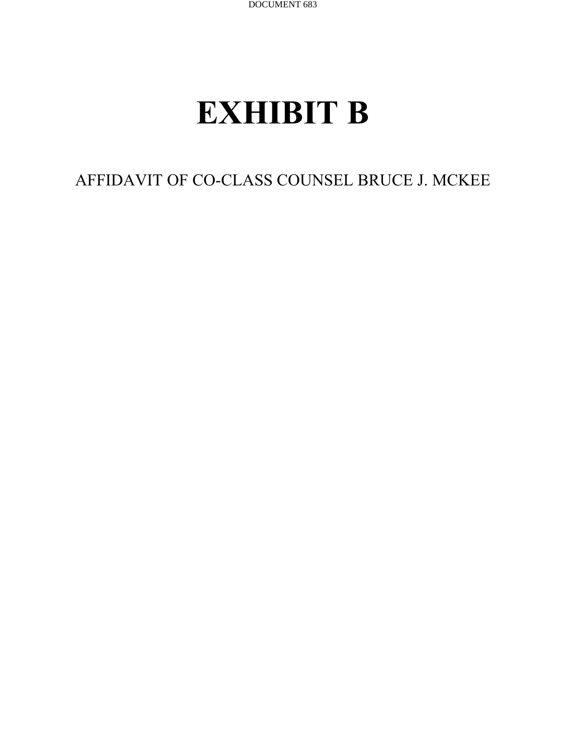## **EXHIBIT B**

AFFIDAVIT OF CO-CLASS COUNSEL BRUCE J. MCKEE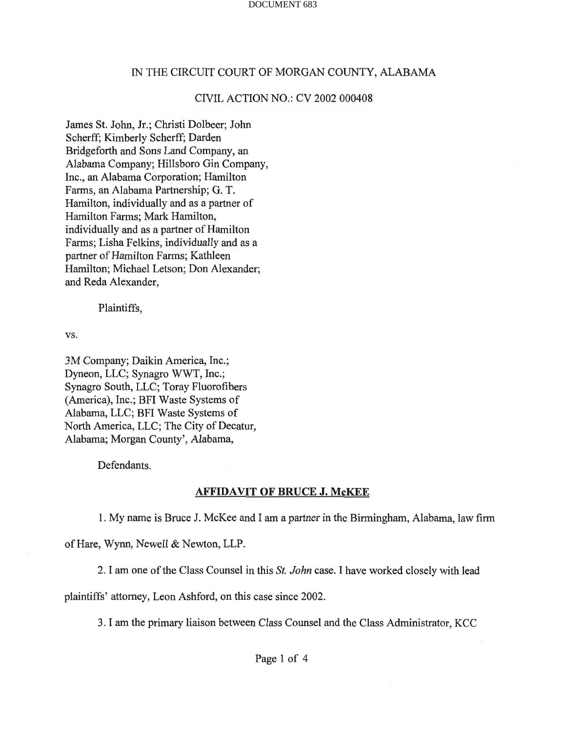## IN THE CIRCUIT COURT OF MORGAN COUNTY, ALABAMA IN THE CIRCUIT COURT OF MORGAN COUNTY, ALABAMA

## CIVIL ACTION NO.: CV 2002 000408 CNIL ACTION NO.: CV 2002 000408

James St. John, Jr.; Christi Dolbeer; John James St. John, Jr.; Christi Dolbeer; John Scherff; Kimberly Scherff; Darden Scherff; Kimberly Scherff; Darden Bridgeforth and Sons Land Company, an Bridgeforth and Sons Land Company, an Alabama Company; Hillsboro Gin Company, Alabama Company; Hillsboro Gin Company, Inc., an Alabama Corporation; Hamilton Inc., an Alabama Corporation; Hamilton Farms, an Alabama Partnership; G. T. Farms, an Alabama Partnership; G. T. Hamilton, individually and as a partner of Hamilton, individually and as a partner of Hamilton Farms; Mark Hamilton, Hamilton Farms; Mark Hamilton, individually and as a partner of Hamilton individually and as a partner of Hamilton Farms; Lisha Felkins, individually and as a Farms; Lisha Felkins, individually and as a partner of Hamilton Farms; Kathleen partner of Hamilton Farms; Kathleen Hamilton; Michael Letson; Don Alexander; Hamilton; Michael Letson; Don Alexander; and Reda Alexander, and Reda Alexander,

Plaintiffs, Plaintiffs,

vs. vs.

3M Company; Daikin America, Inc.; 3M Company; Daikin America, Inc.; Dyneon, LLC; Synagro WWT, Inc.; Synagro South, LLC; Toray Fluorofibers Synagro South, LLC; Toray Fluorofibers (America), Inc.; BFI Waste Systems of Alabama, LLC; BFI Waste Systems of Alabama, LLC; BFI Waste Systems of North America, LLC; The City of Decatur, North America, LLC; The City of Decatur, Alabama; Morgan County', Alabama, Alabama; Morgan County', Alabama,

Defendants. Defendants.

## **AFFIDAVIT OF BRUCE J. McKEE**

1. My name is Bruce J. McKee and I am a partner in the Birmingham, Alabama, law firm 1. My name is Bruce J. McKee and I am a partner in the Birmingham, Alabama, law firm

of Hare, Wynn, Newell & Newton, LLP. of Hare, Wynn, Newell & Newton, LLP.

2. I am one of the Class Counsel in this St. John case. I have worked closely with lead 2.I am one of the Class Counsel in this St. John case. I have worked closely with lead

plaintiffs' attorney, Leon Ashford, on this case since 2002. plaintiffs' attomey, Leon Ashford, on this case since 2002.

3. I am the primary liaison between Class Counsel and the Class Administrator, KCC 3. I am the primary liaison between Class Counsel and the Class Administrator, KCC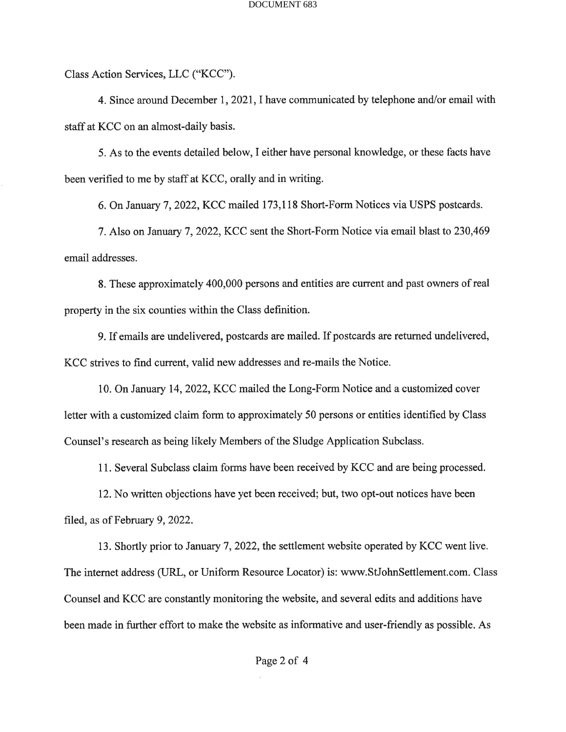Class Action Services, LLC ("KCC"). Class Action Services, LLC ("KCC").

4. Since around December 1, 2021, I have communicated by telephone and/or email with 4. Since around December I,2021,I have communicated by telephone and/or email with staff at KCC on an almost-daily basis. staff at KCC on an almost-daily basis.

5. As to the events detailed below, I either have personal knowledge, or these facts have 5. As to the events detailed below, I either have personal knowledge, or these facts have been verified to me by staff at KCC, orally and in writing. been verified to me by staff at KCC, orally and in writing.

6. On January 7, 2022, KCC mailed 173,118 Short-Form Notices via USPS postcards. 6. On January 7,2022, KCC mailed 173,118 Short-Form Notices via USPS postcards.

7. Also on January 7, 2022, KCC sent the Short-Form Notice via email blast to 230,469 7. Also on January 7,2022, KCC sent the Short-Form Notice via email blast to 230,469 email addresses. email addresses.

8. These approximately 400,000 persons and entities are current and past owners of real 8. These approximately 400,000 persons and entities are current and past owrers of real property in the six counties within the Class definition. property in the six counties within the Class definition.

9. If emails are undelivered, postcards are mailed. If postcards are returned undelivered, 9. If emails are undelivered, postcards are mailed. If postcards are returned undelivered, KCC strives to find current, valid new addresses and re-mails the Notice. KCC strives to find current, valid new addresses and re-mails the Notice.

10. On January 14, 2022, KCC mailed the Long-Form Notice and a customized cover 10. On January 14,2022, KCC mailed the Long-Form Notice and a customized cover letter with a customized claim form to approximately 50 persons or entities identified by Class letter with a customized claim form to approximately 50 persons or entities identified by Class Counsel's research as being likely Members of the Sludge Application Subclass. Counsel's research as being likely Members of the Sludge Application Subclass.

11. Several Subclass claim forms have been received by KCC and are being processed. 11. Several Subclass claim forms have been received by KCC and are being processed.

12. No written objections have yet been received; but, two opt-out notices have been 12. No written objections have yet been received; but, two opt-out notices have been filed, as of February 9, 2022. filed, as of February 9,2022.

13. Shortly prior to January 7, 2022, the settlement website operated by KCC went live. 13. Shortly prior to January 7,2022, the settlement website operated by KCC went live. The internet address (URL, or Uniform Resource Locator) is: www.StJohnSettlement.com. Class Counsel and KCC are constantly monitoring the website, and several edits and additions have Counsel and KCC are constantly monitoring the website, and several edits and additions have been made in further effort to make the website as informative and user-friendly as possible. As been made in further effort to make the website as informative and user-friendly as possible. As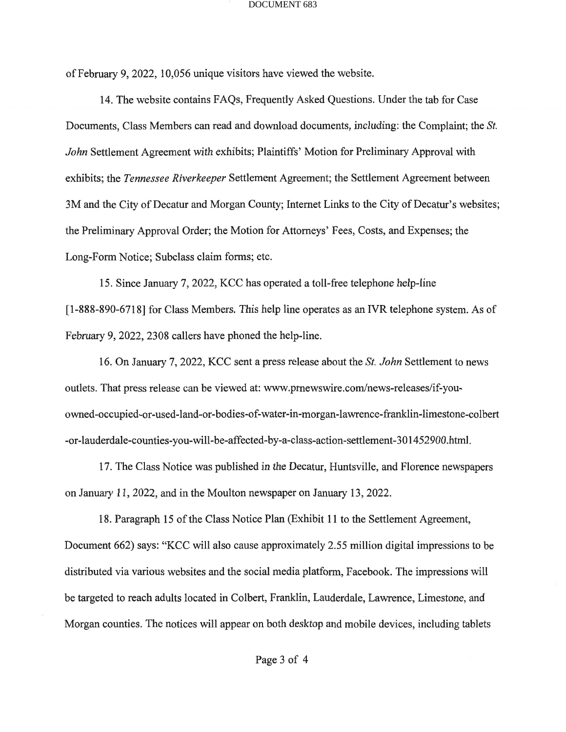of February 9, 2022, 10,056 unique visitors have viewed the website. of February 9,2022,10,056 unique visitors have viewed the website.

14. The website contains FAQs, Frequently Asked Questions. Under the tab for Case 14. The website contains FAQs, Frequently Asked Questions. Under the tab for Case Documents, Class Members can read and download documents, including: the Complaint; the St. Documents, Class Members can read and download documents, including: the Complaint; the Sr. John Settlement Agreement with exhibits; Plaintiffs' Motion for Preliminary Approval with exhibits; the Tennessee Riverkeeper Settlement Agreement; the Settlement Agreement between 3M and the City of Decatur and Morgan County; Internet Links to the City of Decatur's websites; 3M and the City of Decatur and Morgan County; Internet Links to the City of Decatur's websites; the Preliminary Approval Order; the Motion for Attorneys' Fees, Costs, and Expenses; the the Preliminary Approval Order; the Motion for Attomeys' Fees, Costs, and Expenses; the Long-Form Notice; Subclass claim forms; etc. Long-Form Notice; Subclass claim forms; etc.

15. Since January 7, 2022, KCC has operated a toll-free telephone help-line 15. Since January 7,2022, KCC has operated a toll-free telephone help-line [1-888-890-6718] for Class Members. This help line operates as an IVR telephone system. As of February 9, 2022, 2308 callers have phoned the help-line. February 9,2022,2308 callers have phoned the help-line.

16. On January 7, 2022, KCC sent a press release about the St. John Settlement to news 16. On January <sup>7</sup>,2022, KCC sent a press release about the Sr. John Settlement to news outlets. That press release can be viewed at: www.prnewswire.com/news-releases/if-youowned-occupied-or-used-land-or-bodies-of-water-in-morgan-lawrence-franklin-limestone-colbert -or-lauderdale-counties-you-will-be-affected-by-a-class-action-settlement-301452900.html. -or-lauderdale-counties-you-will-be-affected-by-a-class-action-settlement-301452900.html.

17. The Class Notice was published in the Decatur, Huntsville, and Florence newspapers 17. The Class Notice was published in the Decatur, Huntsville, and Florence newspapers on January 11, 2022, and in the Moulton newspaper on January 13, 2022.

18. Paragraph 15 of the Class Notice Plan (Exhibit 11 to the Settlement Agreement, 18. Paragraph 15 of the Class Notice Plan (Exhibit l1 to the Settlement Agreement, Document 662) says: "KCC will also cause approximately 2.55 million digital impressions to be Document 662) says: "KCC will also cause approximately 2.55 million digital impressions to be distributed via various websites and the social media platform, Facebook. The impressions will distributed via various websites and the social media platform, Facebook. The impressions will be targeted to reach adults located in Colbert, Franklin, Lauderdale, Lawrence, Limestone, and be targeted to reach adults located in Colbert, Franklin, Lauderdale, Lawrence, Limestone, and Morgan counties. The notices will appear on both desktop and mobile devices, including tablets Morgan counties. The notices will appear on both desktop and mobile devices, including tablets